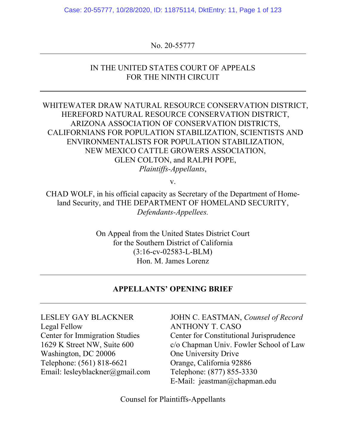Case: 20-55777, 10/28/2020, ID: 11875114, DktEntry: 11, Page 1 of 123

## No. 20-55777

## IN THE UNITED STATES COURT OF APPEALS FOR THE NINTH CIRCUIT

# WHITEWATER DRAW NATURAL RESOURCE CONSERVATION DISTRICT, HEREFORD NATURAL RESOURCE CONSERVATION DISTRICT, ARIZONA ASSOCIATION OF CONSERVATION DISTRICTS, CALIFORNIANS FOR POPULATION STABILIZATION, SCIENTISTS AND ENVIRONMENTALISTS FOR POPULATION STABILIZATION, NEW MEXICO CATTLE GROWERS ASSOCIATION, GLEN COLTON, and RALPH POPE, *Plaintiffs-Appellants*,

v.

CHAD WOLF, in his official capacity as Secretary of the Department of Homeland Security, and THE DEPARTMENT OF HOMELAND SECURITY, *Defendants-Appellees.*

> On Appeal from the United States District Court for the Southern District of California (3:16-cv-02583-L-BLM) Hon. M. James Lorenz

## **APPELLANTS' OPENING BRIEF**

LESLEY GAY BLACKNER Legal Fellow Center for Immigration Studies 1629 K Street NW, Suite 600 Washington, DC 20006 Telephone: (561) 818-6621 Email: lesleyblackner@gmail.com JOHN C. EASTMAN, *Counsel of Record* ANTHONY T. CASO Center for Constitutional Jurisprudence c/o Chapman Univ. Fowler School of Law One University Drive Orange, California 92886 Telephone: (877) 855-3330 E-Mail: jeastman@chapman.edu

Counsel for Plaintiffs-Appellants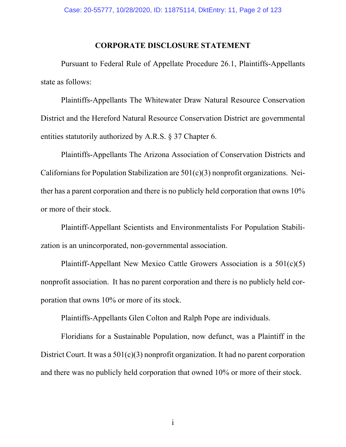### **CORPORATE DISCLOSURE STATEMENT**

<span id="page-1-0"></span>Pursuant to Federal Rule of Appellate Procedure 26.1, Plaintiffs-Appellants state as follows:

Plaintiffs-Appellants The Whitewater Draw Natural Resource Conservation District and the Hereford Natural Resource Conservation District are governmental entities statutorily authorized by A.R.S. § 37 Chapter 6.

Plaintiffs-Appellants The Arizona Association of Conservation Districts and Californians for Population Stabilization are  $501(c)(3)$  nonprofit organizations. Neither has a parent corporation and there is no publicly held corporation that owns 10% or more of their stock.

Plaintiff-Appellant Scientists and Environmentalists For Population Stabilization is an unincorporated, non-governmental association.

Plaintiff-Appellant New Mexico Cattle Growers Association is a  $501(c)(5)$ nonprofit association. It has no parent corporation and there is no publicly held corporation that owns 10% or more of its stock.

Plaintiffs-Appellants Glen Colton and Ralph Pope are individuals.

Floridians for a Sustainable Population, now defunct, was a Plaintiff in the District Court. It was a 501(c)(3) nonprofit organization. It had no parent corporation and there was no publicly held corporation that owned 10% or more of their stock.

i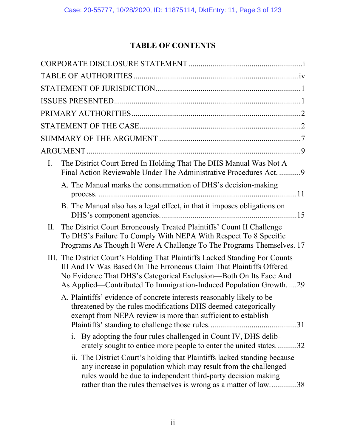# **TABLE OF CONTENTS**

| The District Court Erred In Holding That The DHS Manual Was Not A<br>I.<br>Final Action Reviewable Under The Administrative Procedures Act. 9                                                                                                                                                 |  |
|-----------------------------------------------------------------------------------------------------------------------------------------------------------------------------------------------------------------------------------------------------------------------------------------------|--|
| A. The Manual marks the consummation of DHS's decision-making                                                                                                                                                                                                                                 |  |
| B. The Manual also has a legal effect, in that it imposes obligations on                                                                                                                                                                                                                      |  |
| The District Court Erroneously Treated Plaintiffs' Count II Challenge<br>II.<br>To DHS's Failure To Comply With NEPA With Respect To 8 Specific<br>Programs As Though It Were A Challenge To The Programs Themselves. 17                                                                      |  |
| III. The District Court's Holding That Plaintiffs Lacked Standing For Counts<br>III And IV Was Based On The Erroneous Claim That Plaintiffs Offered<br>No Evidence That DHS's Categorical Exclusion—Both On Its Face And<br>As Applied—Contributed To Immigration-Induced Population Growth29 |  |
| A. Plaintiffs' evidence of concrete interests reasonably likely to be<br>threatened by the rules modifications DHS deemed categorically<br>exempt from NEPA review is more than sufficient to establish                                                                                       |  |
| By adopting the four rules challenged in Count IV, DHS delib-<br>1.<br>erately sought to entice more people to enter the united states32                                                                                                                                                      |  |
| ii. The District Court's holding that Plaintiffs lacked standing because<br>any increase in population which may result from the challenged<br>rules would be due to independent third-party decision making<br>rather than the rules themselves is wrong as a matter of law38                |  |
|                                                                                                                                                                                                                                                                                               |  |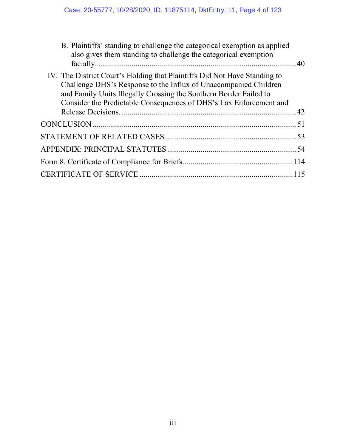| B. Plaintiffs' standing to challenge the categorical exemption as applied<br>also gives them standing to challenge the categorical exemption                                                                                                                                             |  |
|------------------------------------------------------------------------------------------------------------------------------------------------------------------------------------------------------------------------------------------------------------------------------------------|--|
| IV. The District Court's Holding that Plaintiffs Did Not Have Standing to<br>Challenge DHS's Response to the Influx of Unaccompanied Children<br>and Family Units Illegally Crossing the Southern Border Failed to<br>Consider the Predictable Consequences of DHS's Lax Enforcement and |  |
|                                                                                                                                                                                                                                                                                          |  |
|                                                                                                                                                                                                                                                                                          |  |
|                                                                                                                                                                                                                                                                                          |  |
|                                                                                                                                                                                                                                                                                          |  |
|                                                                                                                                                                                                                                                                                          |  |
|                                                                                                                                                                                                                                                                                          |  |
|                                                                                                                                                                                                                                                                                          |  |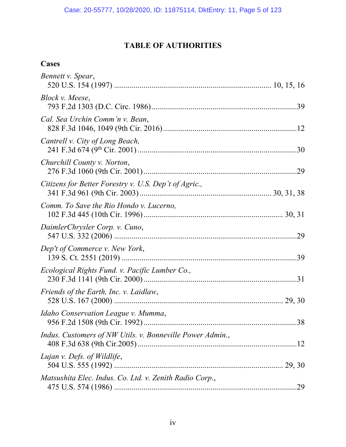# **TABLE OF AUTHORITIES**

# <span id="page-4-0"></span>**Cases**

| Bennett v. Spear,                                         |  |
|-----------------------------------------------------------|--|
| Block v. Meese,                                           |  |
| Cal. Sea Urchin Comm'n v. Bean,                           |  |
| Cantrell v. City of Long Beach,                           |  |
| Churchill County v. Norton,                               |  |
| Citizens for Better Forestry v. U.S. Dep't of Agric.,     |  |
| Comm. To Save the Rio Hondo v. Lucerno,                   |  |
| DaimlerChrysler Corp. v. Cuno,                            |  |
| Dep't of Commerce v. New York,                            |  |
| Ecological Rights Fund. v. Pacific Lumber Co.,            |  |
| Friends of the Earth, Inc. v. Laidlaw,                    |  |
| Idaho Conservation League v. Mumma,                       |  |
| Indus. Customers of NW Utils. v. Bonneville Power Admin., |  |
| Lujan v. Defs. of Wildlife,                               |  |
| Matsushita Elec. Indus. Co. Ltd. v. Zenith Radio Corp.,   |  |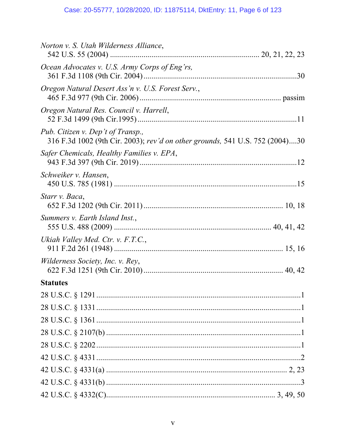| Norton v. S. Utah Wilderness Alliance,                                                                            |  |
|-------------------------------------------------------------------------------------------------------------------|--|
| Ocean Advocates v. U.S. Army Corps of Eng'rs,                                                                     |  |
| Oregon Natural Desert Ass'n v. U.S. Forest Serv.,                                                                 |  |
| Oregon Natural Res. Council v. Harrell,                                                                           |  |
| Pub. Citizen v. Dep't of Transp.,<br>316 F.3d 1002 (9th Cir. 2003); rev'd on other grounds, 541 U.S. 752 (2004)30 |  |
| Safer Chemicals, Healthy Families v. EPA,                                                                         |  |
| Schweiker v. Hansen,                                                                                              |  |
| Starr v. Baca,                                                                                                    |  |
| Summers v. Earth Island Inst.,                                                                                    |  |
| Ukiah Valley Med. Ctr. v. F.T.C.,                                                                                 |  |
| Wilderness Society, Inc. v. Rey,                                                                                  |  |
| <b>Statutes</b>                                                                                                   |  |
|                                                                                                                   |  |
|                                                                                                                   |  |
|                                                                                                                   |  |
|                                                                                                                   |  |
|                                                                                                                   |  |
|                                                                                                                   |  |
|                                                                                                                   |  |
|                                                                                                                   |  |
|                                                                                                                   |  |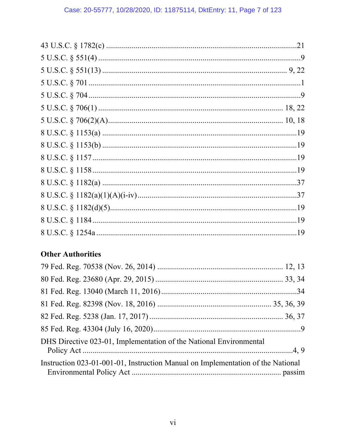# **Other Authorities**

| DHS Directive 023-01, Implementation of the National Environmental              |  |
|---------------------------------------------------------------------------------|--|
| Instruction 023-01-001-01, Instruction Manual on Implementation of the National |  |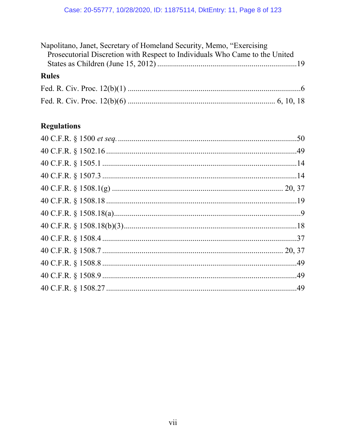| Napolitano, Janet, Secretary of Homeland Security, Memo, "Exercising        |  |
|-----------------------------------------------------------------------------|--|
| Prosecutorial Discretion with Respect to Individuals Who Came to the United |  |
|                                                                             |  |
| <b>Rules</b>                                                                |  |
|                                                                             |  |
|                                                                             |  |

# **Regulations**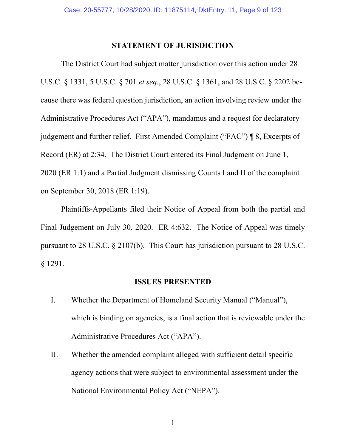## **STATEMENT OF JURISDICTION**

<span id="page-8-0"></span>The District Court had subject matter jurisdiction over this action under 28 U.S.C. § 1331, 5 U.S.C. § 701 *et seq.*, 28 U.S.C. § 1361, and 28 U.S.C. § 2202 because there was federal question jurisdiction, an action involving review under the Administrative Procedures Act ("APA"), mandamus and a request for declaratory judgement and further relief. First Amended Complaint ("FAC") ¶ 8, Excerpts of Record (ER) at 2:34. The District Court entered its Final Judgment on June 1, 2020 (ER 1:1) and a Partial Judgment dismissing Counts I and II of the complaint on September 30, 2018 (ER 1:19).

Plaintiffs-Appellants filed their Notice of Appeal from both the partial and Final Judgement on July 30, 2020. ER 4:632. The Notice of Appeal was timely pursuant to 28 U.S.C. § 2107(b). This Court has jurisdiction pursuant to 28 U.S.C. § 1291.

#### **ISSUES PRESENTED**

- <span id="page-8-1"></span>I. Whether the Department of Homeland Security Manual ("Manual"), which is binding on agencies, is a final action that is reviewable under the Administrative Procedures Act ("APA").
- II. Whether the amended complaint alleged with sufficient detail specific agency actions that were subject to environmental assessment under the National Environmental Policy Act ("NEPA").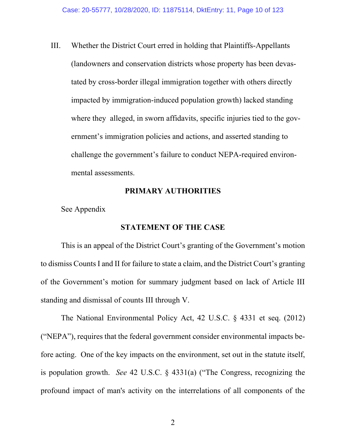III. Whether the District Court erred in holding that Plaintiffs-Appellants (landowners and conservation districts whose property has been devastated by cross-border illegal immigration together with others directly impacted by immigration-induced population growth) lacked standing where they alleged, in sworn affidavits, specific injuries tied to the government's immigration policies and actions, and asserted standing to challenge the government's failure to conduct NEPA-required environmental assessments.

## **PRIMARY AUTHORITIES**

<span id="page-9-0"></span>See Appendix

## **STATEMENT OF THE CASE**

<span id="page-9-1"></span>This is an appeal of the District Court's granting of the Government's motion to dismiss Counts I and II for failure to state a claim, and the District Court's granting of the Government's motion for summary judgment based on lack of Article III standing and dismissal of counts III through V.

The National Environmental Policy Act, 42 U.S.C. § 4331 et seq. (2012) ("NEPA"), requires that the federal government consider environmental impacts before acting. One of the key impacts on the environment, set out in the statute itself, is population growth. *See* 42 U.S.C. § 4331(a) ("The Congress, recognizing the profound impact of man's activity on the interrelations of all components of the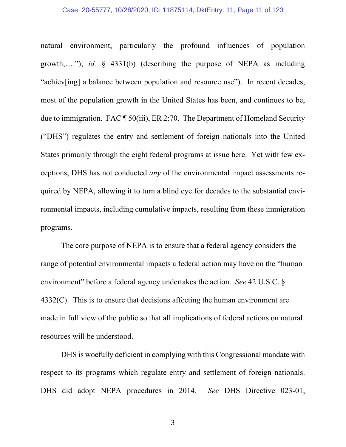### Case: 20-55777, 10/28/2020, ID: 11875114, DktEntry: 11, Page 11 of 123

natural environment, particularly the profound influences of population growth,…."); *id.* § 4331(b) (describing the purpose of NEPA as including "achiev[ing] a balance between population and resource use"). In recent decades, most of the population growth in the United States has been, and continues to be, due to immigration. FAC ¶ 50(iii), ER 2:70. The Department of Homeland Security ("DHS") regulates the entry and settlement of foreign nationals into the United States primarily through the eight federal programs at issue here. Yet with few exceptions, DHS has not conducted *any* of the environmental impact assessments required by NEPA, allowing it to turn a blind eye for decades to the substantial environmental impacts, including cumulative impacts, resulting from these immigration programs.

The core purpose of NEPA is to ensure that a federal agency considers the range of potential environmental impacts a federal action may have on the "human environment" before a federal agency undertakes the action. *See* 42 U.S.C. § 4332(C). This is to ensure that decisions affecting the human environment are made in full view of the public so that all implications of federal actions on natural resources will be understood.

DHS is woefully deficient in complying with this Congressional mandate with respect to its programs which regulate entry and settlement of foreign nationals. DHS did adopt NEPA procedures in 2014. *See* DHS Directive 023-01,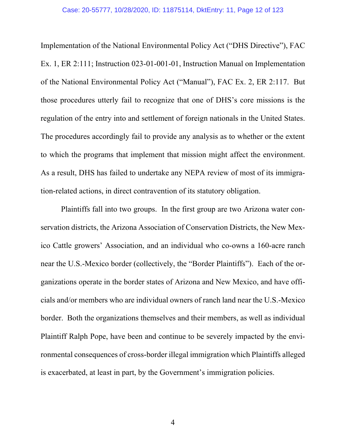Implementation of the National Environmental Policy Act ("DHS Directive"), FAC Ex. 1, ER 2:111; Instruction 023-01-001-01, Instruction Manual on Implementation of the National Environmental Policy Act ("Manual"), FAC Ex. 2, ER 2:117. But those procedures utterly fail to recognize that one of DHS's core missions is the regulation of the entry into and settlement of foreign nationals in the United States. The procedures accordingly fail to provide any analysis as to whether or the extent to which the programs that implement that mission might affect the environment. As a result, DHS has failed to undertake any NEPA review of most of its immigration-related actions, in direct contravention of its statutory obligation.

Plaintiffs fall into two groups. In the first group are two Arizona water conservation districts, the Arizona Association of Conservation Districts, the New Mexico Cattle growers' Association, and an individual who co-owns a 160-acre ranch near the U.S.-Mexico border (collectively, the "Border Plaintiffs"). Each of the organizations operate in the border states of Arizona and New Mexico, and have officials and/or members who are individual owners of ranch land near the U.S.-Mexico border. Both the organizations themselves and their members, as well as individual Plaintiff Ralph Pope, have been and continue to be severely impacted by the environmental consequences of cross-border illegal immigration which Plaintiffs alleged is exacerbated, at least in part, by the Government's immigration policies.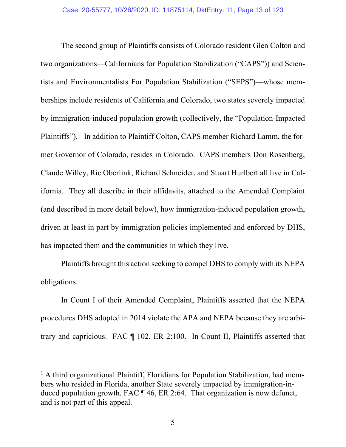The second group of Plaintiffs consists of Colorado resident Glen Colton and two organizations—Californians for Population Stabilization ("CAPS")) and Scientists and Environmentalists For Population Stabilization ("SEPS")—whose memberships include residents of California and Colorado, two states severely impacted by immigration-induced population growth (collectively, the "Population-Impacted Plaintiffs").<sup>1</sup> In addition to Plaintiff Colton, CAPS member Richard Lamm, the former Governor of Colorado, resides in Colorado. CAPS members Don Rosenberg, Claude Willey, Ric Oberlink, Richard Schneider, and Stuart Hurlbert all live in California. They all describe in their affidavits, attached to the Amended Complaint (and described in more detail below), how immigration-induced population growth, driven at least in part by immigration policies implemented and enforced by DHS, has impacted them and the communities in which they live.

Plaintiffs brought this action seeking to compel DHS to comply with its NEPA obligations.

In Count I of their Amended Complaint, Plaintiffs asserted that the NEPA procedures DHS adopted in 2014 violate the APA and NEPA because they are arbitrary and capricious. FAC ¶ 102, ER 2:100. In Count II, Plaintiffs asserted that

 $<sup>1</sup>$  A third organizational Plaintiff, Floridians for Population Stabilization, had mem-</sup> bers who resided in Florida, another State severely impacted by immigration-induced population growth. FAC ¶ 46, ER 2:64. That organization is now defunct, and is not part of this appeal.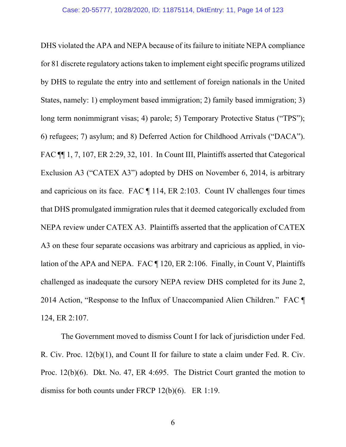DHS violated the APA and NEPA because of its failure to initiate NEPA compliance for 81 discrete regulatory actions taken to implement eight specific programs utilized by DHS to regulate the entry into and settlement of foreign nationals in the United States, namely: 1) employment based immigration; 2) family based immigration; 3) long term nonimmigrant visas; 4) parole; 5) Temporary Protective Status ("TPS"); 6) refugees; 7) asylum; and 8) Deferred Action for Childhood Arrivals ("DACA"). FAC  $\P$  1, 7, 107, ER 2:29, 32, 101. In Count III, Plaintiffs asserted that Categorical Exclusion A3 ("CATEX A3") adopted by DHS on November 6, 2014, is arbitrary and capricious on its face. FAC ¶ 114, ER 2:103. Count IV challenges four times that DHS promulgated immigration rules that it deemed categorically excluded from NEPA review under CATEX A3. Plaintiffs asserted that the application of CATEX A3 on these four separate occasions was arbitrary and capricious as applied, in violation of the APA and NEPA. FAC ¶ 120, ER 2:106. Finally, in Count V, Plaintiffs challenged as inadequate the cursory NEPA review DHS completed for its June 2, 2014 Action, "Response to the Influx of Unaccompanied Alien Children." FAC ¶ 124, ER 2:107.

The Government moved to dismiss Count I for lack of jurisdiction under Fed. R. Civ. Proc. 12(b)(1), and Count II for failure to state a claim under Fed. R. Civ. Proc. 12(b)(6). Dkt. No. 47, ER 4:695. The District Court granted the motion to dismiss for both counts under FRCP 12(b)(6). ER 1:19.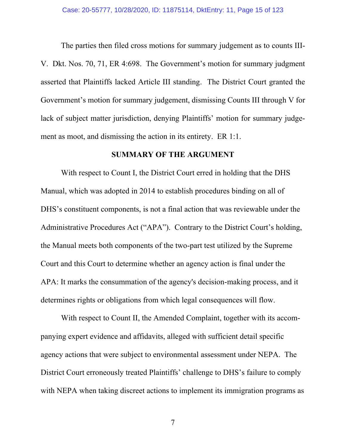The parties then filed cross motions for summary judgement as to counts III-V. Dkt. Nos. 70, 71, ER 4:698. The Government's motion for summary judgment asserted that Plaintiffs lacked Article III standing. The District Court granted the Government's motion for summary judgement, dismissing Counts III through V for lack of subject matter jurisdiction, denying Plaintiffs' motion for summary judgement as moot, and dismissing the action in its entirety. ER 1:1.

## **SUMMARY OF THE ARGUMENT**

<span id="page-14-0"></span>With respect to Count I, the District Court erred in holding that the DHS Manual, which was adopted in 2014 to establish procedures binding on all of DHS's constituent components, is not a final action that was reviewable under the Administrative Procedures Act ("APA"). Contrary to the District Court's holding, the Manual meets both components of the two-part test utilized by the Supreme Court and this Court to determine whether an agency action is final under the APA: It marks the consummation of the agency's decision-making process, and it determines rights or obligations from which legal consequences will flow.

With respect to Count II, the Amended Complaint, together with its accompanying expert evidence and affidavits, alleged with sufficient detail specific agency actions that were subject to environmental assessment under NEPA. The District Court erroneously treated Plaintiffs' challenge to DHS's failure to comply with NEPA when taking discreet actions to implement its immigration programs as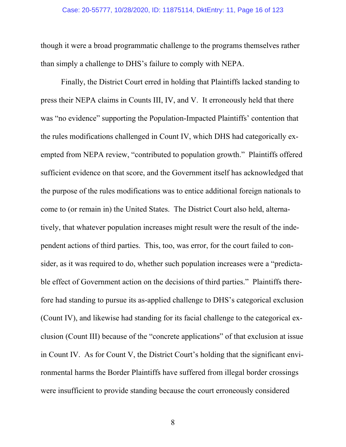#### Case: 20-55777, 10/28/2020, ID: 11875114, DktEntry: 11, Page 16 of 123

though it were a broad programmatic challenge to the programs themselves rather than simply a challenge to DHS's failure to comply with NEPA.

Finally, the District Court erred in holding that Plaintiffs lacked standing to press their NEPA claims in Counts III, IV, and V. It erroneously held that there was "no evidence" supporting the Population-Impacted Plaintiffs' contention that the rules modifications challenged in Count IV, which DHS had categorically exempted from NEPA review, "contributed to population growth." Plaintiffs offered sufficient evidence on that score, and the Government itself has acknowledged that the purpose of the rules modifications was to entice additional foreign nationals to come to (or remain in) the United States. The District Court also held, alternatively, that whatever population increases might result were the result of the independent actions of third parties. This, too, was error, for the court failed to consider, as it was required to do, whether such population increases were a "predictable effect of Government action on the decisions of third parties." Plaintiffs therefore had standing to pursue its as-applied challenge to DHS's categorical exclusion (Count IV), and likewise had standing for its facial challenge to the categorical exclusion (Count III) because of the "concrete applications" of that exclusion at issue in Count IV. As for Count V, the District Court's holding that the significant environmental harms the Border Plaintiffs have suffered from illegal border crossings were insufficient to provide standing because the court erroneously considered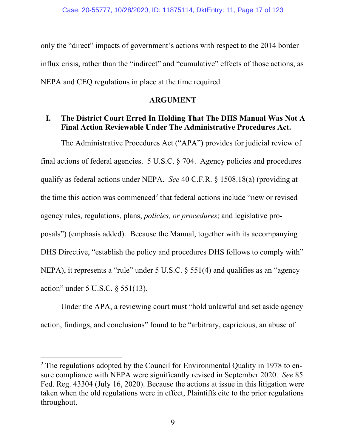only the "direct" impacts of government's actions with respect to the 2014 border influx crisis, rather than the "indirect" and "cumulative" effects of those actions, as NEPA and CEQ regulations in place at the time required.

## **ARGUMENT**

# <span id="page-16-1"></span><span id="page-16-0"></span>**I. The District Court Erred In Holding That The DHS Manual Was Not A Final Action Reviewable Under The Administrative Procedures Act.**

The Administrative Procedures Act ("APA") provides for judicial review of final actions of federal agencies. 5 U.S.C. § 704. Agency policies and procedures qualify as federal actions under NEPA. *See* 40 C.F.R. § 1508.18(a) (providing at the time this action was commenced<sup>2</sup> that federal actions include "new or revised agency rules, regulations, plans, *policies, or procedures*; and legislative proposals") (emphasis added). Because the Manual, together with its accompanying DHS Directive, "establish the policy and procedures DHS follows to comply with" NEPA), it represents a "rule" under 5 U.S.C. § 551(4) and qualifies as an "agency action" under 5 U.S.C. § 551(13).

Under the APA, a reviewing court must "hold unlawful and set aside agency action, findings, and conclusions" found to be "arbitrary, capricious, an abuse of

<sup>&</sup>lt;sup>2</sup> The regulations adopted by the Council for Environmental Quality in 1978 to ensure compliance with NEPA were significantly revised in September 2020. *See* 85 Fed. Reg. 43304 (July 16, 2020). Because the actions at issue in this litigation were taken when the old regulations were in effect, Plaintiffs cite to the prior regulations throughout.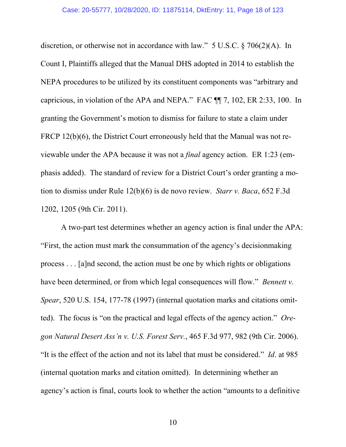discretion, or otherwise not in accordance with law." 5 U.S.C. § 706(2)(A). In Count I, Plaintiffs alleged that the Manual DHS adopted in 2014 to establish the NEPA procedures to be utilized by its constituent components was "arbitrary and capricious, in violation of the APA and NEPA." FAC ¶¶ 7, 102, ER 2:33, 100. In granting the Government's motion to dismiss for failure to state a claim under FRCP 12(b)(6), the District Court erroneously held that the Manual was not reviewable under the APA because it was not a *final* agency action. ER 1:23 (emphasis added). The standard of review for a District Court's order granting a motion to dismiss under Rule 12(b)(6) is de novo review. *Starr v. Baca*, 652 F.3d 1202, 1205 (9th Cir. 2011).

A two-part test determines whether an agency action is final under the APA: "First, the action must mark the consummation of the agency's decisionmaking process . . . [a]nd second, the action must be one by which rights or obligations have been determined, or from which legal consequences will flow." *Bennett v. Spear*, 520 U.S. 154, 177-78 (1997) (internal quotation marks and citations omitted). The focus is "on the practical and legal effects of the agency action." *Oregon Natural Desert Ass'n v. U.S. Forest Serv.*, 465 F.3d 977, 982 (9th Cir. 2006). "It is the effect of the action and not its label that must be considered." *Id*. at 985 (internal quotation marks and citation omitted). In determining whether an agency's action is final, courts look to whether the action "amounts to a definitive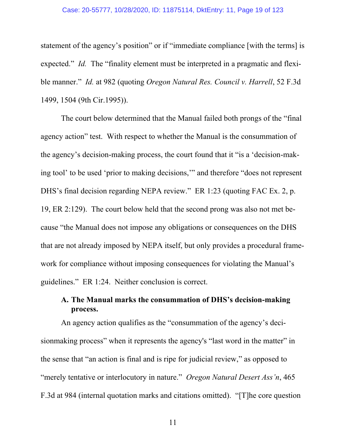### Case: 20-55777, 10/28/2020, ID: 11875114, DktEntry: 11, Page 19 of 123

statement of the agency's position" or if "immediate compliance [with the terms] is expected." *Id.* The "finality element must be interpreted in a pragmatic and flexible manner." *Id.* at 982 (quoting *Oregon Natural Res. Council v. Harrell*, 52 F.3d 1499, 1504 (9th Cir.1995)).

The court below determined that the Manual failed both prongs of the "final agency action" test. With respect to whether the Manual is the consummation of the agency's decision-making process, the court found that it "is a 'decision-making tool' to be used 'prior to making decisions,'" and therefore "does not represent DHS's final decision regarding NEPA review." ER 1:23 (quoting FAC Ex. 2, p. 19, ER 2:129). The court below held that the second prong was also not met because "the Manual does not impose any obligations or consequences on the DHS that are not already imposed by NEPA itself, but only provides a procedural framework for compliance without imposing consequences for violating the Manual's guidelines." ER 1:24. Neither conclusion is correct.

# <span id="page-18-0"></span>**A. The Manual marks the consummation of DHS's decision-making process.**

An agency action qualifies as the "consummation of the agency's decisionmaking process" when it represents the agency's "last word in the matter" in the sense that "an action is final and is ripe for judicial review," as opposed to "merely tentative or interlocutory in nature." *Oregon Natural Desert Ass'n*, 465 F.3d at 984 (internal quotation marks and citations omitted). "[T]he core question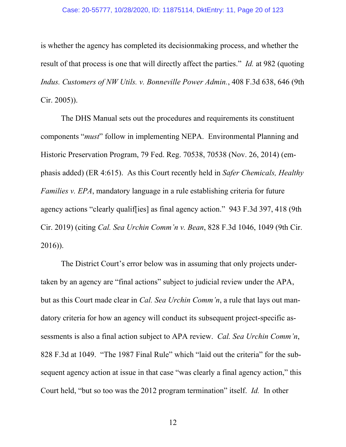### Case: 20-55777, 10/28/2020, ID: 11875114, DktEntry: 11, Page 20 of 123

is whether the agency has completed its decisionmaking process, and whether the result of that process is one that will directly affect the parties." *Id.* at 982 (quoting *Indus. Customers of NW Utils. v. Bonneville Power Admin.*, 408 F.3d 638, 646 (9th Cir. 2005)).

The DHS Manual sets out the procedures and requirements its constituent components "*must*" follow in implementing NEPA. Environmental Planning and Historic Preservation Program, 79 Fed. Reg. 70538, 70538 (Nov. 26, 2014) (emphasis added) (ER 4:615). As this Court recently held in *Safer Chemicals, Healthy Families v. EPA*, mandatory language in a rule establishing criteria for future agency actions "clearly qualif[ies] as final agency action." 943 F.3d 397, 418 (9th Cir. 2019) (citing *Cal. Sea Urchin Comm'n v. Bean*, 828 F.3d 1046, 1049 (9th Cir. 2016)).

The District Court's error below was in assuming that only projects undertaken by an agency are "final actions" subject to judicial review under the APA, but as this Court made clear in *Cal. Sea Urchin Comm'n*, a rule that lays out mandatory criteria for how an agency will conduct its subsequent project-specific assessments is also a final action subject to APA review. *Cal. Sea Urchin Comm'n*, 828 F.3d at 1049. "The 1987 Final Rule" which "laid out the criteria" for the subsequent agency action at issue in that case "was clearly a final agency action," this Court held, "but so too was the 2012 program termination" itself. *Id.* In other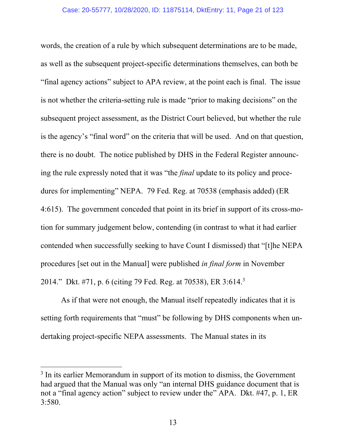words, the creation of a rule by which subsequent determinations are to be made, as well as the subsequent project-specific determinations themselves, can both be "final agency actions" subject to APA review, at the point each is final. The issue is not whether the criteria-setting rule is made "prior to making decisions" on the subsequent project assessment, as the District Court believed, but whether the rule is the agency's "final word" on the criteria that will be used. And on that question, there is no doubt. The notice published by DHS in the Federal Register announcing the rule expressly noted that it was "the *final* update to its policy and procedures for implementing" NEPA. 79 Fed. Reg. at 70538 (emphasis added) (ER 4:615). The government conceded that point in its brief in support of its cross-motion for summary judgement below, contending (in contrast to what it had earlier contended when successfully seeking to have Count I dismissed) that "[t]he NEPA procedures [set out in the Manual] were published *in final form* in November 2014." Dkt. #71, p. 6 (citing 79 Fed. Reg. at 70538), ER 3:614.<sup>3</sup>

As if that were not enough, the Manual itself repeatedly indicates that it is setting forth requirements that "must" be following by DHS components when undertaking project-specific NEPA assessments. The Manual states in its

<sup>&</sup>lt;sup>3</sup> In its earlier Memorandum in support of its motion to dismiss, the Government had argued that the Manual was only "an internal DHS guidance document that is not a "final agency action" subject to review under the" APA. Dkt. #47, p. 1, ER 3:580.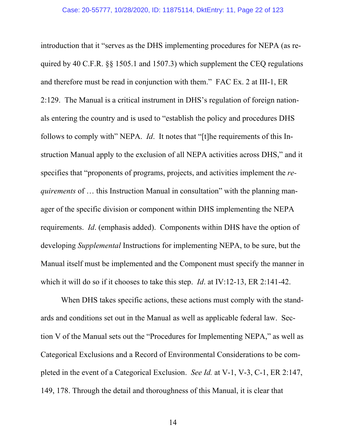introduction that it "serves as the DHS implementing procedures for NEPA (as required by 40 C.F.R. §§ 1505.1 and 1507.3) which supplement the CEQ regulations and therefore must be read in conjunction with them." FAC Ex. 2 at III-1, ER 2:129. The Manual is a critical instrument in DHS's regulation of foreign nationals entering the country and is used to "establish the policy and procedures DHS follows to comply with" NEPA. *Id*. It notes that "[t]he requirements of this Instruction Manual apply to the exclusion of all NEPA activities across DHS," and it specifies that "proponents of programs, projects, and activities implement the *requirements* of … this Instruction Manual in consultation" with the planning manager of the specific division or component within DHS implementing the NEPA requirements. *Id*. (emphasis added). Components within DHS have the option of developing *Supplemental* Instructions for implementing NEPA, to be sure, but the Manual itself must be implemented and the Component must specify the manner in which it will do so if it chooses to take this step. *Id*. at IV:12-13, ER 2:141-42.

When DHS takes specific actions, these actions must comply with the standards and conditions set out in the Manual as well as applicable federal law. Section V of the Manual sets out the "Procedures for Implementing NEPA," as well as Categorical Exclusions and a Record of Environmental Considerations to be completed in the event of a Categorical Exclusion. *See Id.* at V-1, V-3, C-1, ER 2:147, 149, 178. Through the detail and thoroughness of this Manual, it is clear that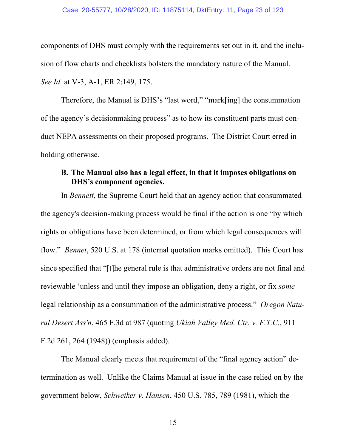### Case: 20-55777, 10/28/2020, ID: 11875114, DktEntry: 11, Page 23 of 123

components of DHS must comply with the requirements set out in it, and the inclusion of flow charts and checklists bolsters the mandatory nature of the Manual. *See Id.* at V-3, A-1, ER 2:149, 175.

Therefore, the Manual is DHS's "last word," "mark[ing] the consummation of the agency's decisionmaking process" as to how its constituent parts must conduct NEPA assessments on their proposed programs. The District Court erred in holding otherwise.

## <span id="page-22-0"></span>**B. The Manual also has a legal effect, in that it imposes obligations on DHS's component agencies.**

In *Bennett*, the Supreme Court held that an agency action that consummated the agency's decision-making process would be final if the action is one "by which rights or obligations have been determined, or from which legal consequences will flow." *Bennet*, 520 U.S. at 178 (internal quotation marks omitted). This Court has since specified that "[t]he general rule is that administrative orders are not final and reviewable 'unless and until they impose an obligation, deny a right, or fix *some* legal relationship as a consummation of the administrative process." *Oregon Natural Desert Ass'n*, 465 F.3d at 987 (quoting *Ukiah Valley Med. Ctr. v. F.T.C.*, 911 F.2d 261, 264 (1948)) (emphasis added).

The Manual clearly meets that requirement of the "final agency action" determination as well. Unlike the Claims Manual at issue in the case relied on by the government below, *Schweiker v. Hansen*, 450 U.S. 785, 789 (1981), which the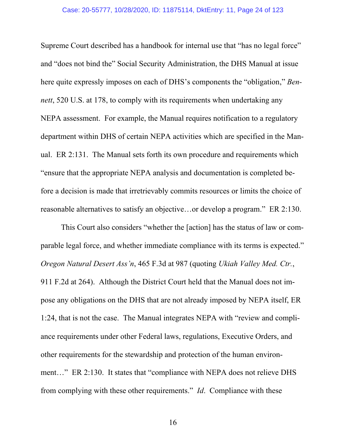### Case: 20-55777, 10/28/2020, ID: 11875114, DktEntry: 11, Page 24 of 123

Supreme Court described has a handbook for internal use that "has no legal force" and "does not bind the" Social Security Administration, the DHS Manual at issue here quite expressly imposes on each of DHS's components the "obligation," *Bennett*, 520 U.S. at 178, to comply with its requirements when undertaking any NEPA assessment. For example, the Manual requires notification to a regulatory department within DHS of certain NEPA activities which are specified in the Manual. ER 2:131. The Manual sets forth its own procedure and requirements which "ensure that the appropriate NEPA analysis and documentation is completed before a decision is made that irretrievably commits resources or limits the choice of reasonable alternatives to satisfy an objective…or develop a program." ER 2:130.

This Court also considers "whether the [action] has the status of law or comparable legal force, and whether immediate compliance with its terms is expected." *Oregon Natural Desert Ass'n*, 465 F.3d at 987 (quoting *Ukiah Valley Med. Ctr.*, 911 F.2d at 264). Although the District Court held that the Manual does not impose any obligations on the DHS that are not already imposed by NEPA itself, ER 1:24, that is not the case. The Manual integrates NEPA with "review and compliance requirements under other Federal laws, regulations, Executive Orders, and other requirements for the stewardship and protection of the human environment..." ER 2:130. It states that "compliance with NEPA does not relieve DHS from complying with these other requirements." *Id*. Compliance with these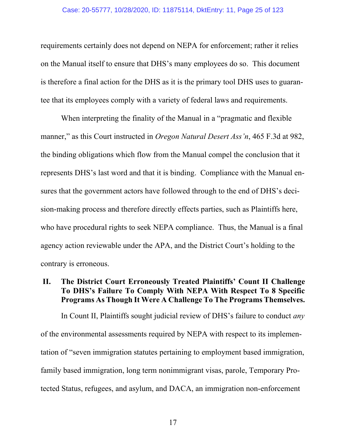### Case: 20-55777, 10/28/2020, ID: 11875114, DktEntry: 11, Page 25 of 123

requirements certainly does not depend on NEPA for enforcement; rather it relies on the Manual itself to ensure that DHS's many employees do so. This document is therefore a final action for the DHS as it is the primary tool DHS uses to guarantee that its employees comply with a variety of federal laws and requirements.

When interpreting the finality of the Manual in a "pragmatic and flexible manner," as this Court instructed in *Oregon Natural Desert Ass'n*, 465 F.3d at 982, the binding obligations which flow from the Manual compel the conclusion that it represents DHS's last word and that it is binding. Compliance with the Manual ensures that the government actors have followed through to the end of DHS's decision-making process and therefore directly effects parties, such as Plaintiffs here, who have procedural rights to seek NEPA compliance. Thus, the Manual is a final agency action reviewable under the APA, and the District Court's holding to the contrary is erroneous.

<span id="page-24-0"></span>**II. The District Court Erroneously Treated Plaintiffs' Count II Challenge To DHS's Failure To Comply With NEPA With Respect To 8 Specific Programs As Though It Were A Challenge To The Programs Themselves.**

In Count II, Plaintiffs sought judicial review of DHS's failure to conduct *any*  of the environmental assessments required by NEPA with respect to its implementation of "seven immigration statutes pertaining to employment based immigration, family based immigration, long term nonimmigrant visas, parole, Temporary Protected Status, refugees, and asylum, and DACA, an immigration non-enforcement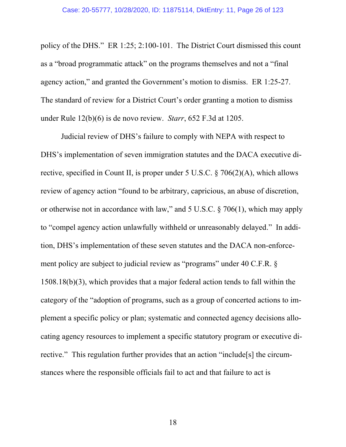policy of the DHS." ER 1:25; 2:100-101. The District Court dismissed this count as a "broad programmatic attack" on the programs themselves and not a "final agency action," and granted the Government's motion to dismiss. ER 1:25-27. The standard of review for a District Court's order granting a motion to dismiss under Rule 12(b)(6) is de novo review. *Starr*, 652 F.3d at 1205.

Judicial review of DHS's failure to comply with NEPA with respect to DHS's implementation of seven immigration statutes and the DACA executive directive, specified in Count II, is proper under 5 U.S.C. § 706(2)(A), which allows review of agency action "found to be arbitrary, capricious, an abuse of discretion, or otherwise not in accordance with law," and 5 U.S.C. § 706(1), which may apply to "compel agency action unlawfully withheld or unreasonably delayed." In addition, DHS's implementation of these seven statutes and the DACA non-enforcement policy are subject to judicial review as "programs" under 40 C.F.R. § 1508.18(b)(3), which provides that a major federal action tends to fall within the category of the "adoption of programs, such as a group of concerted actions to implement a specific policy or plan; systematic and connected agency decisions allocating agency resources to implement a specific statutory program or executive directive." This regulation further provides that an action "include[s] the circumstances where the responsible officials fail to act and that failure to act is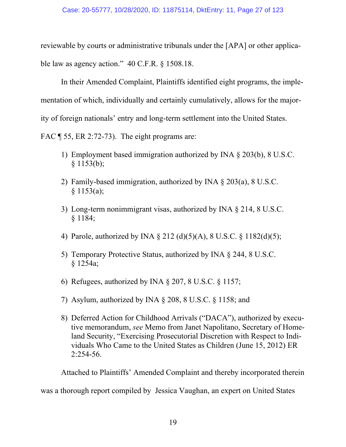reviewable by courts or administrative tribunals under the [APA] or other applicable law as agency action." 40 C.F.R. § 1508.18.

In their Amended Complaint, Plaintiffs identified eight programs, the implementation of which, individually and certainly cumulatively, allows for the majority of foreign nationals' entry and long-term settlement into the United States.

FAC  $\parallel$  55, ER 2:72-73). The eight programs are:

- 1) Employment based immigration authorized by INA § 203(b), 8 U.S.C. § 1153(b);
- 2) Family-based immigration, authorized by INA § 203(a), 8 U.S.C.  $§ 1153(a);$
- 3) Long-term nonimmigrant visas, authorized by INA § 214, 8 U.S.C. § 1184;
- 4) Parole, authorized by INA § 212 (d)(5)(A), 8 U.S.C. § 1182(d)(5);
- 5) Temporary Protective Status, authorized by INA § 244, 8 U.S.C. § 1254a;
- 6) Refugees, authorized by INA § 207, 8 U.S.C. § 1157;
- 7) Asylum, authorized by INA § 208, 8 U.S.C. § 1158; and
- 8) Deferred Action for Childhood Arrivals ("DACA"), authorized by executive memorandum, *see* Memo from Janet Napolitano, Secretary of Homeland Security, "Exercising Prosecutorial Discretion with Respect to Individuals Who Came to the United States as Children (June 15, 2012) ER  $2:254-56.$

Attached to Plaintiffs' Amended Complaint and thereby incorporated therein

was a thorough report compiled by Jessica Vaughan, an expert on United States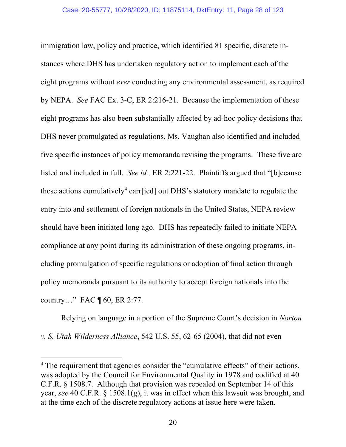immigration law, policy and practice, which identified 81 specific, discrete instances where DHS has undertaken regulatory action to implement each of the eight programs without *ever* conducting any environmental assessment, as required by NEPA. *See* FAC Ex. 3-C, ER 2:216-21. Because the implementation of these eight programs has also been substantially affected by ad-hoc policy decisions that DHS never promulgated as regulations, Ms. Vaughan also identified and included five specific instances of policy memoranda revising the programs. These five are listed and included in full. *See id.,* ER 2:221-22. Plaintiffs argued that "[b]ecause these actions cumulatively<sup>4</sup> carr[ied] out DHS's statutory mandate to regulate the entry into and settlement of foreign nationals in the United States, NEPA review should have been initiated long ago. DHS has repeatedly failed to initiate NEPA compliance at any point during its administration of these ongoing programs, including promulgation of specific regulations or adoption of final action through policy memoranda pursuant to its authority to accept foreign nationals into the country…" FAC ¶ 60, ER 2:77.

Relying on language in a portion of the Supreme Court's decision in *Norton v. S. Utah Wilderness Alliance*, 542 U.S. 55, 62-65 (2004), that did not even

<sup>&</sup>lt;sup>4</sup> The requirement that agencies consider the "cumulative effects" of their actions, was adopted by the Council for Environmental Quality in 1978 and codified at 40 C.F.R. § 1508.7. Although that provision was repealed on September 14 of this year, *see* 40 C.F.R. § 1508.1(g), it was in effect when this lawsuit was brought, and at the time each of the discrete regulatory actions at issue here were taken.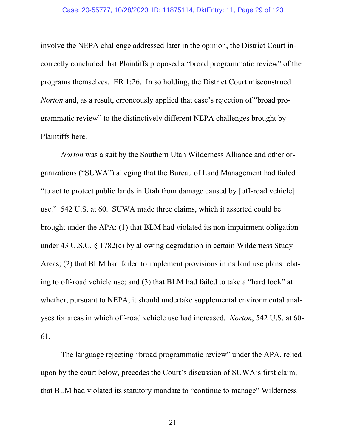### Case: 20-55777, 10/28/2020, ID: 11875114, DktEntry: 11, Page 29 of 123

involve the NEPA challenge addressed later in the opinion, the District Court incorrectly concluded that Plaintiffs proposed a "broad programmatic review" of the programs themselves. ER 1:26. In so holding, the District Court misconstrued *Norton* and, as a result, erroneously applied that case's rejection of "broad programmatic review" to the distinctively different NEPA challenges brought by Plaintiffs here.

*Norton* was a suit by the Southern Utah Wilderness Alliance and other organizations ("SUWA") alleging that the Bureau of Land Management had failed "to act to protect public lands in Utah from damage caused by [off-road vehicle] use." 542 U.S. at 60. SUWA made three claims, which it asserted could be brought under the APA: (1) that BLM had violated its non-impairment obligation under 43 U.S.C. § 1782(c) by allowing degradation in certain Wilderness Study Areas; (2) that BLM had failed to implement provisions in its land use plans relating to off-road vehicle use; and (3) that BLM had failed to take a "hard look" at whether, pursuant to NEPA, it should undertake supplemental environmental analyses for areas in which off-road vehicle use had increased. *Norton*, 542 U.S. at 60- 61.

The language rejecting "broad programmatic review" under the APA, relied upon by the court below, precedes the Court's discussion of SUWA's first claim, that BLM had violated its statutory mandate to "continue to manage" Wilderness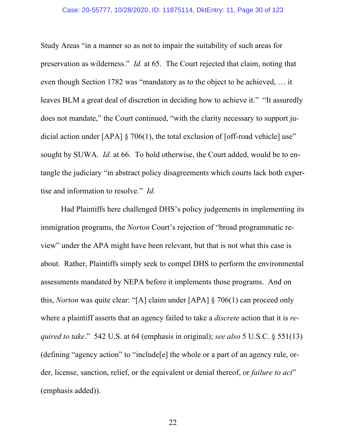### Case: 20-55777, 10/28/2020, ID: 11875114, DktEntry: 11, Page 30 of 123

Study Areas "in a manner so as not to impair the suitability of such areas for preservation as wilderness." *Id.* at 65. The Court rejected that claim, noting that even though Section 1782 was "mandatory as to the object to be achieved, … it leaves BLM a great deal of discretion in deciding how to achieve it." "It assuredly does not mandate," the Court continued, "with the clarity necessary to support judicial action under [APA] § 706(1), the total exclusion of [off-road vehicle] use" sought by SUWA. *Id.* at 66. To hold otherwise, the Court added, would be to entangle the judiciary "in abstract policy disagreements which courts lack both expertise and information to resolve." *Id.*

Had Plaintiffs here challenged DHS's policy judgements in implementing its immigration programs, the *Norton* Court's rejection of "broad programmatic review" under the APA might have been relevant, but that is not what this case is about. Rather, Plaintiffs simply seek to compel DHS to perform the environmental assessments mandated by NEPA before it implements those programs. And on this, *Norton* was quite clear: "[A] claim under [APA] § 706(1) can proceed only where a plaintiff asserts that an agency failed to take a *discrete* action that it is *required to take*." 542 U.S. at 64 (emphasis in original); *see also* 5 U.S.C. § 551(13) (defining "agency action" to "include[e] the whole or a part of an agency rule, order, license, sanction, relief, or the equivalent or denial thereof, or *failure to act*" (emphasis added)).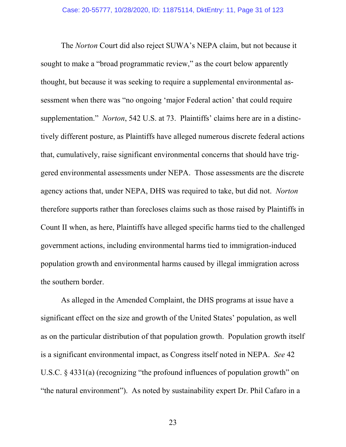The *Norton* Court did also reject SUWA's NEPA claim, but not because it sought to make a "broad programmatic review," as the court below apparently thought, but because it was seeking to require a supplemental environmental assessment when there was "no ongoing 'major Federal action' that could require supplementation." *Norton*, 542 U.S. at 73. Plaintiffs' claims here are in a distinctively different posture, as Plaintiffs have alleged numerous discrete federal actions that, cumulatively, raise significant environmental concerns that should have triggered environmental assessments under NEPA. Those assessments are the discrete agency actions that, under NEPA, DHS was required to take, but did not. *Norton* therefore supports rather than forecloses claims such as those raised by Plaintiffs in Count II when, as here, Plaintiffs have alleged specific harms tied to the challenged government actions, including environmental harms tied to immigration-induced population growth and environmental harms caused by illegal immigration across the southern border.

As alleged in the Amended Complaint, the DHS programs at issue have a significant effect on the size and growth of the United States' population, as well as on the particular distribution of that population growth. Population growth itself is a significant environmental impact, as Congress itself noted in NEPA. *See* 42 U.S.C. § 4331(a) (recognizing "the profound influences of population growth" on "the natural environment"). As noted by sustainability expert Dr. Phil Cafaro in a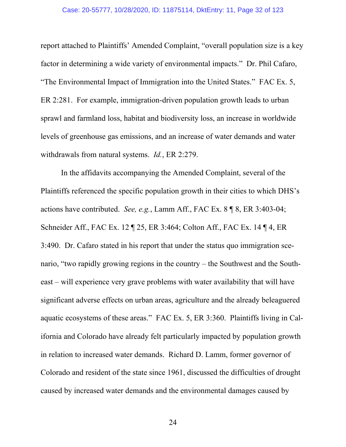### Case: 20-55777, 10/28/2020, ID: 11875114, DktEntry: 11, Page 32 of 123

report attached to Plaintiffs' Amended Complaint, "overall population size is a key factor in determining a wide variety of environmental impacts." Dr. Phil Cafaro, "The Environmental Impact of Immigration into the United States." FAC Ex. 5, ER 2:281. For example, immigration-driven population growth leads to urban sprawl and farmland loss, habitat and biodiversity loss, an increase in worldwide levels of greenhouse gas emissions, and an increase of water demands and water withdrawals from natural systems. *Id.*, ER 2:279.

In the affidavits accompanying the Amended Complaint, several of the Plaintiffs referenced the specific population growth in their cities to which DHS's actions have contributed. *See, e.g.*, Lamm Aff., FAC Ex. 8 ¶ 8, ER 3:403-04; Schneider Aff., FAC Ex. 12 ¶ 25, ER 3:464; Colton Aff., FAC Ex. 14 ¶ 4, ER 3:490. Dr. Cafaro stated in his report that under the status quo immigration scenario, "two rapidly growing regions in the country – the Southwest and the Southeast – will experience very grave problems with water availability that will have significant adverse effects on urban areas, agriculture and the already beleaguered aquatic ecosystems of these areas." FAC Ex. 5, ER 3:360. Plaintiffs living in California and Colorado have already felt particularly impacted by population growth in relation to increased water demands. Richard D. Lamm, former governor of Colorado and resident of the state since 1961, discussed the difficulties of drought caused by increased water demands and the environmental damages caused by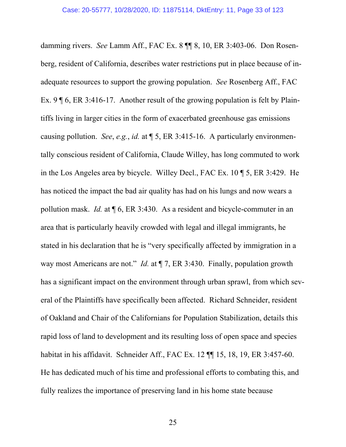damming rivers. *See* Lamm Aff., FAC Ex. 8 ¶¶ 8, 10, ER 3:403-06. Don Rosenberg, resident of California, describes water restrictions put in place because of inadequate resources to support the growing population. *See* Rosenberg Aff., FAC Ex. 9 ¶ 6, ER 3:416-17. Another result of the growing population is felt by Plaintiffs living in larger cities in the form of exacerbated greenhouse gas emissions causing pollution. *See*, *e.g.*, *id.* at ¶ 5, ER 3:415-16. A particularly environmentally conscious resident of California, Claude Willey, has long commuted to work in the Los Angeles area by bicycle. Willey Decl., FAC Ex. 10 ¶ 5, ER 3:429. He has noticed the impact the bad air quality has had on his lungs and now wears a pollution mask. *Id.* at ¶ 6, ER 3:430. As a resident and bicycle-commuter in an area that is particularly heavily crowded with legal and illegal immigrants, he stated in his declaration that he is "very specifically affected by immigration in a way most Americans are not." *Id.* at  $\P$  7, ER 3:430. Finally, population growth has a significant impact on the environment through urban sprawl, from which several of the Plaintiffs have specifically been affected. Richard Schneider, resident of Oakland and Chair of the Californians for Population Stabilization, details this rapid loss of land to development and its resulting loss of open space and species habitat in his affidavit. Schneider Aff., FAC Ex. 12  $\P$  15, 18, 19, ER 3:457-60. He has dedicated much of his time and professional efforts to combating this, and fully realizes the importance of preserving land in his home state because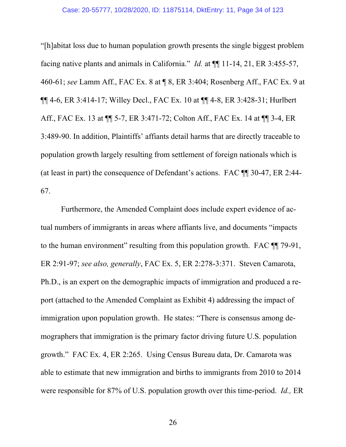"[h]abitat loss due to human population growth presents the single biggest problem facing native plants and animals in California." *Id.* at  $\P$  11-14, 21, ER 3:455-57, 460-61; *see* Lamm Aff., FAC Ex. 8 at ¶ 8, ER 3:404; Rosenberg Aff., FAC Ex. 9 at ¶¶ 4-6, ER 3:414-17; Willey Decl., FAC Ex. 10 at ¶¶ 4-8, ER 3:428-31; Hurlbert Aff., FAC Ex. 13 at ¶¶ 5-7, ER 3:471-72; Colton Aff., FAC Ex. 14 at ¶¶ 3-4, ER 3:489-90. In addition, Plaintiffs' affiants detail harms that are directly traceable to population growth largely resulting from settlement of foreign nationals which is (at least in part) the consequence of Defendant's actions. FAC ¶¶ 30-47, ER 2:44- 67.

Furthermore, the Amended Complaint does include expert evidence of actual numbers of immigrants in areas where affiants live, and documents "impacts to the human environment" resulting from this population growth. FAC ¶¶ 79-91, ER 2:91-97; *see also, generally*, FAC Ex. 5, ER 2:278-3:371. Steven Camarota, Ph.D., is an expert on the demographic impacts of immigration and produced a report (attached to the Amended Complaint as Exhibit 4) addressing the impact of immigration upon population growth. He states: "There is consensus among demographers that immigration is the primary factor driving future U.S. population growth." FAC Ex. 4, ER 2:265. Using Census Bureau data, Dr. Camarota was able to estimate that new immigration and births to immigrants from 2010 to 2014 were responsible for 87% of U.S. population growth over this time-period. *Id.,* ER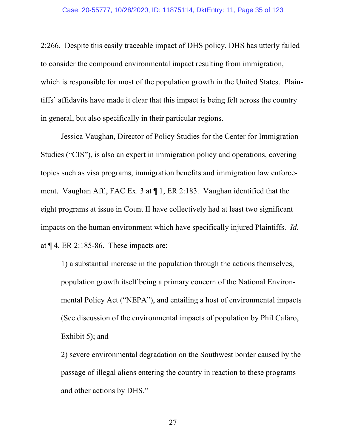2:266. Despite this easily traceable impact of DHS policy, DHS has utterly failed to consider the compound environmental impact resulting from immigration, which is responsible for most of the population growth in the United States. Plaintiffs' affidavits have made it clear that this impact is being felt across the country in general, but also specifically in their particular regions.

Jessica Vaughan, Director of Policy Studies for the Center for Immigration Studies ("CIS"), is also an expert in immigration policy and operations, covering topics such as visa programs, immigration benefits and immigration law enforcement. Vaughan Aff., FAC Ex. 3 at ¶ 1, ER 2:183. Vaughan identified that the eight programs at issue in Count II have collectively had at least two significant impacts on the human environment which have specifically injured Plaintiffs. *Id*. at  $\P$  4, ER 2:185-86. These impacts are:

1) a substantial increase in the population through the actions themselves, population growth itself being a primary concern of the National Environmental Policy Act ("NEPA"), and entailing a host of environmental impacts (See discussion of the environmental impacts of population by Phil Cafaro, Exhibit 5); and

2) severe environmental degradation on the Southwest border caused by the passage of illegal aliens entering the country in reaction to these programs and other actions by DHS."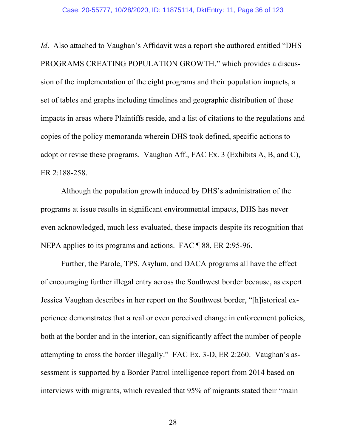*Id.* Also attached to Vaughan's Affidavit was a report she authored entitled "DHS" PROGRAMS CREATING POPULATION GROWTH," which provides a discussion of the implementation of the eight programs and their population impacts, a set of tables and graphs including timelines and geographic distribution of these impacts in areas where Plaintiffs reside, and a list of citations to the regulations and copies of the policy memoranda wherein DHS took defined, specific actions to adopt or revise these programs. Vaughan Aff., FAC Ex. 3 (Exhibits A, B, and C), ER 2:188-258.

Although the population growth induced by DHS's administration of the programs at issue results in significant environmental impacts, DHS has never even acknowledged, much less evaluated, these impacts despite its recognition that NEPA applies to its programs and actions. FAC ¶ 88, ER 2:95-96.

Further, the Parole, TPS, Asylum, and DACA programs all have the effect of encouraging further illegal entry across the Southwest border because, as expert Jessica Vaughan describes in her report on the Southwest border, "[h]istorical experience demonstrates that a real or even perceived change in enforcement policies, both at the border and in the interior, can significantly affect the number of people attempting to cross the border illegally." FAC Ex. 3-D, ER 2:260. Vaughan's assessment is supported by a Border Patrol intelligence report from 2014 based on interviews with migrants, which revealed that 95% of migrants stated their "main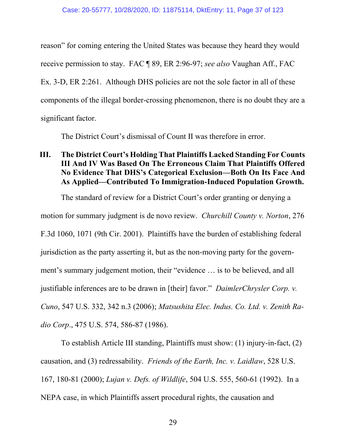reason" for coming entering the United States was because they heard they would receive permission to stay. FAC ¶ 89, ER 2:96-97; *see also* Vaughan Aff., FAC Ex. 3-D, ER 2:261. Although DHS policies are not the sole factor in all of these components of the illegal border-crossing phenomenon, there is no doubt they are a significant factor.

The District Court's dismissal of Count II was therefore in error.

## **III. The District Court's Holding That Plaintiffs Lacked Standing For Counts III And IV Was Based On The Erroneous Claim That Plaintiffs Offered No Evidence That DHS's Categorical Exclusion—Both On Its Face And As Applied—Contributed To Immigration-Induced Population Growth.**

The standard of review for a District Court's order granting or denying a motion for summary judgment is de novo review. *Churchill County v. Norton*, 276 F.3d 1060, 1071 (9th Cir. 2001). Plaintiffs have the burden of establishing federal jurisdiction as the party asserting it, but as the non-moving party for the government's summary judgement motion, their "evidence … is to be believed, and all justifiable inferences are to be drawn in [their] favor." *DaimlerChrysler Corp. v. Cuno*, 547 U.S. 332, 342 n.3 (2006); *Matsushita Elec. Indus. Co. Ltd. v. Zenith Radio Corp*., 475 U.S. 574, 586-87 (1986).

To establish Article III standing, Plaintiffs must show: (1) injury-in-fact, (2) causation, and (3) redressability. *Friends of the Earth, Inc. v. Laidlaw*, 528 U.S. 167, 180-81 (2000); *Lujan v. Defs. of Wildlife*, 504 U.S. 555, 560-61 (1992). In a NEPA case, in which Plaintiffs assert procedural rights, the causation and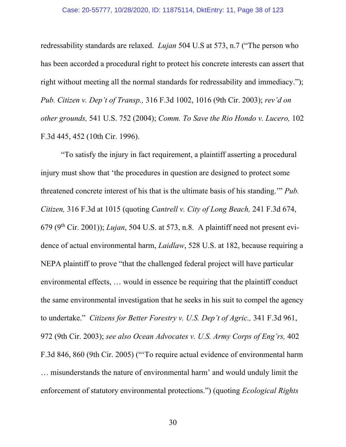redressability standards are relaxed. *Lujan* 504 U.S at 573, n.7 ("The person who has been accorded a procedural right to protect his concrete interests can assert that right without meeting all the normal standards for redressability and immediacy."); *Pub. Citizen v. Dep't of Transp.,* 316 F.3d 1002, 1016 (9th Cir. 2003); *rev'd on other grounds,* 541 U.S. 752 (2004); *Comm. To Save the Rio Hondo v. Lucero,* 102 F.3d 445, 452 (10th Cir. 1996).

"To satisfy the injury in fact requirement, a plaintiff asserting a procedural injury must show that 'the procedures in question are designed to protect some threatened concrete interest of his that is the ultimate basis of his standing.'" *Pub. Citizen,* 316 F.3d at 1015 (quoting *Cantrell v. City of Long Beach,* 241 F.3d 674, 679 (9th Cir. 2001)); *Lujan*, 504 U.S. at 573, n.8. A plaintiff need not present evidence of actual environmental harm, *Laidlaw*, 528 U.S. at 182, because requiring a NEPA plaintiff to prove "that the challenged federal project will have particular environmental effects, … would in essence be requiring that the plaintiff conduct the same environmental investigation that he seeks in his suit to compel the agency to undertake." *Citizens for Better Forestry v. U.S. Dep't of Agric.,* 341 F.3d 961, 972 (9th Cir. 2003); *see also Ocean Advocates v. U.S. Army Corps of Eng'rs,* 402 F.3d 846, 860 (9th Cir. 2005) ("'To require actual evidence of environmental harm … misunderstands the nature of environmental harm' and would unduly limit the enforcement of statutory environmental protections.") (quoting *Ecological Rights*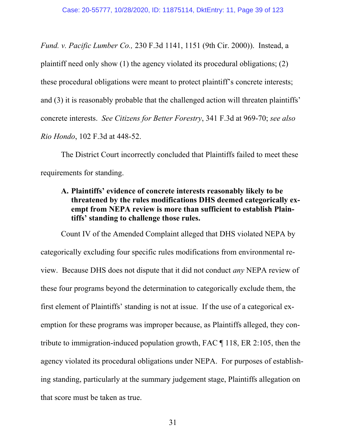*Fund. v. Pacific Lumber Co.,* 230 F.3d 1141, 1151 (9th Cir. 2000)). Instead, a plaintiff need only show (1) the agency violated its procedural obligations; (2) these procedural obligations were meant to protect plaintiff's concrete interests; and (3) it is reasonably probable that the challenged action will threaten plaintiffs' concrete interests. *See Citizens for Better Forestry*, 341 F.3d at 969-70; *see also Rio Hondo*, 102 F.3d at 448-52.

The District Court incorrectly concluded that Plaintiffs failed to meet these requirements for standing.

### **A. Plaintiffs' evidence of concrete interests reasonably likely to be threatened by the rules modifications DHS deemed categorically exempt from NEPA review is more than sufficient to establish Plaintiffs' standing to challenge those rules.**

Count IV of the Amended Complaint alleged that DHS violated NEPA by categorically excluding four specific rules modifications from environmental review. Because DHS does not dispute that it did not conduct *any* NEPA review of these four programs beyond the determination to categorically exclude them, the first element of Plaintiffs' standing is not at issue. If the use of a categorical exemption for these programs was improper because, as Plaintiffs alleged, they contribute to immigration-induced population growth, FAC ¶ 118, ER 2:105, then the agency violated its procedural obligations under NEPA. For purposes of establishing standing, particularly at the summary judgement stage, Plaintiffs allegation on that score must be taken as true.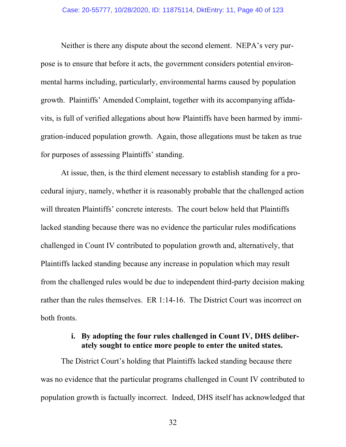### Case: 20-55777, 10/28/2020, ID: 11875114, DktEntry: 11, Page 40 of 123

Neither is there any dispute about the second element. NEPA's very purpose is to ensure that before it acts, the government considers potential environmental harms including, particularly, environmental harms caused by population growth. Plaintiffs' Amended Complaint, together with its accompanying affidavits, is full of verified allegations about how Plaintiffs have been harmed by immigration-induced population growth. Again, those allegations must be taken as true for purposes of assessing Plaintiffs' standing.

At issue, then, is the third element necessary to establish standing for a procedural injury, namely, whether it is reasonably probable that the challenged action will threaten Plaintiffs' concrete interests. The court below held that Plaintiffs lacked standing because there was no evidence the particular rules modifications challenged in Count IV contributed to population growth and, alternatively, that Plaintiffs lacked standing because any increase in population which may result from the challenged rules would be due to independent third-party decision making rather than the rules themselves. ER 1:14-16. The District Court was incorrect on both fronts.

### **i. By adopting the four rules challenged in Count IV, DHS deliberately sought to entice more people to enter the united states.**

The District Court's holding that Plaintiffs lacked standing because there was no evidence that the particular programs challenged in Count IV contributed to population growth is factually incorrect. Indeed, DHS itself has acknowledged that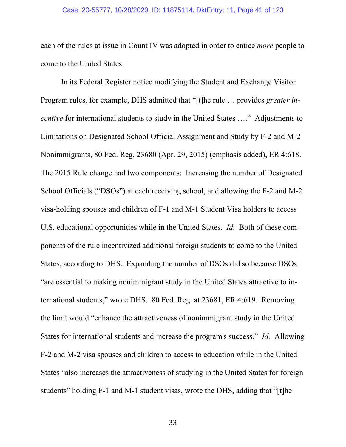### Case: 20-55777, 10/28/2020, ID: 11875114, DktEntry: 11, Page 41 of 123

each of the rules at issue in Count IV was adopted in order to entice *more* people to come to the United States.

In its Federal Register notice modifying the Student and Exchange Visitor Program rules, for example, DHS admitted that "[t]he rule … provides *greater incentive* for international students to study in the United States ...." Adjustments to Limitations on Designated School Official Assignment and Study by F-2 and M-2 Nonimmigrants, 80 Fed. Reg. 23680 (Apr. 29, 2015) (emphasis added), ER 4:618. The 2015 Rule change had two components: Increasing the number of Designated School Officials ("DSOs") at each receiving school, and allowing the F-2 and M-2 visa-holding spouses and children of F-1 and M-1 Student Visa holders to access U.S. educational opportunities while in the United States. *Id.* Both of these components of the rule incentivized additional foreign students to come to the United States, according to DHS. Expanding the number of DSOs did so because DSOs "are essential to making nonimmigrant study in the United States attractive to international students," wrote DHS. 80 Fed. Reg. at 23681, ER 4:619. Removing the limit would "enhance the attractiveness of nonimmigrant study in the United States for international students and increase the program's success." *Id.* Allowing F-2 and M-2 visa spouses and children to access to education while in the United States "also increases the attractiveness of studying in the United States for foreign students" holding F-1 and M-1 student visas, wrote the DHS, adding that "[t]he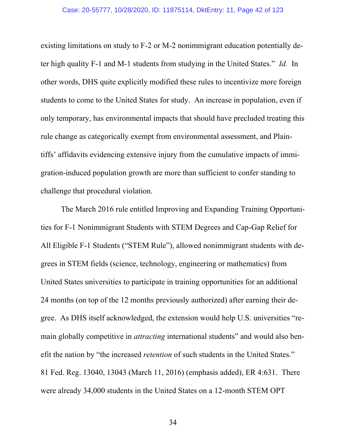existing limitations on study to F-2 or M-2 nonimmigrant education potentially deter high quality F-1 and M-1 students from studying in the United States." *Id.* In other words, DHS quite explicitly modified these rules to incentivize more foreign students to come to the United States for study. An increase in population, even if only temporary, has environmental impacts that should have precluded treating this rule change as categorically exempt from environmental assessment, and Plaintiffs' affidavits evidencing extensive injury from the cumulative impacts of immigration-induced population growth are more than sufficient to confer standing to challenge that procedural violation.

The March 2016 rule entitled Improving and Expanding Training Opportunities for F-1 Nonimmigrant Students with STEM Degrees and Cap-Gap Relief for All Eligible F-1 Students ("STEM Rule"), allowed nonimmigrant students with degrees in STEM fields (science, technology, engineering or mathematics) from United States universities to participate in training opportunities for an additional 24 months (on top of the 12 months previously authorized) after earning their degree. As DHS itself acknowledged, the extension would help U.S. universities "remain globally competitive in *attracting* international students" and would also benefit the nation by "the increased *retention* of such students in the United States." 81 Fed. Reg. 13040, 13043 (March 11, 2016) (emphasis added), ER 4:631. There were already 34,000 students in the United States on a 12-month STEM OPT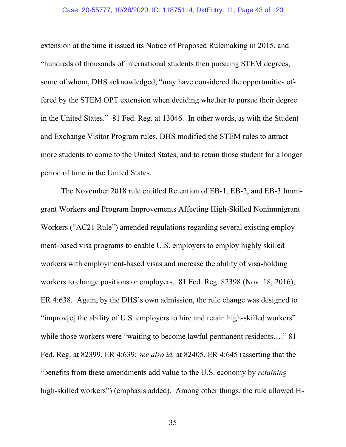### Case: 20-55777, 10/28/2020, ID: 11875114, DktEntry: 11, Page 43 of 123

extension at the time it issued its Notice of Proposed Rulemaking in 2015, and "hundreds of thousands of international students then pursuing STEM degrees, some of whom, DHS acknowledged, "may have considered the opportunities offered by the STEM OPT extension when deciding whether to pursue their degree in the United States." 81 Fed. Reg. at 13046. In other words, as with the Student and Exchange Visitor Program rules, DHS modified the STEM rules to attract more students to come to the United States, and to retain those student for a longer period of time in the United States.

The November 2018 rule entitled Retention of EB-1, EB-2, and EB-3 Immigrant Workers and Program Improvements Affecting High-Skilled Nonimmigrant Workers ("AC21 Rule") amended regulations regarding several existing employment-based visa programs to enable U.S. employers to employ highly skilled workers with employment-based visas and increase the ability of visa-holding workers to change positions or employers. 81 Fed. Reg. 82398 (Nov. 18, 2016), ER 4:638. Again, by the DHS's own admission, the rule change was designed to "improv[e] the ability of U.S. employers to hire and retain high-skilled workers" while those workers were "waiting to become lawful permanent residents...." 81 Fed. Reg. at 82399, ER 4:639; *see also id.* at 82405, ER 4:645 (asserting that the "benefits from these amendments add value to the U.S. economy by *retaining*  high-skilled workers") (emphasis added). Among other things, the rule allowed H-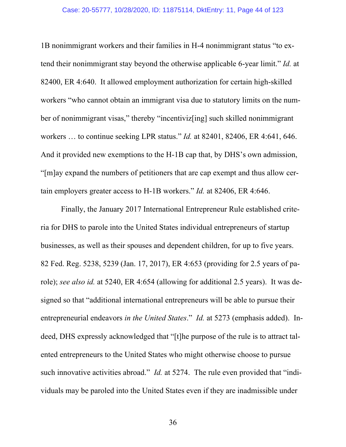1B nonimmigrant workers and their families in H-4 nonimmigrant status "to extend their nonimmigrant stay beyond the otherwise applicable 6-year limit." *Id.* at 82400, ER 4:640. It allowed employment authorization for certain high-skilled workers "who cannot obtain an immigrant visa due to statutory limits on the number of nonimmigrant visas," thereby "incentiviz[ing] such skilled nonimmigrant workers … to continue seeking LPR status." *Id.* at 82401, 82406, ER 4:641, 646. And it provided new exemptions to the H-1B cap that, by DHS's own admission, "[m]ay expand the numbers of petitioners that are cap exempt and thus allow certain employers greater access to H-1B workers." *Id.* at 82406, ER 4:646.

Finally, the January 2017 International Entrepreneur Rule established criteria for DHS to parole into the United States individual entrepreneurs of startup businesses, as well as their spouses and dependent children, for up to five years. 82 Fed. Reg. 5238, 5239 (Jan. 17, 2017), ER 4:653 (providing for 2.5 years of parole); *see also id.* at 5240, ER 4:654 (allowing for additional 2.5 years). It was designed so that "additional international entrepreneurs will be able to pursue their entrepreneurial endeavors *in the United States*." *Id.* at 5273 (emphasis added). Indeed, DHS expressly acknowledged that "[t]he purpose of the rule is to attract talented entrepreneurs to the United States who might otherwise choose to pursue such innovative activities abroad." *Id.* at 5274. The rule even provided that "individuals may be paroled into the United States even if they are inadmissible under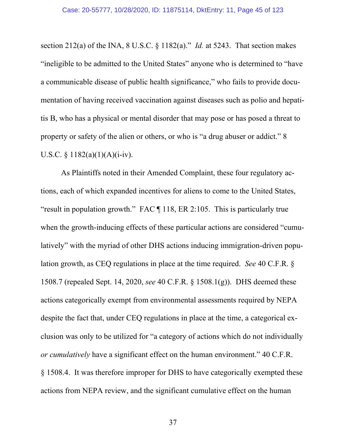section 212(a) of the INA, 8 U.S.C. § 1182(a)." *Id.* at 5243. That section makes "ineligible to be admitted to the United States" anyone who is determined to "have a communicable disease of public health significance," who fails to provide documentation of having received vaccination against diseases such as polio and hepatitis B, who has a physical or mental disorder that may pose or has posed a threat to property or safety of the alien or others, or who is "a drug abuser or addict." 8 U.S.C. §  $1182(a)(1)(A)(i-iv)$ .

As Plaintiffs noted in their Amended Complaint, these four regulatory actions, each of which expanded incentives for aliens to come to the United States, "result in population growth." FAC ¶ 118, ER 2:105. This is particularly true when the growth-inducing effects of these particular actions are considered "cumulatively" with the myriad of other DHS actions inducing immigration-driven population growth, as CEQ regulations in place at the time required. *See* 40 C.F.R. § 1508.7 (repealed Sept. 14, 2020, *see* 40 C.F.R. § 1508.1(g)). DHS deemed these actions categorically exempt from environmental assessments required by NEPA despite the fact that, under CEQ regulations in place at the time, a categorical exclusion was only to be utilized for "a category of actions which do not individually *or cumulatively* have a significant effect on the human environment." 40 C.F.R. § 1508.4. It was therefore improper for DHS to have categorically exempted these actions from NEPA review, and the significant cumulative effect on the human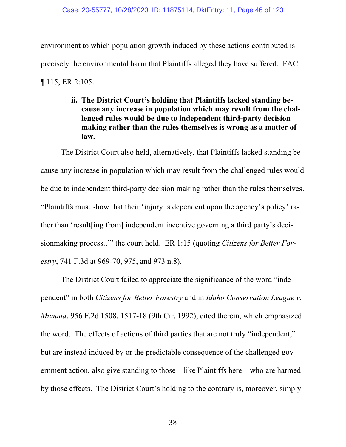### Case: 20-55777, 10/28/2020, ID: 11875114, DktEntry: 11, Page 46 of 123

environment to which population growth induced by these actions contributed is precisely the environmental harm that Plaintiffs alleged they have suffered. FAC ¶ 115, ER 2:105.

> **ii. The District Court's holding that Plaintiffs lacked standing because any increase in population which may result from the challenged rules would be due to independent third-party decision making rather than the rules themselves is wrong as a matter of law.**

The District Court also held, alternatively, that Plaintiffs lacked standing because any increase in population which may result from the challenged rules would be due to independent third-party decision making rather than the rules themselves. "Plaintiffs must show that their 'injury is dependent upon the agency's policy' rather than 'result[ing from] independent incentive governing a third party's decisionmaking process.,'" the court held. ER 1:15 (quoting *Citizens for Better Forestry*, 741 F.3d at 969-70, 975, and 973 n.8).

The District Court failed to appreciate the significance of the word "independent" in both *Citizens for Better Forestry* and in *Idaho Conservation League v. Mumma*, 956 F.2d 1508, 1517-18 (9th Cir. 1992), cited therein, which emphasized the word. The effects of actions of third parties that are not truly "independent," but are instead induced by or the predictable consequence of the challenged government action, also give standing to those—like Plaintiffs here—who are harmed by those effects. The District Court's holding to the contrary is, moreover, simply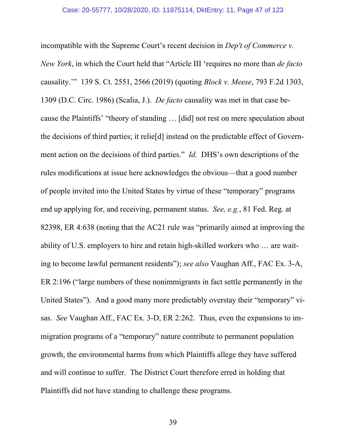incompatible with the Supreme Court's recent decision in *Dep't of Commerce v. New York*, in which the Court held that "Article III 'requires no more than *de facto*  causality.'" 139 S. Ct. 2551, 2566 (2019) (quoting *Block v. Meese*, 793 F.2d 1303, 1309 (D.C. Circ. 1986) (Scalia, J.). *De facto* causality was met in that case because the Plaintiffs' "theory of standing … [did] not rest on mere speculation about the decisions of third parties; it relie[d] instead on the predictable effect of Government action on the decisions of third parties." *Id.* DHS's own descriptions of the rules modifications at issue here acknowledges the obvious—that a good number of people invited into the United States by virtue of these "temporary" programs end up applying for, and receiving, permanent status. *See, e.g.*, 81 Fed. Reg. at 82398, ER 4:638 (noting that the AC21 rule was "primarily aimed at improving the ability of U.S. employers to hire and retain high-skilled workers who … are waiting to become lawful permanent residents"); *see also* Vaughan Aff., FAC Ex. 3-A, ER 2:196 ("large numbers of these nonimmigrants in fact settle permanently in the United States"). And a good many more predictably overstay their "temporary" visas. *See* Vaughan Aff., FAC Ex. 3-D, ER 2:262. Thus, even the expansions to immigration programs of a "temporary" nature contribute to permanent population growth, the environmental harms from which Plaintiffs allege they have suffered and will continue to suffer. The District Court therefore erred in holding that Plaintiffs did not have standing to challenge these programs.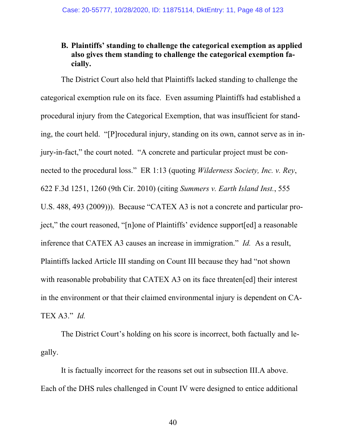### **B. Plaintiffs' standing to challenge the categorical exemption as applied also gives them standing to challenge the categorical exemption facially.**

The District Court also held that Plaintiffs lacked standing to challenge the categorical exemption rule on its face. Even assuming Plaintiffs had established a procedural injury from the Categorical Exemption, that was insufficient for standing, the court held. "[P]rocedural injury, standing on its own, cannot serve as in injury-in-fact," the court noted. "A concrete and particular project must be connected to the procedural loss." ER 1:13 (quoting *Wilderness Society, Inc. v. Rey*, 622 F.3d 1251, 1260 (9th Cir. 2010) (citing *Summers v. Earth Island Inst.*, 555 U.S. 488, 493 (2009))). Because "CATEX A3 is not a concrete and particular project," the court reasoned, "[n]one of Plaintiffs' evidence support[ed] a reasonable inference that CATEX A3 causes an increase in immigration." *Id.* As a result, Plaintiffs lacked Article III standing on Count III because they had "not shown with reasonable probability that CATEX A3 on its face threaten [ed] their interest in the environment or that their claimed environmental injury is dependent on CA-TEX A3." *Id.*

The District Court's holding on his score is incorrect, both factually and legally.

It is factually incorrect for the reasons set out in subsection III.A above. Each of the DHS rules challenged in Count IV were designed to entice additional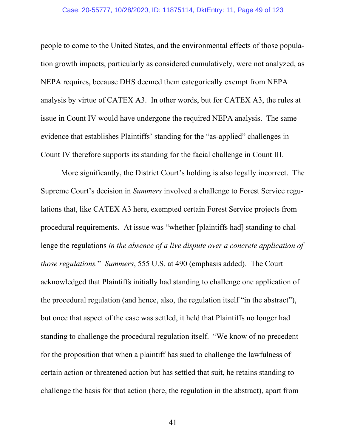### Case: 20-55777, 10/28/2020, ID: 11875114, DktEntry: 11, Page 49 of 123

people to come to the United States, and the environmental effects of those population growth impacts, particularly as considered cumulatively, were not analyzed, as NEPA requires, because DHS deemed them categorically exempt from NEPA analysis by virtue of CATEX A3. In other words, but for CATEX A3, the rules at issue in Count IV would have undergone the required NEPA analysis. The same evidence that establishes Plaintiffs' standing for the "as-applied" challenges in Count IV therefore supports its standing for the facial challenge in Count III.

More significantly, the District Court's holding is also legally incorrect. The Supreme Court's decision in *Summers* involved a challenge to Forest Service regulations that, like CATEX A3 here, exempted certain Forest Service projects from procedural requirements. At issue was "whether [plaintiffs had] standing to challenge the regulations *in the absence of a live dispute over a concrete application of those regulations.*" *Summers*, 555 U.S. at 490 (emphasis added). The Court acknowledged that Plaintiffs initially had standing to challenge one application of the procedural regulation (and hence, also, the regulation itself "in the abstract"), but once that aspect of the case was settled, it held that Plaintiffs no longer had standing to challenge the procedural regulation itself. "We know of no precedent for the proposition that when a plaintiff has sued to challenge the lawfulness of certain action or threatened action but has settled that suit, he retains standing to challenge the basis for that action (here, the regulation in the abstract), apart from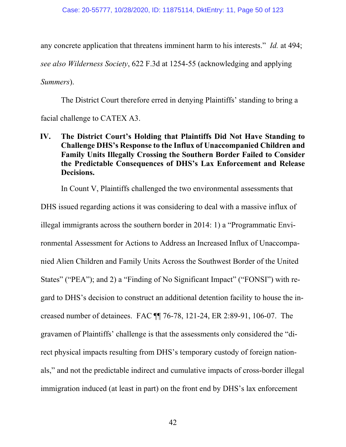any concrete application that threatens imminent harm to his interests." *Id.* at 494; *see also Wilderness Society*, 622 F.3d at 1254-55 (acknowledging and applying *Summers*).

The District Court therefore erred in denying Plaintiffs' standing to bring a facial challenge to CATEX A3.

## **IV. The District Court's Holding that Plaintiffs Did Not Have Standing to Challenge DHS's Response to the Influx of Unaccompanied Children and Family Units Illegally Crossing the Southern Border Failed to Consider the Predictable Consequences of DHS's Lax Enforcement and Release Decisions.**

In Count V, Plaintiffs challenged the two environmental assessments that DHS issued regarding actions it was considering to deal with a massive influx of illegal immigrants across the southern border in 2014: 1) a "Programmatic Environmental Assessment for Actions to Address an Increased Influx of Unaccompanied Alien Children and Family Units Across the Southwest Border of the United States" ("PEA"); and 2) a "Finding of No Significant Impact" ("FONSI") with regard to DHS's decision to construct an additional detention facility to house the increased number of detainees. FAC ¶¶ 76-78, 121-24, ER 2:89-91, 106-07. The gravamen of Plaintiffs' challenge is that the assessments only considered the "direct physical impacts resulting from DHS's temporary custody of foreign nationals," and not the predictable indirect and cumulative impacts of cross-border illegal immigration induced (at least in part) on the front end by DHS's lax enforcement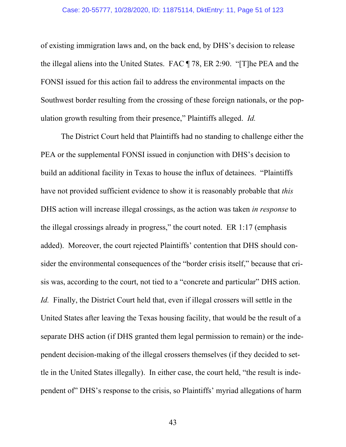of existing immigration laws and, on the back end, by DHS's decision to release the illegal aliens into the United States. FAC ¶ 78, ER 2:90. "[T]he PEA and the FONSI issued for this action fail to address the environmental impacts on the Southwest border resulting from the crossing of these foreign nationals, or the population growth resulting from their presence," Plaintiffs alleged. *Id.*

The District Court held that Plaintiffs had no standing to challenge either the PEA or the supplemental FONSI issued in conjunction with DHS's decision to build an additional facility in Texas to house the influx of detainees. "Plaintiffs have not provided sufficient evidence to show it is reasonably probable that *this* DHS action will increase illegal crossings, as the action was taken *in response* to the illegal crossings already in progress," the court noted. ER 1:17 (emphasis added). Moreover, the court rejected Plaintiffs' contention that DHS should consider the environmental consequences of the "border crisis itself," because that crisis was, according to the court, not tied to a "concrete and particular" DHS action. *Id.* Finally, the District Court held that, even if illegal crossers will settle in the United States after leaving the Texas housing facility, that would be the result of a separate DHS action (if DHS granted them legal permission to remain) or the independent decision-making of the illegal crossers themselves (if they decided to settle in the United States illegally). In either case, the court held, "the result is independent of" DHS's response to the crisis, so Plaintiffs' myriad allegations of harm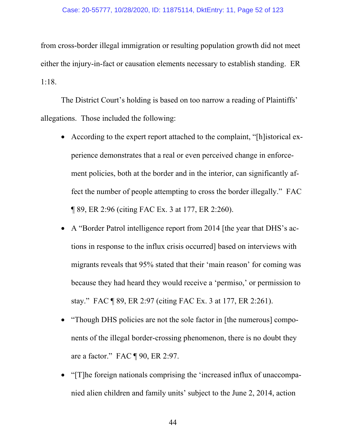### Case: 20-55777, 10/28/2020, ID: 11875114, DktEntry: 11, Page 52 of 123

from cross-border illegal immigration or resulting population growth did not meet either the injury-in-fact or causation elements necessary to establish standing. ER 1:18.

The District Court's holding is based on too narrow a reading of Plaintiffs' allegations. Those included the following:

- According to the expert report attached to the complaint, "[h]istorical experience demonstrates that a real or even perceived change in enforcement policies, both at the border and in the interior, can significantly affect the number of people attempting to cross the border illegally." FAC ¶ 89, ER 2:96 (citing FAC Ex. 3 at 177, ER 2:260).
- A "Border Patrol intelligence report from 2014 [the year that DHS's actions in response to the influx crisis occurred] based on interviews with migrants reveals that 95% stated that their 'main reason' for coming was because they had heard they would receive a 'permiso,' or permission to stay." FAC ¶ 89, ER 2:97 (citing FAC Ex. 3 at 177, ER 2:261).
- "Though DHS policies are not the sole factor in [the numerous] components of the illegal border-crossing phenomenon, there is no doubt they are a factor." FAC ¶ 90, ER 2:97.
- "[T]he foreign nationals comprising the 'increased influx of unaccompanied alien children and family units' subject to the June 2, 2014, action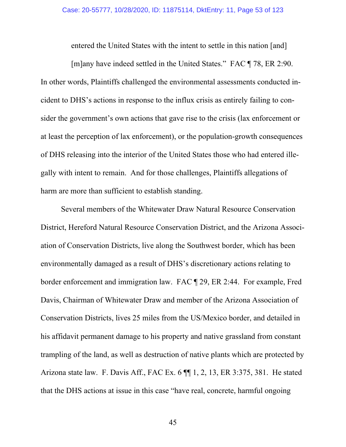entered the United States with the intent to settle in this nation [and]

[m]any have indeed settled in the United States." FAC ¶ 78, ER 2:90. In other words, Plaintiffs challenged the environmental assessments conducted incident to DHS's actions in response to the influx crisis as entirely failing to consider the government's own actions that gave rise to the crisis (lax enforcement or at least the perception of lax enforcement), or the population-growth consequences of DHS releasing into the interior of the United States those who had entered illegally with intent to remain. And for those challenges, Plaintiffs allegations of harm are more than sufficient to establish standing.

Several members of the Whitewater Draw Natural Resource Conservation District, Hereford Natural Resource Conservation District, and the Arizona Association of Conservation Districts, live along the Southwest border, which has been environmentally damaged as a result of DHS's discretionary actions relating to border enforcement and immigration law. FAC ¶ 29, ER 2:44. For example, Fred Davis, Chairman of Whitewater Draw and member of the Arizona Association of Conservation Districts, lives 25 miles from the US/Mexico border, and detailed in his affidavit permanent damage to his property and native grassland from constant trampling of the land, as well as destruction of native plants which are protected by Arizona state law. F. Davis Aff., FAC Ex. 6 ¶¶ 1, 2, 13, ER 3:375, 381. He stated that the DHS actions at issue in this case "have real, concrete, harmful ongoing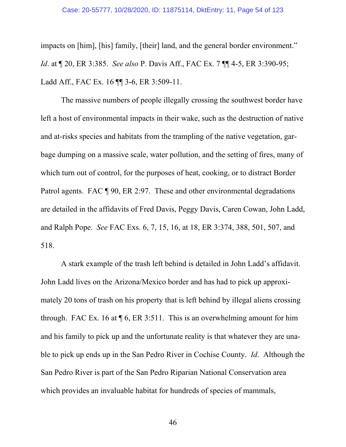impacts on [him], [his] family, [their] land, and the general border environment." *Id*. at ¶ 20, ER 3:385. *See also* P. Davis Aff., FAC Ex. 7 ¶¶ 4-5, ER 3:390-95; Ladd Aff., FAC Ex. 16 11 3-6, ER 3:509-11.

The massive numbers of people illegally crossing the southwest border have left a host of environmental impacts in their wake, such as the destruction of native and at-risks species and habitats from the trampling of the native vegetation, garbage dumping on a massive scale, water pollution, and the setting of fires, many of which turn out of control, for the purposes of heat, cooking, or to distract Border Patrol agents. FAC ¶ 90, ER 2:97. These and other environmental degradations are detailed in the affidavits of Fred Davis, Peggy Davis, Caren Cowan, John Ladd, and Ralph Pope. *See* FAC Exs. 6, 7, 15, 16, at 18, ER 3:374, 388, 501, 507, and 518.

A stark example of the trash left behind is detailed in John Ladd's affidavit. John Ladd lives on the Arizona/Mexico border and has had to pick up approximately 20 tons of trash on his property that is left behind by illegal aliens crossing through. FAC Ex. 16 at  $\P$  6, ER 3:511. This is an overwhelming amount for him and his family to pick up and the unfortunate reality is that whatever they are unable to pick up ends up in the San Pedro River in Cochise County. *Id*. Although the San Pedro River is part of the San Pedro Riparian National Conservation area which provides an invaluable habitat for hundreds of species of mammals,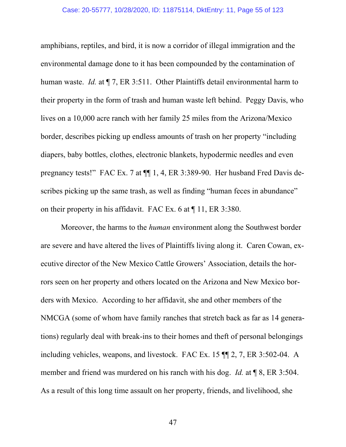amphibians, reptiles, and bird, it is now a corridor of illegal immigration and the environmental damage done to it has been compounded by the contamination of human waste. *Id.* at ¶ 7, ER 3:511. Other Plaintiffs detail environmental harm to their property in the form of trash and human waste left behind. Peggy Davis, who lives on a 10,000 acre ranch with her family 25 miles from the Arizona/Mexico border, describes picking up endless amounts of trash on her property "including diapers, baby bottles, clothes, electronic blankets, hypodermic needles and even pregnancy tests!" FAC Ex. 7 at ¶¶ 1, 4, ER 3:389-90. Her husband Fred Davis describes picking up the same trash, as well as finding "human feces in abundance" on their property in his affidavit. FAC Ex. 6 at ¶ 11, ER 3:380.

Moreover, the harms to the *human* environment along the Southwest border are severe and have altered the lives of Plaintiffs living along it. Caren Cowan, executive director of the New Mexico Cattle Growers' Association, details the horrors seen on her property and others located on the Arizona and New Mexico borders with Mexico. According to her affidavit, she and other members of the NMCGA (some of whom have family ranches that stretch back as far as 14 generations) regularly deal with break-ins to their homes and theft of personal belongings including vehicles, weapons, and livestock. FAC Ex. 15 ¶¶ 2, 7, ER 3:502-04. A member and friend was murdered on his ranch with his dog. *Id.* at ¶ 8, ER 3:504. As a result of this long time assault on her property, friends, and livelihood, she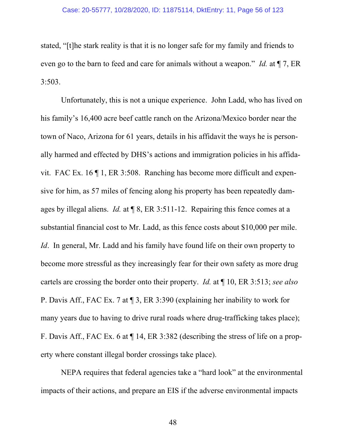### Case: 20-55777, 10/28/2020, ID: 11875114, DktEntry: 11, Page 56 of 123

stated, "[t]he stark reality is that it is no longer safe for my family and friends to even go to the barn to feed and care for animals without a weapon." *Id.* at ¶ 7, ER 3:503.

Unfortunately, this is not a unique experience. John Ladd, who has lived on his family's 16,400 acre beef cattle ranch on the Arizona/Mexico border near the town of Naco, Arizona for 61 years, details in his affidavit the ways he is personally harmed and effected by DHS's actions and immigration policies in his affidavit. FAC Ex. 16 ¶ 1, ER 3:508. Ranching has become more difficult and expensive for him, as 57 miles of fencing along his property has been repeatedly damages by illegal aliens. *Id.* at ¶ 8, ER 3:511-12. Repairing this fence comes at a substantial financial cost to Mr. Ladd, as this fence costs about \$10,000 per mile. *Id.* In general, Mr. Ladd and his family have found life on their own property to become more stressful as they increasingly fear for their own safety as more drug cartels are crossing the border onto their property. *Id.* at ¶ 10, ER 3:513; *see also* P. Davis Aff., FAC Ex. 7 at ¶ 3, ER 3:390 (explaining her inability to work for many years due to having to drive rural roads where drug-trafficking takes place); F. Davis Aff., FAC Ex. 6 at ¶ 14, ER 3:382 (describing the stress of life on a property where constant illegal border crossings take place).

NEPA requires that federal agencies take a "hard look" at the environmental impacts of their actions, and prepare an EIS if the adverse environmental impacts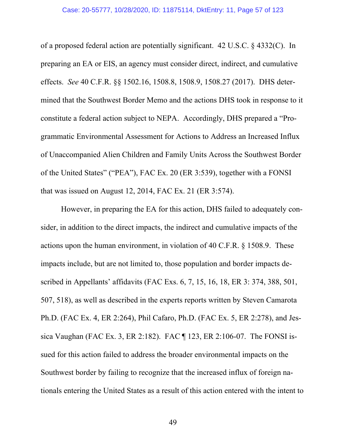### Case: 20-55777, 10/28/2020, ID: 11875114, DktEntry: 11, Page 57 of 123

of a proposed federal action are potentially significant. 42 U.S.C. § 4332(C). In preparing an EA or EIS, an agency must consider direct, indirect, and cumulative effects. *See* 40 C.F.R. §§ 1502.16, 1508.8, 1508.9, 1508.27 (2017). DHS determined that the Southwest Border Memo and the actions DHS took in response to it constitute a federal action subject to NEPA. Accordingly, DHS prepared a "Programmatic Environmental Assessment for Actions to Address an Increased Influx of Unaccompanied Alien Children and Family Units Across the Southwest Border of the United States" ("PEA"), FAC Ex. 20 (ER 3:539), together with a FONSI that was issued on August 12, 2014, FAC Ex. 21 (ER 3:574).

However, in preparing the EA for this action, DHS failed to adequately consider, in addition to the direct impacts, the indirect and cumulative impacts of the actions upon the human environment, in violation of 40 C.F.R. § 1508.9. These impacts include, but are not limited to, those population and border impacts described in Appellants' affidavits (FAC Exs. 6, 7, 15, 16, 18, ER 3: 374, 388, 501, 507, 518), as well as described in the experts reports written by Steven Camarota Ph.D. (FAC Ex. 4, ER 2:264), Phil Cafaro, Ph.D. (FAC Ex. 5, ER 2:278), and Jessica Vaughan (FAC Ex. 3, ER 2:182). FAC ¶ 123, ER 2:106-07. The FONSI issued for this action failed to address the broader environmental impacts on the Southwest border by failing to recognize that the increased influx of foreign nationals entering the United States as a result of this action entered with the intent to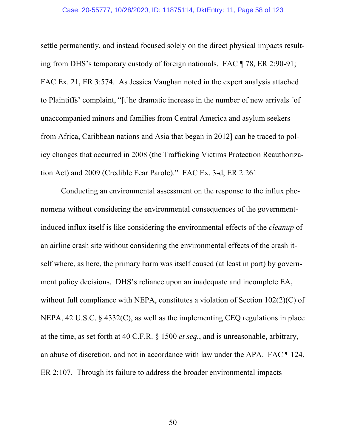### Case: 20-55777, 10/28/2020, ID: 11875114, DktEntry: 11, Page 58 of 123

settle permanently, and instead focused solely on the direct physical impacts resulting from DHS's temporary custody of foreign nationals. FAC ¶ 78, ER 2:90-91; FAC Ex. 21, ER 3:574. As Jessica Vaughan noted in the expert analysis attached to Plaintiffs' complaint, "[t]he dramatic increase in the number of new arrivals [of unaccompanied minors and families from Central America and asylum seekers from Africa, Caribbean nations and Asia that began in 2012] can be traced to policy changes that occurred in 2008 (the Trafficking Victims Protection Reauthorization Act) and 2009 (Credible Fear Parole)." FAC Ex. 3-d, ER 2:261.

Conducting an environmental assessment on the response to the influx phenomena without considering the environmental consequences of the governmentinduced influx itself is like considering the environmental effects of the *cleanup* of an airline crash site without considering the environmental effects of the crash itself where, as here, the primary harm was itself caused (at least in part) by government policy decisions. DHS's reliance upon an inadequate and incomplete EA, without full compliance with NEPA, constitutes a violation of Section 102(2)(C) of NEPA, 42 U.S.C. § 4332(C), as well as the implementing CEQ regulations in place at the time, as set forth at 40 C.F.R. § 1500 *et seq.*, and is unreasonable, arbitrary, an abuse of discretion, and not in accordance with law under the APA. FAC ¶ 124, ER 2:107. Through its failure to address the broader environmental impacts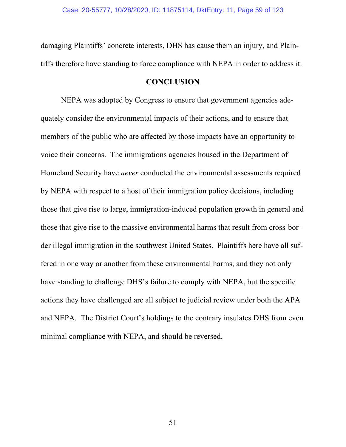damaging Plaintiffs' concrete interests, DHS has cause them an injury, and Plaintiffs therefore have standing to force compliance with NEPA in order to address it.

### **CONCLUSION**

NEPA was adopted by Congress to ensure that government agencies adequately consider the environmental impacts of their actions, and to ensure that members of the public who are affected by those impacts have an opportunity to voice their concerns. The immigrations agencies housed in the Department of Homeland Security have *never* conducted the environmental assessments required by NEPA with respect to a host of their immigration policy decisions, including those that give rise to large, immigration-induced population growth in general and those that give rise to the massive environmental harms that result from cross-border illegal immigration in the southwest United States. Plaintiffs here have all suffered in one way or another from these environmental harms, and they not only have standing to challenge DHS's failure to comply with NEPA, but the specific actions they have challenged are all subject to judicial review under both the APA and NEPA. The District Court's holdings to the contrary insulates DHS from even minimal compliance with NEPA, and should be reversed.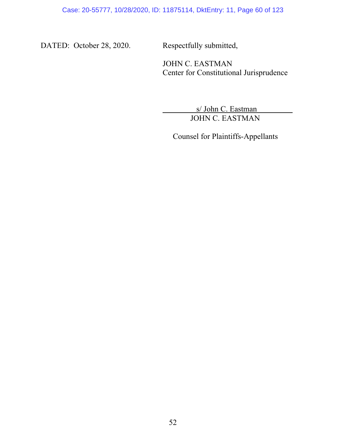DATED: October 28, 2020. Respectfully submitted,

JOHN C. EASTMAN Center for Constitutional Jurisprudence

> s/ John C. Eastman JOHN C. EASTMAN

Counsel for Plaintiffs-Appellants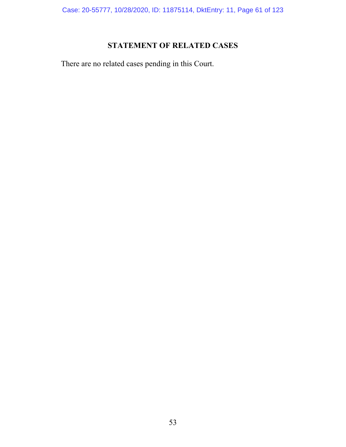Case: 20-55777, 10/28/2020, ID: 11875114, DktEntry: 11, Page 61 of 123

# **STATEMENT OF RELATED CASES**

There are no related cases pending in this Court.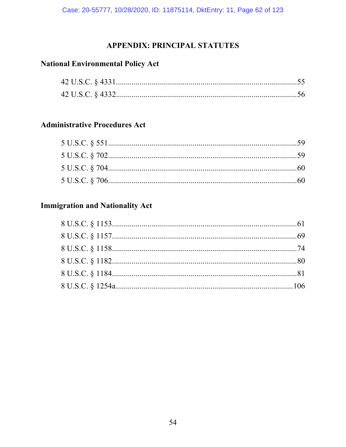# **APPENDIX: PRINCIPAL STATUTES**

# **National Environmental Policy Act**

# **Administrative Procedures Act**

# **Immigration and Nationality Act**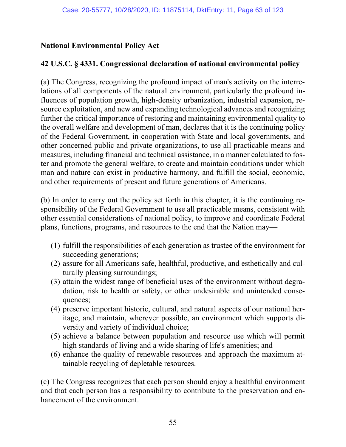# **National Environmental Policy Act**

# **42 U.S.C. § 4331. Congressional declaration of national environmental policy**

(a) The Congress, recognizing the profound impact of man's activity on the interrelations of all components of the natural environment, particularly the profound influences of population growth, high-density urbanization, industrial expansion, resource exploitation, and new and expanding technological advances and recognizing further the critical importance of restoring and maintaining environmental quality to the overall welfare and development of man, declares that it is the continuing policy of the Federal Government, in cooperation with State and local governments, and other concerned public and private organizations, to use all practicable means and measures, including financial and technical assistance, in a manner calculated to foster and promote the general welfare, to create and maintain conditions under which man and nature can exist in productive harmony, and fulfill the social, economic, and other requirements of present and future generations of Americans.

(b) In order to carry out the policy set forth in this chapter, it is the continuing responsibility of the Federal Government to use all practicable means, consistent with other essential considerations of national policy, to improve and coordinate Federal plans, functions, programs, and resources to the end that the Nation may—

- (1) fulfill the responsibilities of each generation as trustee of the environment for succeeding generations;
- (2) assure for all Americans safe, healthful, productive, and esthetically and culturally pleasing surroundings;
- (3) attain the widest range of beneficial uses of the environment without degradation, risk to health or safety, or other undesirable and unintended consequences;
- (4) preserve important historic, cultural, and natural aspects of our national heritage, and maintain, wherever possible, an environment which supports diversity and variety of individual choice;
- (5) achieve a balance between population and resource use which will permit high standards of living and a wide sharing of life's amenities; and
- (6) enhance the quality of renewable resources and approach the maximum attainable recycling of depletable resources.

(c) The Congress recognizes that each person should enjoy a healthful environment and that each person has a responsibility to contribute to the preservation and enhancement of the environment.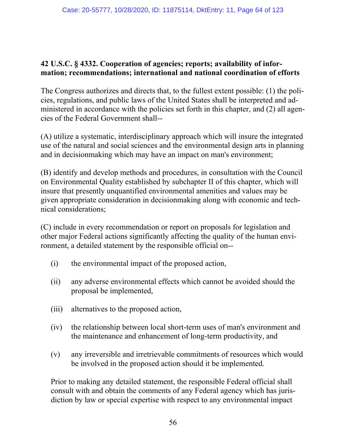# **42 U.S.C. § 4332. Cooperation of agencies; reports; availability of information; recommendations; international and national coordination of efforts**

The Congress authorizes and directs that, to the fullest extent possible: (1) the policies, regulations, and public laws of the United States shall be interpreted and administered in accordance with the policies set forth in this chapter, and (2) all agencies of the Federal Government shall--

(A) utilize a systematic, interdisciplinary approach which will insure the integrated use of the natural and social sciences and the environmental design arts in planning and in decisionmaking which may have an impact on man's environment;

(B) identify and develop methods and procedures, in consultation with the Council on Environmental Quality established by subchapter II of this chapter, which will insure that presently unquantified environmental amenities and values may be given appropriate consideration in decisionmaking along with economic and technical considerations;

(C) include in every recommendation or report on proposals for legislation and other major Federal actions significantly affecting the quality of the human environment, a detailed statement by the responsible official on--

- (i) the environmental impact of the proposed action,
- (ii) any adverse environmental effects which cannot be avoided should the proposal be implemented,
- (iii) alternatives to the proposed action,
- (iv) the relationship between local short-term uses of man's environment and the maintenance and enhancement of long-term productivity, and
- (v) any irreversible and irretrievable commitments of resources which would be involved in the proposed action should it be implemented.

Prior to making any detailed statement, the responsible Federal official shall consult with and obtain the comments of any Federal agency which has jurisdiction by law or special expertise with respect to any environmental impact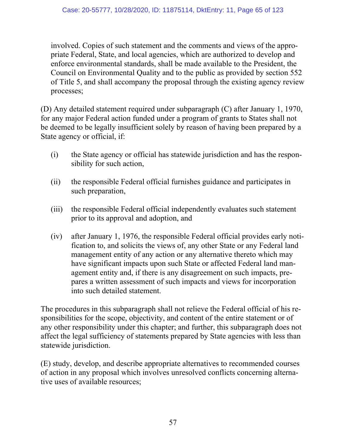involved. Copies of such statement and the comments and views of the appropriate Federal, State, and local agencies, which are authorized to develop and enforce environmental standards, shall be made available to the President, the Council on Environmental Quality and to the public as provided by section 552 of Title 5, and shall accompany the proposal through the existing agency review processes;

(D) Any detailed statement required under subparagraph (C) after January 1, 1970, for any major Federal action funded under a program of grants to States shall not be deemed to be legally insufficient solely by reason of having been prepared by a State agency or official, if:

- (i) the State agency or official has statewide jurisdiction and has the responsibility for such action,
- (ii) the responsible Federal official furnishes guidance and participates in such preparation,
- (iii) the responsible Federal official independently evaluates such statement prior to its approval and adoption, and
- (iv) after January 1, 1976, the responsible Federal official provides early notification to, and solicits the views of, any other State or any Federal land management entity of any action or any alternative thereto which may have significant impacts upon such State or affected Federal land management entity and, if there is any disagreement on such impacts, prepares a written assessment of such impacts and views for incorporation into such detailed statement.

The procedures in this subparagraph shall not relieve the Federal official of his responsibilities for the scope, objectivity, and content of the entire statement or of any other responsibility under this chapter; and further, this subparagraph does not affect the legal sufficiency of statements prepared by State agencies with less than statewide jurisdiction.

(E) study, develop, and describe appropriate alternatives to recommended courses of action in any proposal which involves unresolved conflicts concerning alternative uses of available resources;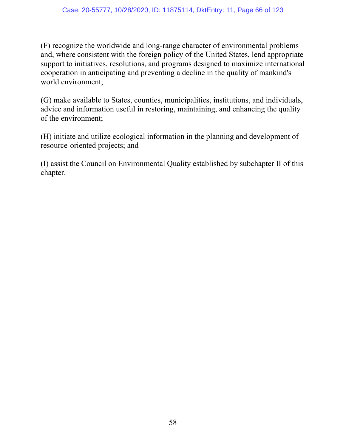(F) recognize the worldwide and long-range character of environmental problems and, where consistent with the foreign policy of the United States, lend appropriate support to initiatives, resolutions, and programs designed to maximize international cooperation in anticipating and preventing a decline in the quality of mankind's world environment;

(G) make available to States, counties, municipalities, institutions, and individuals, advice and information useful in restoring, maintaining, and enhancing the quality of the environment;

(H) initiate and utilize ecological information in the planning and development of resource-oriented projects; and

(I) assist the Council on Environmental Quality established by subchapter II of this chapter.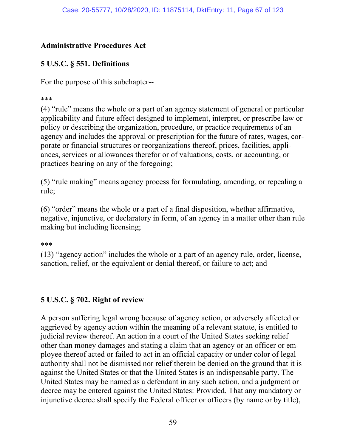# **Administrative Procedures Act**

# **5 U.S.C. § 551. Definitions**

For the purpose of this subchapter--

\*\*\*

(4) "rule" means the whole or a part of an agency statement of general or particular applicability and future effect designed to implement, interpret, or prescribe law or policy or describing the organization, procedure, or practice requirements of an agency and includes the approval or prescription for the future of rates, wages, corporate or financial structures or reorganizations thereof, prices, facilities, appliances, services or allowances therefor or of valuations, costs, or accounting, or practices bearing on any of the foregoing;

(5) "rule making" means agency process for formulating, amending, or repealing a rule;

(6) "order" means the whole or a part of a final disposition, whether affirmative, negative, injunctive, or declaratory in form, of an agency in a matter other than rule making but including licensing;

\*\*\*

(13) "agency action" includes the whole or a part of an agency rule, order, license, sanction, relief, or the equivalent or denial thereof, or failure to act; and

# **5 U.S.C. § 702. Right of review**

A person suffering legal wrong because of agency action, or adversely affected or aggrieved by agency action within the meaning of a relevant statute, is entitled to judicial review thereof. An action in a court of the United States seeking relief other than money damages and stating a claim that an agency or an officer or employee thereof acted or failed to act in an official capacity or under color of legal authority shall not be dismissed nor relief therein be denied on the ground that it is against the United States or that the United States is an indispensable party. The United States may be named as a defendant in any such action, and a judgment or decree may be entered against the United States: Provided, That any mandatory or injunctive decree shall specify the Federal officer or officers (by name or by title),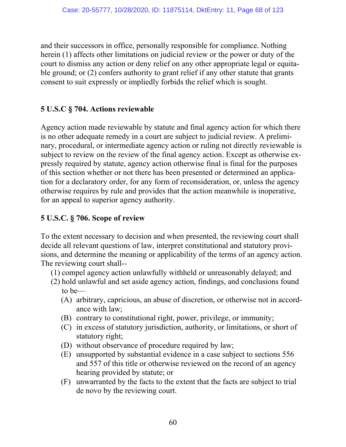and their successors in office, personally responsible for compliance. Nothing herein (1) affects other limitations on judicial review or the power or duty of the court to dismiss any action or deny relief on any other appropriate legal or equitable ground; or (2) confers authority to grant relief if any other statute that grants consent to suit expressly or impliedly forbids the relief which is sought.

## **5 U.S.C § 704. Actions reviewable**

Agency action made reviewable by statute and final agency action for which there is no other adequate remedy in a court are subject to judicial review. A preliminary, procedural, or intermediate agency action or ruling not directly reviewable is subject to review on the review of the final agency action. Except as otherwise expressly required by statute, agency action otherwise final is final for the purposes of this section whether or not there has been presented or determined an application for a declaratory order, for any form of reconsideration, or, unless the agency otherwise requires by rule and provides that the action meanwhile is inoperative, for an appeal to superior agency authority.

# **5 U.S.C. § 706. Scope of review**

To the extent necessary to decision and when presented, the reviewing court shall decide all relevant questions of law, interpret constitutional and statutory provisions, and determine the meaning or applicability of the terms of an agency action. The reviewing court shall--

- (1) compel agency action unlawfully withheld or unreasonably delayed; and
- (2) hold unlawful and set aside agency action, findings, and conclusions found to be—
	- (A) arbitrary, capricious, an abuse of discretion, or otherwise not in accordance with law;
	- (B) contrary to constitutional right, power, privilege, or immunity;
	- (C) in excess of statutory jurisdiction, authority, or limitations, or short of statutory right;
	- (D) without observance of procedure required by law;
	- (E) unsupported by substantial evidence in a case subject to sections 556 and 557 of this title or otherwise reviewed on the record of an agency hearing provided by statute; or
	- (F) unwarranted by the facts to the extent that the facts are subject to trial de novo by the reviewing court.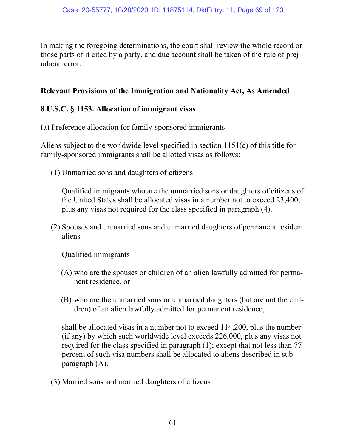In making the foregoing determinations, the court shall review the whole record or those parts of it cited by a party, and due account shall be taken of the rule of prejudicial error.

## **Relevant Provisions of the Immigration and Nationality Act, As Amended**

## **8 U.S.C. § 1153. Allocation of immigrant visas**

(a) Preference allocation for family-sponsored immigrants

Aliens subject to the worldwide level specified in section 1151(c) of this title for family-sponsored immigrants shall be allotted visas as follows:

(1) Unmarried sons and daughters of citizens

Qualified immigrants who are the unmarried sons or daughters of citizens of the United States shall be allocated visas in a number not to exceed 23,400, plus any visas not required for the class specified in paragraph (4).

(2) Spouses and unmarried sons and unmarried daughters of permanent resident aliens

Qualified immigrants—

- (A) who are the spouses or children of an alien lawfully admitted for permanent residence, or
- (B) who are the unmarried sons or unmarried daughters (but are not the children) of an alien lawfully admitted for permanent residence,

shall be allocated visas in a number not to exceed 114,200, plus the number (if any) by which such worldwide level exceeds 226,000, plus any visas not required for the class specified in paragraph (1); except that not less than 77 percent of such visa numbers shall be allocated to aliens described in subparagraph (A).

(3) Married sons and married daughters of citizens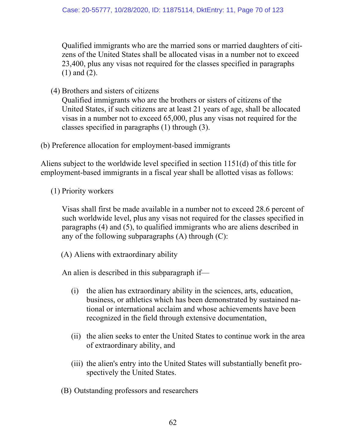Qualified immigrants who are the married sons or married daughters of citizens of the United States shall be allocated visas in a number not to exceed 23,400, plus any visas not required for the classes specified in paragraphs (1) and (2).

(4) Brothers and sisters of citizens

Qualified immigrants who are the brothers or sisters of citizens of the United States, if such citizens are at least 21 years of age, shall be allocated visas in a number not to exceed 65,000, plus any visas not required for the classes specified in paragraphs (1) through (3).

(b) Preference allocation for employment-based immigrants

Aliens subject to the worldwide level specified in section 1151(d) of this title for employment-based immigrants in a fiscal year shall be allotted visas as follows:

(1) Priority workers

Visas shall first be made available in a number not to exceed 28.6 percent of such worldwide level, plus any visas not required for the classes specified in paragraphs (4) and (5), to qualified immigrants who are aliens described in any of the following subparagraphs  $(A)$  through  $(C)$ :

(A) Aliens with extraordinary ability

An alien is described in this subparagraph if—

- (i) the alien has extraordinary ability in the sciences, arts, education, business, or athletics which has been demonstrated by sustained national or international acclaim and whose achievements have been recognized in the field through extensive documentation,
- (ii) the alien seeks to enter the United States to continue work in the area of extraordinary ability, and
- (iii) the alien's entry into the United States will substantially benefit prospectively the United States.

(B) Outstanding professors and researchers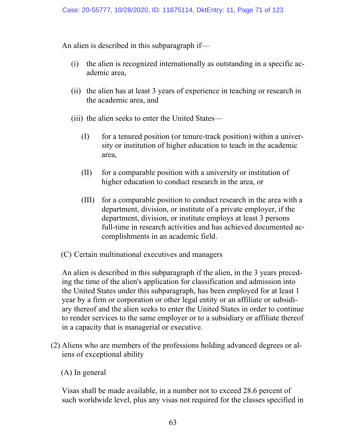An alien is described in this subparagraph if—

- (i) the alien is recognized internationally as outstanding in a specific academic area,
- (ii) the alien has at least 3 years of experience in teaching or research in the academic area, and
- (iii) the alien seeks to enter the United States—
	- (I) for a tenured position (or tenure-track position) within a university or institution of higher education to teach in the academic area,
	- (II) for a comparable position with a university or institution of higher education to conduct research in the area, or
	- (III) for a comparable position to conduct research in the area with a department, division, or institute of a private employer, if the department, division, or institute employs at least 3 persons full-time in research activities and has achieved documented accomplishments in an academic field.
- (C) Certain multinational executives and managers

An alien is described in this subparagraph if the alien, in the 3 years preceding the time of the alien's application for classification and admission into the United States under this subparagraph, has been employed for at least 1 year by a firm or corporation or other legal entity or an affiliate or subsidiary thereof and the alien seeks to enter the United States in order to continue to render services to the same employer or to a subsidiary or affiliate thereof in a capacity that is managerial or executive.

- (2) Aliens who are members of the professions holding advanced degrees or aliens of exceptional ability
	- (A) In general

Visas shall be made available, in a number not to exceed 28.6 percent of such worldwide level, plus any visas not required for the classes specified in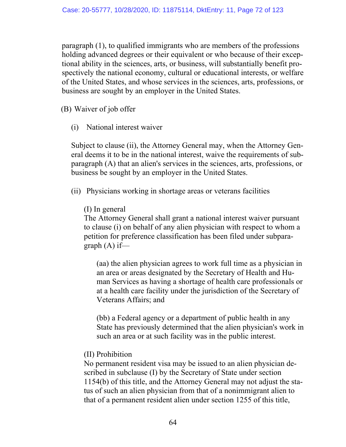paragraph (1), to qualified immigrants who are members of the professions holding advanced degrees or their equivalent or who because of their exceptional ability in the sciences, arts, or business, will substantially benefit prospectively the national economy, cultural or educational interests, or welfare of the United States, and whose services in the sciences, arts, professions, or business are sought by an employer in the United States.

(B) Waiver of job offer

(i) National interest waiver

Subject to clause (ii), the Attorney General may, when the Attorney General deems it to be in the national interest, waive the requirements of subparagraph (A) that an alien's services in the sciences, arts, professions, or business be sought by an employer in the United States.

(ii) Physicians working in shortage areas or veterans facilities

# (I) In general

The Attorney General shall grant a national interest waiver pursuant to clause (i) on behalf of any alien physician with respect to whom a petition for preference classification has been filed under subparagraph  $(A)$  if—

(aa) the alien physician agrees to work full time as a physician in an area or areas designated by the Secretary of Health and Human Services as having a shortage of health care professionals or at a health care facility under the jurisdiction of the Secretary of Veterans Affairs; and

(bb) a Federal agency or a department of public health in any State has previously determined that the alien physician's work in such an area or at such facility was in the public interest.

## (II) Prohibition

No permanent resident visa may be issued to an alien physician described in subclause (I) by the Secretary of State under section 1154(b) of this title, and the Attorney General may not adjust the status of such an alien physician from that of a nonimmigrant alien to that of a permanent resident alien under section 1255 of this title,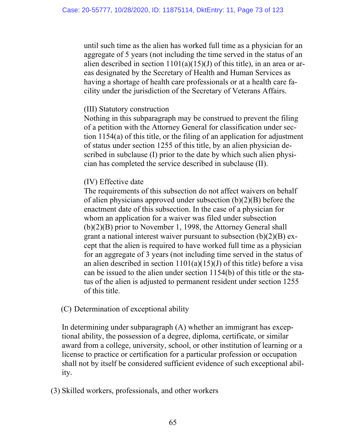until such time as the alien has worked full time as a physician for an aggregate of 5 years (not including the time served in the status of an alien described in section  $1101(a)(15)(J)$  of this title), in an area or areas designated by the Secretary of Health and Human Services as having a shortage of health care professionals or at a health care facility under the jurisdiction of the Secretary of Veterans Affairs.

#### (III) Statutory construction

Nothing in this subparagraph may be construed to prevent the filing of a petition with the Attorney General for classification under section 1154(a) of this title, or the filing of an application for adjustment of status under section 1255 of this title, by an alien physician described in subclause (I) prior to the date by which such alien physician has completed the service described in subclause (II).

#### (IV) Effective date

The requirements of this subsection do not affect waivers on behalf of alien physicians approved under subsection (b)(2)(B) before the enactment date of this subsection. In the case of a physician for whom an application for a waiver was filed under subsection (b)(2)(B) prior to November 1, 1998, the Attorney General shall grant a national interest waiver pursuant to subsection (b)(2)(B) except that the alien is required to have worked full time as a physician for an aggregate of 3 years (not including time served in the status of an alien described in section  $1101(a)(15)(J)$  of this title) before a visa can be issued to the alien under section 1154(b) of this title or the status of the alien is adjusted to permanent resident under section 1255 of this title.

#### (C) Determination of exceptional ability

In determining under subparagraph (A) whether an immigrant has exceptional ability, the possession of a degree, diploma, certificate, or similar award from a college, university, school, or other institution of learning or a license to practice or certification for a particular profession or occupation shall not by itself be considered sufficient evidence of such exceptional ability.

(3) Skilled workers, professionals, and other workers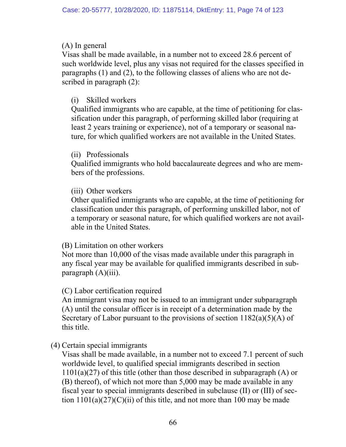#### (A) In general

Visas shall be made available, in a number not to exceed 28.6 percent of such worldwide level, plus any visas not required for the classes specified in paragraphs (1) and (2), to the following classes of aliens who are not described in paragraph (2):

## (i) Skilled workers

Qualified immigrants who are capable, at the time of petitioning for classification under this paragraph, of performing skilled labor (requiring at least 2 years training or experience), not of a temporary or seasonal nature, for which qualified workers are not available in the United States.

#### (ii) Professionals

Qualified immigrants who hold baccalaureate degrees and who are members of the professions.

#### (iii) Other workers

Other qualified immigrants who are capable, at the time of petitioning for classification under this paragraph, of performing unskilled labor, not of a temporary or seasonal nature, for which qualified workers are not available in the United States.

#### (B) Limitation on other workers

Not more than 10,000 of the visas made available under this paragraph in any fiscal year may be available for qualified immigrants described in subparagraph  $(A)(iii)$ .

#### (C) Labor certification required

An immigrant visa may not be issued to an immigrant under subparagraph (A) until the consular officer is in receipt of a determination made by the Secretary of Labor pursuant to the provisions of section  $1182(a)(5)(A)$  of this title.

#### (4) Certain special immigrants

Visas shall be made available, in a number not to exceed 7.1 percent of such worldwide level, to qualified special immigrants described in section  $1101(a)(27)$  of this title (other than those described in subparagraph (A) or (B) thereof), of which not more than 5,000 may be made available in any fiscal year to special immigrants described in subclause (II) or (III) of section  $1101(a)(27)(C)(ii)$  of this title, and not more than 100 may be made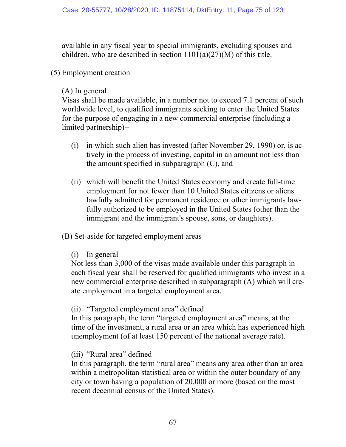available in any fiscal year to special immigrants, excluding spouses and children, who are described in section  $1101(a)(27)(M)$  of this title.

(5) Employment creation

#### (A) In general

Visas shall be made available, in a number not to exceed 7.1 percent of such worldwide level, to qualified immigrants seeking to enter the United States for the purpose of engaging in a new commercial enterprise (including a limited partnership)--

- (i) in which such alien has invested (after November 29, 1990) or, is actively in the process of investing, capital in an amount not less than the amount specified in subparagraph (C), and
- (ii) which will benefit the United States economy and create full-time employment for not fewer than 10 United States citizens or aliens lawfully admitted for permanent residence or other immigrants lawfully authorized to be employed in the United States (other than the immigrant and the immigrant's spouse, sons, or daughters).

#### (B) Set-aside for targeted employment areas

#### (i) In general

Not less than 3,000 of the visas made available under this paragraph in each fiscal year shall be reserved for qualified immigrants who invest in a new commercial enterprise described in subparagraph (A) which will create employment in a targeted employment area.

#### (ii) "Targeted employment area" defined

In this paragraph, the term "targeted employment area" means, at the time of the investment, a rural area or an area which has experienced high unemployment (of at least 150 percent of the national average rate).

#### (iii) "Rural area" defined

In this paragraph, the term "rural area" means any area other than an area within a metropolitan statistical area or within the outer boundary of any city or town having a population of 20,000 or more (based on the most recent decennial census of the United States).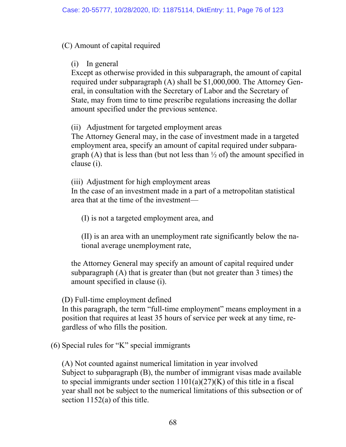## (C) Amount of capital required

#### (i) In general

Except as otherwise provided in this subparagraph, the amount of capital required under subparagraph (A) shall be \$1,000,000. The Attorney General, in consultation with the Secretary of Labor and the Secretary of State, may from time to time prescribe regulations increasing the dollar amount specified under the previous sentence.

(ii) Adjustment for targeted employment areas

The Attorney General may, in the case of investment made in a targeted employment area, specify an amount of capital required under subparagraph (A) that is less than (but not less than  $\frac{1}{2}$  of) the amount specified in clause (i).

(iii) Adjustment for high employment areas In the case of an investment made in a part of a metropolitan statistical area that at the time of the investment—

(I) is not a targeted employment area, and

(II) is an area with an unemployment rate significantly below the national average unemployment rate,

the Attorney General may specify an amount of capital required under subparagraph (A) that is greater than (but not greater than 3 times) the amount specified in clause (i).

(D) Full-time employment defined

In this paragraph, the term "full-time employment" means employment in a position that requires at least 35 hours of service per week at any time, regardless of who fills the position.

(6) Special rules for "K" special immigrants

(A) Not counted against numerical limitation in year involved Subject to subparagraph (B), the number of immigrant visas made available to special immigrants under section  $1101(a)(27)(K)$  of this title in a fiscal year shall not be subject to the numerical limitations of this subsection or of section 1152(a) of this title.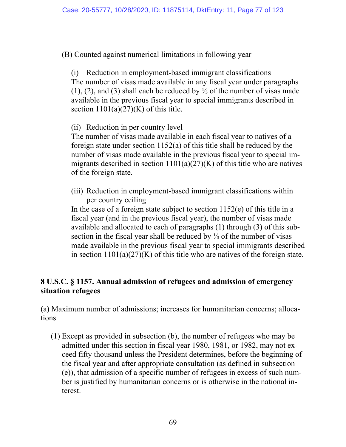(B) Counted against numerical limitations in following year

(i) Reduction in employment-based immigrant classifications The number of visas made available in any fiscal year under paragraphs (1), (2), and (3) shall each be reduced by ⅓ of the number of visas made available in the previous fiscal year to special immigrants described in section  $1101(a)(27)(K)$  of this title.

(ii) Reduction in per country level

The number of visas made available in each fiscal year to natives of a foreign state under section 1152(a) of this title shall be reduced by the number of visas made available in the previous fiscal year to special immigrants described in section  $1101(a)(27)(K)$  of this title who are natives of the foreign state.

(iii) Reduction in employment-based immigrant classifications within per country ceiling

In the case of a foreign state subject to section 1152(e) of this title in a fiscal year (and in the previous fiscal year), the number of visas made available and allocated to each of paragraphs (1) through (3) of this subsection in the fiscal year shall be reduced by ⅓ of the number of visas made available in the previous fiscal year to special immigrants described in section  $1101(a)(27)(K)$  of this title who are natives of the foreign state.

## **8 U.S.C. § 1157. Annual admission of refugees and admission of emergency situation refugees**

(a) Maximum number of admissions; increases for humanitarian concerns; allocations

(1) Except as provided in subsection (b), the number of refugees who may be admitted under this section in fiscal year 1980, 1981, or 1982, may not exceed fifty thousand unless the President determines, before the beginning of the fiscal year and after appropriate consultation (as defined in subsection (e)), that admission of a specific number of refugees in excess of such number is justified by humanitarian concerns or is otherwise in the national interest.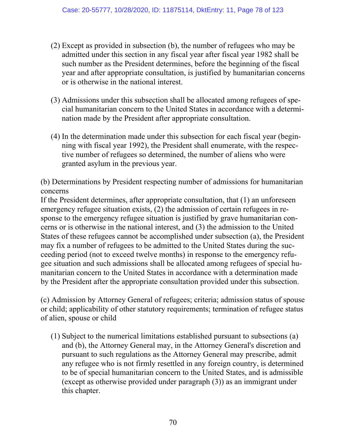- (2) Except as provided in subsection (b), the number of refugees who may be admitted under this section in any fiscal year after fiscal year 1982 shall be such number as the President determines, before the beginning of the fiscal year and after appropriate consultation, is justified by humanitarian concerns or is otherwise in the national interest.
- (3) Admissions under this subsection shall be allocated among refugees of special humanitarian concern to the United States in accordance with a determination made by the President after appropriate consultation.
- (4) In the determination made under this subsection for each fiscal year (beginning with fiscal year 1992), the President shall enumerate, with the respective number of refugees so determined, the number of aliens who were granted asylum in the previous year.

(b) Determinations by President respecting number of admissions for humanitarian concerns

If the President determines, after appropriate consultation, that (1) an unforeseen emergency refugee situation exists, (2) the admission of certain refugees in response to the emergency refugee situation is justified by grave humanitarian concerns or is otherwise in the national interest, and (3) the admission to the United States of these refugees cannot be accomplished under subsection (a), the President may fix a number of refugees to be admitted to the United States during the succeeding period (not to exceed twelve months) in response to the emergency refugee situation and such admissions shall be allocated among refugees of special humanitarian concern to the United States in accordance with a determination made by the President after the appropriate consultation provided under this subsection.

(c) Admission by Attorney General of refugees; criteria; admission status of spouse or child; applicability of other statutory requirements; termination of refugee status of alien, spouse or child

(1) Subject to the numerical limitations established pursuant to subsections (a) and (b), the Attorney General may, in the Attorney General's discretion and pursuant to such regulations as the Attorney General may prescribe, admit any refugee who is not firmly resettled in any foreign country, is determined to be of special humanitarian concern to the United States, and is admissible (except as otherwise provided under paragraph (3)) as an immigrant under this chapter.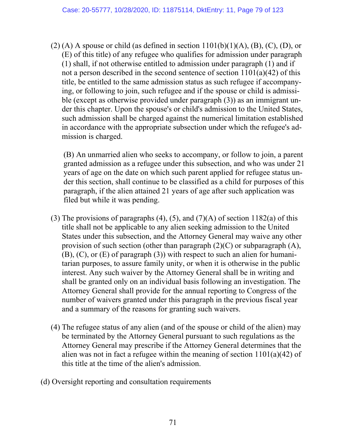$(2)$  (A) A spouse or child (as defined in section  $1101(b)(1)(A)$ , (B), (C), (D), or (E) of this title) of any refugee who qualifies for admission under paragraph (1) shall, if not otherwise entitled to admission under paragraph (1) and if not a person described in the second sentence of section  $1101(a)(42)$  of this title, be entitled to the same admission status as such refugee if accompanying, or following to join, such refugee and if the spouse or child is admissible (except as otherwise provided under paragraph (3)) as an immigrant under this chapter. Upon the spouse's or child's admission to the United States, such admission shall be charged against the numerical limitation established in accordance with the appropriate subsection under which the refugee's admission is charged.

(B) An unmarried alien who seeks to accompany, or follow to join, a parent granted admission as a refugee under this subsection, and who was under 21 years of age on the date on which such parent applied for refugee status under this section, shall continue to be classified as a child for purposes of this paragraph, if the alien attained 21 years of age after such application was filed but while it was pending.

- (3) The provisions of paragraphs (4), (5), and (7)(A) of section 1182(a) of this title shall not be applicable to any alien seeking admission to the United States under this subsection, and the Attorney General may waive any other provision of such section (other than paragraph  $(2)(C)$  or subparagraph  $(A)$ , (B), (C), or (E) of paragraph (3)) with respect to such an alien for humanitarian purposes, to assure family unity, or when it is otherwise in the public interest. Any such waiver by the Attorney General shall be in writing and shall be granted only on an individual basis following an investigation. The Attorney General shall provide for the annual reporting to Congress of the number of waivers granted under this paragraph in the previous fiscal year and a summary of the reasons for granting such waivers.
- (4) The refugee status of any alien (and of the spouse or child of the alien) may be terminated by the Attorney General pursuant to such regulations as the Attorney General may prescribe if the Attorney General determines that the alien was not in fact a refugee within the meaning of section  $1101(a)(42)$  of this title at the time of the alien's admission.
- (d) Oversight reporting and consultation requirements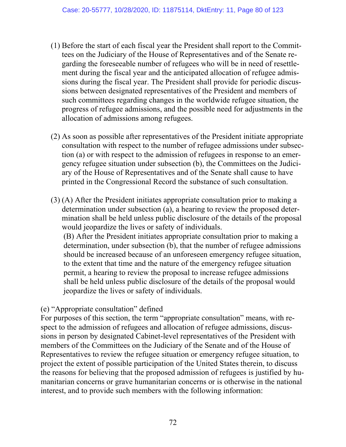- (1) Before the start of each fiscal year the President shall report to the Committees on the Judiciary of the House of Representatives and of the Senate regarding the foreseeable number of refugees who will be in need of resettlement during the fiscal year and the anticipated allocation of refugee admissions during the fiscal year. The President shall provide for periodic discussions between designated representatives of the President and members of such committees regarding changes in the worldwide refugee situation, the progress of refugee admissions, and the possible need for adjustments in the allocation of admissions among refugees.
- (2) As soon as possible after representatives of the President initiate appropriate consultation with respect to the number of refugee admissions under subsection (a) or with respect to the admission of refugees in response to an emergency refugee situation under subsection (b), the Committees on the Judiciary of the House of Representatives and of the Senate shall cause to have printed in the Congressional Record the substance of such consultation.
- (3) (A) After the President initiates appropriate consultation prior to making a determination under subsection (a), a hearing to review the proposed determination shall be held unless public disclosure of the details of the proposal would jeopardize the lives or safety of individuals. (B) After the President initiates appropriate consultation prior to making a determination, under subsection (b), that the number of refugee admissions should be increased because of an unforeseen emergency refugee situation, to the extent that time and the nature of the emergency refugee situation permit, a hearing to review the proposal to increase refugee admissions shall be held unless public disclosure of the details of the proposal would jeopardize the lives or safety of individuals.

#### (e) "Appropriate consultation" defined

For purposes of this section, the term "appropriate consultation" means, with respect to the admission of refugees and allocation of refugee admissions, discussions in person by designated Cabinet-level representatives of the President with members of the Committees on the Judiciary of the Senate and of the House of Representatives to review the refugee situation or emergency refugee situation, to project the extent of possible participation of the United States therein, to discuss the reasons for believing that the proposed admission of refugees is justified by humanitarian concerns or grave humanitarian concerns or is otherwise in the national interest, and to provide such members with the following information: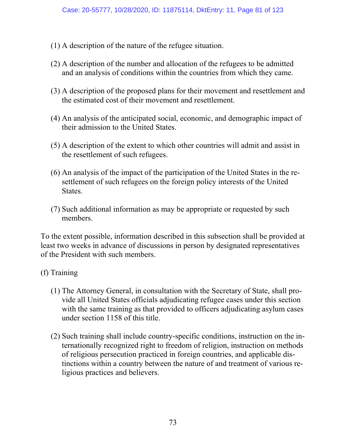- (1) A description of the nature of the refugee situation.
- (2) A description of the number and allocation of the refugees to be admitted and an analysis of conditions within the countries from which they came.
- (3) A description of the proposed plans for their movement and resettlement and the estimated cost of their movement and resettlement.
- (4) An analysis of the anticipated social, economic, and demographic impact of their admission to the United States.
- (5) A description of the extent to which other countries will admit and assist in the resettlement of such refugees.
- (6) An analysis of the impact of the participation of the United States in the resettlement of such refugees on the foreign policy interests of the United States.
- (7) Such additional information as may be appropriate or requested by such members.

To the extent possible, information described in this subsection shall be provided at least two weeks in advance of discussions in person by designated representatives of the President with such members.

#### (f) Training

- (1) The Attorney General, in consultation with the Secretary of State, shall provide all United States officials adjudicating refugee cases under this section with the same training as that provided to officers adjudicating asylum cases under section 1158 of this title.
- (2) Such training shall include country-specific conditions, instruction on the internationally recognized right to freedom of religion, instruction on methods of religious persecution practiced in foreign countries, and applicable distinctions within a country between the nature of and treatment of various religious practices and believers.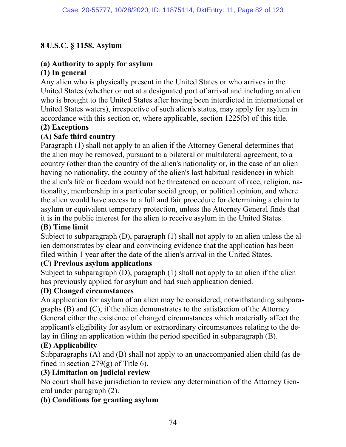## **8 U.S.C. § 1158. Asylum**

## **(a) Authority to apply for asylum**

## **(1) In general**

Any alien who is physically present in the United States or who arrives in the United States (whether or not at a designated port of arrival and including an alien who is brought to the United States after having been interdicted in international or United States waters), irrespective of such alien's status, may apply for asylum in accordance with this section or, where applicable, section 1225(b) of this title.

## **(2) Exceptions**

## **(A) Safe third country**

Paragraph (1) shall not apply to an alien if the Attorney General determines that the alien may be removed, pursuant to a bilateral or multilateral agreement, to a country (other than the country of the alien's nationality or, in the case of an alien having no nationality, the country of the alien's last habitual residence) in which the alien's life or freedom would not be threatened on account of race, religion, nationality, membership in a particular social group, or political opinion, and where the alien would have access to a full and fair procedure for determining a claim to asylum or equivalent temporary protection, unless the Attorney General finds that it is in the public interest for the alien to receive asylum in the United States.

## **(B) Time limit**

Subject to subparagraph (D), paragraph (1) shall not apply to an alien unless the alien demonstrates by clear and convincing evidence that the application has been filed within 1 year after the date of the alien's arrival in the United States.

## **(C) Previous asylum applications**

Subject to subparagraph (D), paragraph (1) shall not apply to an alien if the alien has previously applied for asylum and had such application denied.

## **(D) Changed circumstances**

An application for asylum of an alien may be considered, notwithstanding subparagraphs (B) and (C), if the alien demonstrates to the satisfaction of the Attorney General either the existence of changed circumstances which materially affect the applicant's eligibility for asylum or extraordinary circumstances relating to the delay in filing an application within the period specified in subparagraph (B).

## **(E) Applicability**

Subparagraphs (A) and (B) shall not apply to an unaccompanied alien child (as defined in section  $279(g)$  of Title 6).

## **(3) Limitation on judicial review**

No court shall have jurisdiction to review any determination of the Attorney General under paragraph (2).

## **(b) Conditions for granting asylum**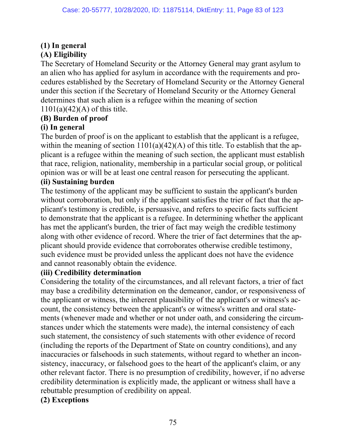# **(1) In general**

# **(A) Eligibility**

The Secretary of Homeland Security or the Attorney General may grant asylum to an alien who has applied for asylum in accordance with the requirements and procedures established by the Secretary of Homeland Security or the Attorney General under this section if the Secretary of Homeland Security or the Attorney General determines that such alien is a refugee within the meaning of section

 $1101(a)(42)(A)$  of this title.

## **(B) Burden of proof**

## **(i) In general**

The burden of proof is on the applicant to establish that the applicant is a refugee, within the meaning of section  $1101(a)(42)(A)$  of this title. To establish that the applicant is a refugee within the meaning of such section, the applicant must establish that race, religion, nationality, membership in a particular social group, or political opinion was or will be at least one central reason for persecuting the applicant.

## **(ii) Sustaining burden**

The testimony of the applicant may be sufficient to sustain the applicant's burden without corroboration, but only if the applicant satisfies the trier of fact that the applicant's testimony is credible, is persuasive, and refers to specific facts sufficient to demonstrate that the applicant is a refugee. In determining whether the applicant has met the applicant's burden, the trier of fact may weigh the credible testimony along with other evidence of record. Where the trier of fact determines that the applicant should provide evidence that corroborates otherwise credible testimony, such evidence must be provided unless the applicant does not have the evidence and cannot reasonably obtain the evidence.

## **(iii) Credibility determination**

Considering the totality of the circumstances, and all relevant factors, a trier of fact may base a credibility determination on the demeanor, candor, or responsiveness of the applicant or witness, the inherent plausibility of the applicant's or witness's account, the consistency between the applicant's or witness's written and oral statements (whenever made and whether or not under oath, and considering the circumstances under which the statements were made), the internal consistency of each such statement, the consistency of such statements with other evidence of record (including the reports of the Department of State on country conditions), and any inaccuracies or falsehoods in such statements, without regard to whether an inconsistency, inaccuracy, or falsehood goes to the heart of the applicant's claim, or any other relevant factor. There is no presumption of credibility, however, if no adverse credibility determination is explicitly made, the applicant or witness shall have a rebuttable presumption of credibility on appeal.

## **(2) Exceptions**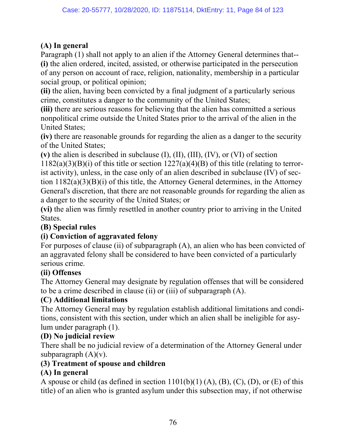## **(A) In general**

Paragraph (1) shall not apply to an alien if the Attorney General determines that-- **(i)** the alien ordered, incited, assisted, or otherwise participated in the persecution of any person on account of race, religion, nationality, membership in a particular social group, or political opinion;

**(ii)** the alien, having been convicted by a final judgment of a particularly serious crime, constitutes a danger to the community of the United States;

**(iii)** there are serious reasons for believing that the alien has committed a serious nonpolitical crime outside the United States prior to the arrival of the alien in the United States;

**(iv)** there are reasonable grounds for regarding the alien as a danger to the security of the United States;

**(v)** the alien is described in subclause (I), (II), (III), (IV), or (VI) of section  $1182(a)(3)(B)(i)$  of this title or section  $1227(a)(4)(B)$  of this title (relating to terrorist activity), unless, in the case only of an alien described in subclause (IV) of section  $1182(a)(3)(B)(i)$  of this title, the Attorney General determines, in the Attorney General's discretion, that there are not reasonable grounds for regarding the alien as a danger to the security of the United States; or

**(vi)** the alien was firmly resettled in another country prior to arriving in the United States.

## **(B) Special rules**

## **(i) Conviction of aggravated felony**

For purposes of clause (ii) of subparagraph (A), an alien who has been convicted of an aggravated felony shall be considered to have been convicted of a particularly serious crime.

## **(ii) Offenses**

The Attorney General may designate by regulation offenses that will be considered to be a crime described in clause (ii) or (iii) of subparagraph (A).

## **(C) Additional limitations**

The Attorney General may by regulation establish additional limitations and conditions, consistent with this section, under which an alien shall be ineligible for asylum under paragraph (1).

## **(D) No judicial review**

There shall be no judicial review of a determination of the Attorney General under subparagraph  $(A)(v)$ .

## **(3) Treatment of spouse and children**

## **(A) In general**

A spouse or child (as defined in section  $1101(b)(1)$  (A), (B), (C), (D), or (E) of this title) of an alien who is granted asylum under this subsection may, if not otherwise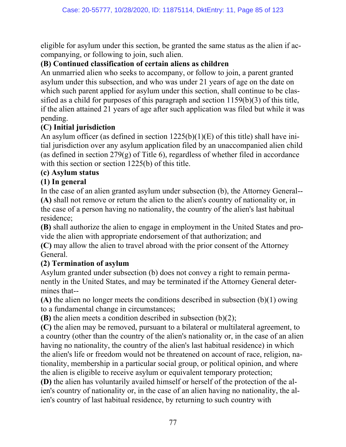eligible for asylum under this section, be granted the same status as the alien if accompanying, or following to join, such alien.

## **(B) Continued classification of certain aliens as children**

An unmarried alien who seeks to accompany, or follow to join, a parent granted asylum under this subsection, and who was under 21 years of age on the date on which such parent applied for asylum under this section, shall continue to be classified as a child for purposes of this paragraph and section 1159(b)(3) of this title, if the alien attained 21 years of age after such application was filed but while it was pending.

## **(C) Initial jurisdiction**

An asylum officer (as defined in section  $1225(b)(1)(E)$  of this title) shall have initial jurisdiction over any asylum application filed by an unaccompanied alien child (as defined in section  $279(g)$  of Title 6), regardless of whether filed in accordance with this section or section 1225(b) of this title.

#### **(c) Asylum status**

## **(1) In general**

In the case of an alien granted asylum under subsection (b), the Attorney General-- **(A)** shall not remove or return the alien to the alien's country of nationality or, in the case of a person having no nationality, the country of the alien's last habitual residence;

**(B)** shall authorize the alien to engage in employment in the United States and provide the alien with appropriate endorsement of that authorization; and

**(C)** may allow the alien to travel abroad with the prior consent of the Attorney General.

#### **(2) Termination of asylum**

Asylum granted under subsection (b) does not convey a right to remain permanently in the United States, and may be terminated if the Attorney General determines that--

**(A)** the alien no longer meets the conditions described in subsection (b)(1) owing to a fundamental change in circumstances;

**(B)** the alien meets a condition described in subsection (b)(2);

**(C)** the alien may be removed, pursuant to a bilateral or multilateral agreement, to a country (other than the country of the alien's nationality or, in the case of an alien having no nationality, the country of the alien's last habitual residence) in which the alien's life or freedom would not be threatened on account of race, religion, nationality, membership in a particular social group, or political opinion, and where the alien is eligible to receive asylum or equivalent temporary protection;

**(D)** the alien has voluntarily availed himself or herself of the protection of the alien's country of nationality or, in the case of an alien having no nationality, the alien's country of last habitual residence, by returning to such country with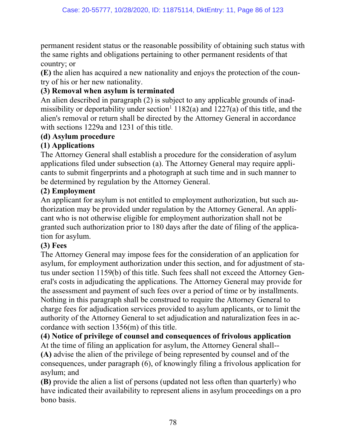permanent resident status or the reasonable possibility of obtaining such status with the same rights and obligations pertaining to other permanent residents of that country; or

**(E)** the alien has acquired a new nationality and enjoys the protection of the country of his or her new nationality.

## **(3) Removal when asylum is terminated**

An alien described in paragraph (2) is subject to any applicable grounds of inadmissibility or deportability under section<sup>1</sup> 1182(a) and 1227(a) of this title, and the alien's removal or return shall be directed by the Attorney General in accordance with sections 1229a and 1231 of this title.

#### **(d) Asylum procedure**

## **(1) Applications**

The Attorney General shall establish a procedure for the consideration of asylum applications filed under subsection (a). The Attorney General may require applicants to submit fingerprints and a photograph at such time and in such manner to be determined by regulation by the Attorney General.

#### **(2) Employment**

An applicant for asylum is not entitled to employment authorization, but such authorization may be provided under regulation by the Attorney General. An applicant who is not otherwise eligible for employment authorization shall not be granted such authorization prior to 180 days after the date of filing of the application for asylum.

#### **(3) Fees**

The Attorney General may impose fees for the consideration of an application for asylum, for employment authorization under this section, and for adjustment of status under section 1159(b) of this title. Such fees shall not exceed the Attorney General's costs in adjudicating the applications. The Attorney General may provide for the assessment and payment of such fees over a period of time or by installments. Nothing in this paragraph shall be construed to require the Attorney General to charge fees for adjudication services provided to asylum applicants, or to limit the authority of the Attorney General to set adjudication and naturalization fees in accordance with section 1356(m) of this title.

**(4) Notice of privilege of counsel and consequences of frivolous application** At the time of filing an application for asylum, the Attorney General shall-- **(A)** advise the alien of the privilege of being represented by counsel and of the consequences, under paragraph (6), of knowingly filing a frivolous application for asylum; and

**(B)** provide the alien a list of persons (updated not less often than quarterly) who have indicated their availability to represent aliens in asylum proceedings on a pro bono basis.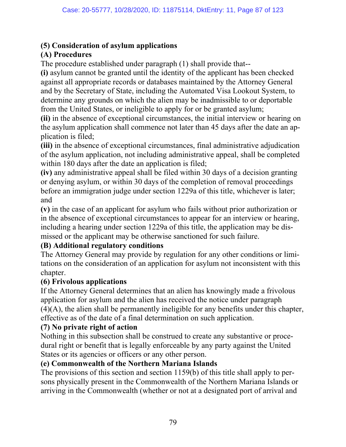## **(5) Consideration of asylum applications**

## **(A) Procedures**

The procedure established under paragraph (1) shall provide that--

**(i)** asylum cannot be granted until the identity of the applicant has been checked against all appropriate records or databases maintained by the Attorney General and by the Secretary of State, including the Automated Visa Lookout System, to determine any grounds on which the alien may be inadmissible to or deportable from the United States, or ineligible to apply for or be granted asylum;

**(ii)** in the absence of exceptional circumstances, the initial interview or hearing on the asylum application shall commence not later than 45 days after the date an application is filed;

**(iii)** in the absence of exceptional circumstances, final administrative adjudication of the asylum application, not including administrative appeal, shall be completed within 180 days after the date an application is filed;

**(iv)** any administrative appeal shall be filed within 30 days of a decision granting or denying asylum, or within 30 days of the completion of removal proceedings before an immigration judge under section 1229a of this title, whichever is later; and

**(v)** in the case of an applicant for asylum who fails without prior authorization or in the absence of exceptional circumstances to appear for an interview or hearing, including a hearing under section 1229a of this title, the application may be dismissed or the applicant may be otherwise sanctioned for such failure.

#### **(B) Additional regulatory conditions**

The Attorney General may provide by regulation for any other conditions or limitations on the consideration of an application for asylum not inconsistent with this chapter.

#### **(6) Frivolous applications**

If the Attorney General determines that an alien has knowingly made a frivolous application for asylum and the alien has received the notice under paragraph (4)(A), the alien shall be permanently ineligible for any benefits under this chapter, effective as of the date of a final determination on such application.

#### **(7) No private right of action**

Nothing in this subsection shall be construed to create any substantive or procedural right or benefit that is legally enforceable by any party against the United States or its agencies or officers or any other person.

#### **(e) Commonwealth of the Northern Mariana Islands**

The provisions of this section and section 1159(b) of this title shall apply to persons physically present in the Commonwealth of the Northern Mariana Islands or arriving in the Commonwealth (whether or not at a designated port of arrival and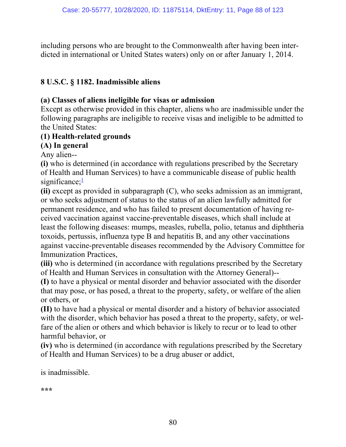including persons who are brought to the Commonwealth after having been interdicted in international or United States waters) only on or after January 1, 2014.

## **8 U.S.C. § 1182. Inadmissible aliens**

## **(a) Classes of aliens ineligible for visas or admission**

Except as otherwise provided in this chapter, aliens who are inadmissible under the following paragraphs are ineligible to receive visas and ineligible to be admitted to the United States:

## **(1) Health-related grounds**

#### **(A) In general**

Any alien--

**(i)** who is determined (in accordance with regulations prescribed by the Secretary of Health and Human Services) to have a communicable disease of public health significance; $\frac{1}{2}$  $\frac{1}{2}$  $\frac{1}{2}$ 

**(ii)** except as provided in subparagraph (C), who seeks admission as an immigrant, or who seeks adjustment of status to the status of an alien lawfully admitted for permanent residence, and who has failed to present documentation of having received vaccination against vaccine-preventable diseases, which shall include at least the following diseases: mumps, measles, rubella, polio, tetanus and diphtheria toxoids, pertussis, influenza type B and hepatitis B, and any other vaccinations against vaccine-preventable diseases recommended by the Advisory Committee for Immunization Practices,

**(iii)** who is determined (in accordance with regulations prescribed by the Secretary of Health and Human Services in consultation with the Attorney General)--

**(I)** to have a physical or mental disorder and behavior associated with the disorder that may pose, or has posed, a threat to the property, safety, or welfare of the alien or others, or

**(II)** to have had a physical or mental disorder and a history of behavior associated with the disorder, which behavior has posed a threat to the property, safety, or welfare of the alien or others and which behavior is likely to recur or to lead to other harmful behavior, or

**(iv)** who is determined (in accordance with regulations prescribed by the Secretary of Health and Human Services) to be a drug abuser or addict,

is inadmissible.

**\*\*\***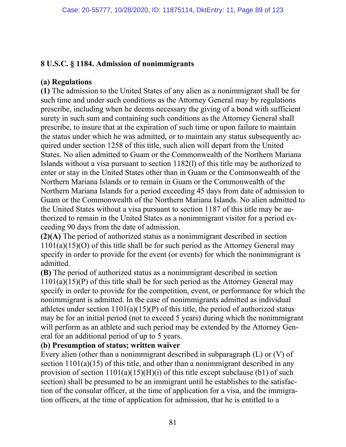#### **8 U.S.C. § 1184. Admission of nonimmigrants**

#### **(a) Regulations**

**(1)** The admission to the United States of any alien as a nonimmigrant shall be for such time and under such conditions as the Attorney General may by regulations prescribe, including when he deems necessary the giving of a bond with sufficient surety in such sum and containing such conditions as the Attorney General shall prescribe, to insure that at the expiration of such time or upon failure to maintain the status under which he was admitted, or to maintain any status subsequently acquired under section 1258 of this title, such alien will depart from the United States. No alien admitted to Guam or the Commonwealth of the Northern Mariana Islands without a visa pursuant to section 1182(l) of this title may be authorized to enter or stay in the United States other than in Guam or the Commonwealth of the Northern Mariana Islands or to remain in Guam or the Commonwealth of the Northern Mariana Islands for a period exceeding 45 days from date of admission to Guam or the Commonwealth of the Northern Mariana Islands. No alien admitted to the United States without a visa pursuant to section 1187 of this title may be authorized to remain in the United States as a nonimmigrant visitor for a period exceeding 90 days from the date of admission.

**(2)(A)** The period of authorized status as a nonimmigrant described in section  $1101(a)(15)(O)$  of this title shall be for such period as the Attorney General may specify in order to provide for the event (or events) for which the nonimmigrant is admitted.

**(B)** The period of authorized status as a nonimmigrant described in section  $1101(a)(15)(P)$  of this title shall be for such period as the Attorney General may specify in order to provide for the competition, event, or performance for which the nonimmigrant is admitted. In the case of nonimmigrants admitted as individual athletes under section  $1101(a)(15)(P)$  of this title, the period of authorized status may be for an initial period (not to exceed 5 years) during which the nonimmigrant will perform as an athlete and such period may be extended by the Attorney General for an additional period of up to 5 years.

#### **(b) Presumption of status; written waiver**

Every alien (other than a nonimmigrant described in [subparagraph \(L\)](https://1.next.westlaw.com/Link/Document/FullText?findType=L&pubNum=1000546&cite=8USCAS1101&originatingDoc=N86C712D0B64A11EAA6FAB66043C66295&refType=RB&originationContext=document&transitionType=DocumentItem&contextData=(sc.Document)#co_pp_3d8b000000090) or [\(V\) of](https://1.next.westlaw.com/Link/Document/FullText?findType=L&pubNum=1000546&cite=8USCAS1101&originatingDoc=N86C712D0B64A11EAA6FAB66043C66295&refType=RB&originationContext=document&transitionType=DocumentItem&contextData=(sc.Document)#co_pp_3d8b000000090)  section  $1101(a)(15)$  of this title, and other than a nonimmigrant described in any provision of section  $1101(a)(15)(H)(i)$  of this title except subclause (b1) of such section) shall be presumed to be an immigrant until he establishes to the satisfaction of the consular officer, at the time of application for a visa, and the immigration officers, at the time of application for admission, that he is entitled to a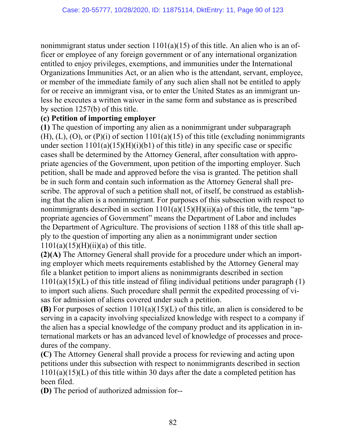nonimmigrant status under section  $1101(a)(15)$  of this title. An alien who is an officer or employee of any foreign government or of any international organization entitled to enjoy privileges, exemptions, and immunities under the International Organizations Immunities Act, or an alien who is the attendant, servant, employee, or member of the immediate family of any such alien shall not be entitled to apply for or receive an immigrant visa, or to enter the United States as an immigrant unless he executes a written waiver in the same form and substance as is prescribed by [section 1257\(b\)](https://1.next.westlaw.com/Link/Document/FullText?findType=L&pubNum=1000546&cite=8USCAS1257&originatingDoc=N86C712D0B64A11EAA6FAB66043C66295&refType=RB&originationContext=document&transitionType=DocumentItem&contextData=(sc.Document)#co_pp_a83b000018c76) of this title.

#### **(c) Petition of importing employer**

**(1)** The question of importing any alien as a nonimmigrant under [subparagraph](https://1.next.westlaw.com/Link/Document/FullText?findType=L&pubNum=1000546&cite=8USCAS1101&originatingDoc=N86C712D0B64A11EAA6FAB66043C66295&refType=RB&originationContext=document&transitionType=DocumentItem&contextData=(sc.Document)#co_pp_3d8b000000090)   $(H)$ ,  $(L)$ ,  $(O)$ , or  $(P)(i)$  of section 1101(a)(15) of this title (excluding nonimmigrants under section  $1101(a)(15)(H)(i)(b1)$  of this title) in any specific case or specific cases shall be determined by the Attorney General, after consultation with appropriate agencies of the Government, upon petition of the importing employer. Such petition, shall be made and approved before the visa is granted. The petition shall be in such form and contain such information as the Attorney General shall prescribe. The approval of such a petition shall not, of itself, be construed as establishing that the alien is a nonimmigrant. For purposes of this subsection with respect to nonimmigrants described in section  $1101(a)(15)(H)(ii)(a)$  of this title, the term "appropriate agencies of Government" means the Department of Labor and includes the Department of Agriculture. The provisions of [section 1188](https://1.next.westlaw.com/Link/Document/FullText?findType=L&pubNum=1000546&cite=8USCAS1188&originatingDoc=N86C712D0B64A11EAA6FAB66043C66295&refType=LQ&originationContext=document&transitionType=DocumentItem&contextData=(sc.Document)) of this title shall apply to the question of importing any alien as a nonimmigrant under [section](https://1.next.westlaw.com/Link/Document/FullText?findType=L&pubNum=1000546&cite=8USCAS1101&originatingDoc=N86C712D0B64A11EAA6FAB66043C66295&refType=RB&originationContext=document&transitionType=DocumentItem&contextData=(sc.Document)#co_pp_95fd0000195a2)   $1101(a)(15)(H)(ii)(a)$  of this title.

**(2)(A)** The Attorney General shall provide for a procedure under which an importing employer which meets requirements established by the Attorney General may file a blanket petition to import aliens as nonimmigrants described in [section](https://1.next.westlaw.com/Link/Document/FullText?findType=L&pubNum=1000546&cite=8USCAS1101&originatingDoc=N86C712D0B64A11EAA6FAB66043C66295&refType=RB&originationContext=document&transitionType=DocumentItem&contextData=(sc.Document)#co_pp_134700008ec76)   $1101(a)(15)(L)$  of this title instead of filing individual petitions under paragraph (1) to import such aliens. Such procedure shall permit the expedited processing of visas for admission of aliens covered under such a petition.

**(B)** For purposes of [section 1101\(a\)\(15\)\(L\)](https://1.next.westlaw.com/Link/Document/FullText?findType=L&pubNum=1000546&cite=8USCAS1101&originatingDoc=N86C712D0B64A11EAA6FAB66043C66295&refType=RB&originationContext=document&transitionType=DocumentItem&contextData=(sc.Document)#co_pp_134700008ec76) of this title, an alien is considered to be serving in a capacity involving specialized knowledge with respect to a company if the alien has a special knowledge of the company product and its application in international markets or has an advanced level of knowledge of processes and procedures of the company.

**(C)** The Attorney General shall provide a process for reviewing and acting upon petitions under this subsection with respect to nonimmigrants described in [section](https://1.next.westlaw.com/Link/Document/FullText?findType=L&pubNum=1000546&cite=8USCAS1101&originatingDoc=N86C712D0B64A11EAA6FAB66043C66295&refType=RB&originationContext=document&transitionType=DocumentItem&contextData=(sc.Document)#co_pp_134700008ec76)  [1101\(a\)\(15\)\(L\)](https://1.next.westlaw.com/Link/Document/FullText?findType=L&pubNum=1000546&cite=8USCAS1101&originatingDoc=N86C712D0B64A11EAA6FAB66043C66295&refType=RB&originationContext=document&transitionType=DocumentItem&contextData=(sc.Document)#co_pp_134700008ec76) of this title within 30 days after the date a completed petition has been filed.

**(D)** The period of authorized admission for--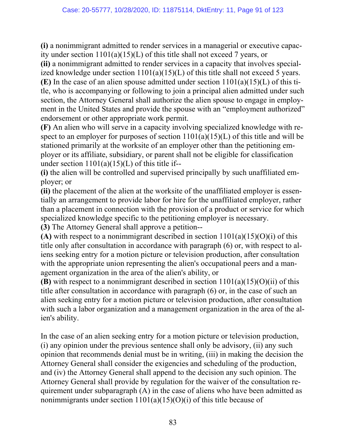**(i)** a nonimmigrant admitted to render services in a managerial or executive capacity under [section 1101\(a\)\(15\)\(L\)](https://1.next.westlaw.com/Link/Document/FullText?findType=L&pubNum=1000546&cite=8USCAS1101&originatingDoc=N86C712D0B64A11EAA6FAB66043C66295&refType=RB&originationContext=document&transitionType=DocumentItem&contextData=(sc.Document)#co_pp_134700008ec76) of this title shall not exceed 7 years, or

**(ii)** a nonimmigrant admitted to render services in a capacity that involves specialized knowledge under section  $1101(a)(15)(L)$  of this title shall not exceed 5 years. **(E)** In the case of an alien spouse admitted under [section 1101\(a\)\(15\)\(L\)](https://1.next.westlaw.com/Link/Document/FullText?findType=L&pubNum=1000546&cite=8USCAS1101&originatingDoc=N86C712D0B64A11EAA6FAB66043C66295&refType=RB&originationContext=document&transitionType=DocumentItem&contextData=(sc.Document)#co_pp_134700008ec76) of this title, who is accompanying or following to join a principal alien admitted under such section, the Attorney General shall authorize the alien spouse to engage in employment in the United States and provide the spouse with an "employment authorized" endorsement or other appropriate work permit.

**(F)** An alien who will serve in a capacity involving specialized knowledge with respect to an employer for purposes of section  $1101(a)(15)(L)$  of this title and will be stationed primarily at the worksite of an employer other than the petitioning employer or its affiliate, subsidiary, or parent shall not be eligible for classification under section  $1101(a)(15)(L)$  of this title if--

**(i)** the alien will be controlled and supervised principally by such unaffiliated employer; or

**(ii)** the placement of the alien at the worksite of the unaffiliated employer is essentially an arrangement to provide labor for hire for the unaffiliated employer, rather than a placement in connection with the provision of a product or service for which specialized knowledge specific to the petitioning employer is necessary.

**(3)** The Attorney General shall approve a petition--

**(A)** with respect to a nonimmigrant described in section  $1101(a)(15)(O)(i)$  of this title only after consultation in accordance with paragraph (6) or, with respect to aliens seeking entry for a motion picture or television production, after consultation with the appropriate union representing the alien's occupational peers and a management organization in the area of the alien's ability, or

**(B)** with respect to a nonimmigrant described in section 1101(a)(15)(O)(ii) of this title after consultation in accordance with paragraph (6) or, in the case of such an alien seeking entry for a motion picture or television production, after consultation with such a labor organization and a management organization in the area of the alien's ability.

In the case of an alien seeking entry for a motion picture or television production, (i) any opinion under the previous sentence shall only be advisory, (ii) any such opinion that recommends denial must be in writing, (iii) in making the decision the Attorney General shall consider the exigencies and scheduling of the production, and (iv) the Attorney General shall append to the decision any such opinion. The Attorney General shall provide by regulation for the waiver of the consultation requirement under subparagraph (A) in the case of aliens who have been admitted as nonimmigrants under section  $1101(a)(15)(O)(i)$  of this title because of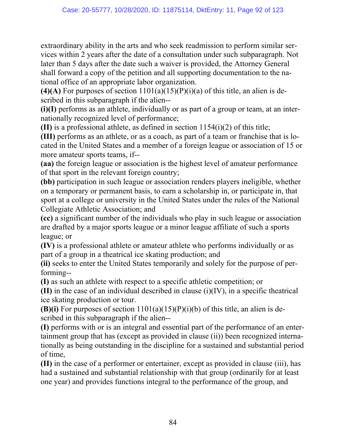extraordinary ability in the arts and who seek readmission to perform similar services within 2 years after the date of a consultation under such subparagraph. Not later than 5 days after the date such a waiver is provided, the Attorney General shall forward a copy of the petition and all supporting documentation to the national office of an appropriate labor organization.

(4)(A) For purposes of section  $1101(a)(15)(P)(i)(a)$  of this title, an alien is described in this subparagraph if the alien--

**(i)(I)** performs as an athlete, individually or as part of a group or team, at an internationally recognized level of performance;

**(II)** is a professional athlete, as defined in [section 1154\(i\)\(2\)](https://1.next.westlaw.com/Link/Document/FullText?findType=L&pubNum=1000546&cite=8USCAS1154&originatingDoc=N86C712D0B64A11EAA6FAB66043C66295&refType=RB&originationContext=document&transitionType=DocumentItem&contextData=(sc.Document)#co_pp_f2fd000080d26) of this title;

**(III)** performs as an athlete, or as a coach, as part of a team or franchise that is located in the United States and a member of a foreign league or association of 15 or more amateur sports teams, if--

**(aa)** the foreign league or association is the highest level of amateur performance of that sport in the relevant foreign country;

**(bb)** participation in such league or association renders players ineligible, whether on a temporary or permanent basis, to earn a scholarship in, or participate in, that sport at a college or university in the United States under the rules of the National Collegiate Athletic Association; and

**(cc)** a significant number of the individuals who play in such league or association are drafted by a major sports league or a minor league affiliate of such a sports league; or

**(IV)** is a professional athlete or amateur athlete who performs individually or as part of a group in a theatrical ice skating production; and

**(ii)** seeks to enter the United States temporarily and solely for the purpose of performing--

**(I)** as such an athlete with respect to a specific athletic competition; or

**(II)** in the case of an individual described in clause (i)(IV), in a specific theatrical ice skating production or tour.

**(B)(i)** For purposes of [section 1101\(a\)\(15\)\(P\)\(i\)\(b\)](https://1.next.westlaw.com/Link/Document/FullText?findType=L&pubNum=1000546&cite=8USCAS1101&originatingDoc=N86C712D0B64A11EAA6FAB66043C66295&refType=RB&originationContext=document&transitionType=DocumentItem&contextData=(sc.Document)#co_pp_e4230000fd703) of this title, an alien is described in this subparagraph if the alien--

**(I)** performs with or is an integral and essential part of the performance of an entertainment group that has (except as provided in clause (ii)) been recognized internationally as being outstanding in the discipline for a sustained and substantial period of time,

**(II)** in the case of a performer or entertainer, except as provided in clause (iii), has had a sustained and substantial relationship with that group (ordinarily for at least one year) and provides functions integral to the performance of the group, and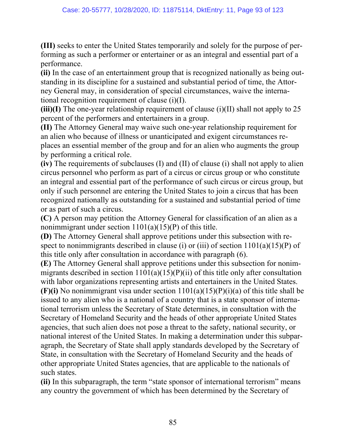**(III)** seeks to enter the United States temporarily and solely for the purpose of performing as such a performer or entertainer or as an integral and essential part of a performance.

**(ii)** In the case of an entertainment group that is recognized nationally as being outstanding in its discipline for a sustained and substantial period of time, the Attorney General may, in consideration of special circumstances, waive the international recognition requirement of clause (i)(I).

**(iii)(I)** The one-year relationship requirement of clause (i)(II) shall not apply to 25 percent of the performers and entertainers in a group.

**(II)** The Attorney General may waive such one-year relationship requirement for an alien who because of illness or unanticipated and exigent circumstances replaces an essential member of the group and for an alien who augments the group by performing a critical role.

**(iv)** The requirements of subclauses (I) and (II) of clause (i) shall not apply to alien circus personnel who perform as part of a circus or circus group or who constitute an integral and essential part of the performance of such circus or circus group, but only if such personnel are entering the United States to join a circus that has been recognized nationally as outstanding for a sustained and substantial period of time or as part of such a circus.

**(C)** A person may petition the Attorney General for classification of an alien as a nonimmigrant under section  $1101(a)(15)(P)$  of this title.

**(D)** The Attorney General shall approve petitions under this subsection with respect to nonimmigrants described in [clause \(i\)](https://1.next.westlaw.com/Link/Document/FullText?findType=L&pubNum=1000546&cite=8USCAS1101&originatingDoc=N86C712D0B64A11EAA6FAB66043C66295&refType=RB&originationContext=document&transitionType=DocumentItem&contextData=(sc.Document)#co_pp_728b0000f8221) or (iii) of section  $1101(a)(15)(P)$  of this title only after consultation in accordance with paragraph (6).

**(E)** The Attorney General shall approve petitions under this subsection for nonimmigrants described in section  $1101(a)(15)(P)(ii)$  of this title only after consultation with labor organizations representing artists and entertainers in the United States. **(F)(i)** No nonimmigrant visa under [section 1101\(a\)\(15\)\(P\)\(i\)\(a\)](https://1.next.westlaw.com/Link/Document/FullText?findType=L&pubNum=1000546&cite=8USCAS1101&originatingDoc=N86C712D0B64A11EAA6FAB66043C66295&refType=RB&originationContext=document&transitionType=DocumentItem&contextData=(sc.Document)#co_pp_e4230000fd703) of this title shall be issued to any alien who is a national of a country that is a state sponsor of international terrorism unless the Secretary of State determines, in consultation with the Secretary of Homeland Security and the heads of other appropriate United States agencies, that such alien does not pose a threat to the safety, national security, or national interest of the United States. In making a determination under this subparagraph, the Secretary of State shall apply standards developed by the Secretary of State, in consultation with the Secretary of Homeland Security and the heads of other appropriate United States agencies, that are applicable to the nationals of such states.

**(ii)** In this subparagraph, the term "state sponsor of international terrorism" means any country the government of which has been determined by the Secretary of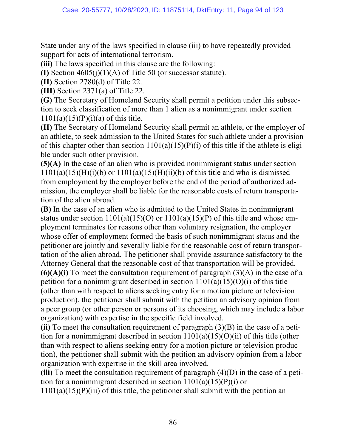State under any of the laws specified in clause (iii) to have repeatedly provided support for acts of international terrorism.

**(iii)** The laws specified in this clause are the following:

**(I)** [Section 4605\(j\)\(1\)\(A\) of Title 50](https://1.next.westlaw.com/Link/Document/FullText?findType=L&pubNum=1000546&cite=50USCAS4605&originatingDoc=N86C712D0B64A11EAA6FAB66043C66295&refType=LQ&originationContext=document&transitionType=DocumentItem&contextData=(sc.Document)) (or successor statute).

**(II)** [Section 2780\(d\) of Title 22.](https://1.next.westlaw.com/Link/Document/FullText?findType=L&pubNum=1000546&cite=22USCAS2780&originatingDoc=N86C712D0B64A11EAA6FAB66043C66295&refType=RB&originationContext=document&transitionType=DocumentItem&contextData=(sc.Document)#co_pp_5ba1000067d06)

**(III)** [Section 2371\(a\) of Title 22.](https://1.next.westlaw.com/Link/Document/FullText?findType=L&pubNum=1000546&cite=22USCAS2371&originatingDoc=N86C712D0B64A11EAA6FAB66043C66295&refType=RB&originationContext=document&transitionType=DocumentItem&contextData=(sc.Document)#co_pp_8b3b0000958a4)

**(G)** The Secretary of Homeland Security shall permit a petition under this subsection to seek classification of more than 1 alien as a nonimmigrant under [section](https://1.next.westlaw.com/Link/Document/FullText?findType=L&pubNum=1000546&cite=8USCAS1101&originatingDoc=N86C712D0B64A11EAA6FAB66043C66295&refType=RB&originationContext=document&transitionType=DocumentItem&contextData=(sc.Document)#co_pp_e4230000fd703)   $1101(a)(15)(P)(i)(a)$  of this title.

**(H)** The Secretary of Homeland Security shall permit an athlete, or the employer of an athlete, to seek admission to the United States for such athlete under a provision of this chapter other than section  $1101(a)(15)(P)(i)$  of this title if the athlete is eligible under such other provision.

**(5)(A)** In the case of an alien who is provided nonimmigrant status under [section](https://1.next.westlaw.com/Link/Document/FullText?findType=L&pubNum=1000546&cite=8USCAS1101&originatingDoc=N86C712D0B64A11EAA6FAB66043C66295&refType=RB&originationContext=document&transitionType=DocumentItem&contextData=(sc.Document)#co_pp_95fd0000195a2)   $1101(a)(15)(H)(i)(b)$  or  $1101(a)(15)(H)(ii)(b)$  of this title and who is dismissed from employment by the employer before the end of the period of authorized admission, the employer shall be liable for the reasonable costs of return transportation of the alien abroad.

**(B)** In the case of an alien who is admitted to the United States in nonimmigrant status under section  $1101(a)(15)(O)$  or  $1101(a)(15)(P)$  of this title and whose employment terminates for reasons other than voluntary resignation, the employer whose offer of employment formed the basis of such nonimmigrant status and the petitioner are jointly and severally liable for the reasonable cost of return transportation of the alien abroad. The petitioner shall provide assurance satisfactory to the Attorney General that the reasonable cost of that transportation will be provided. **(6)(A)(i)** To meet the consultation requirement of paragraph (3)(A) in the case of a petition for a nonimmigrant described in section  $1101(a)(15)(O)(i)$  of this title (other than with respect to aliens seeking entry for a motion picture or television production), the petitioner shall submit with the petition an advisory opinion from a peer group (or other person or persons of its choosing, which may include a labor organization) with expertise in the specific field involved.

**(ii)** To meet the consultation requirement of paragraph (3)(B) in the case of a petition for a nonimmigrant described in section  $1101(a)(15)(O)(ii)$  of this title (other than with respect to aliens seeking entry for a motion picture or television production), the petitioner shall submit with the petition an advisory opinion from a labor organization with expertise in the skill area involved.

**(iii)** To meet the consultation requirement of paragraph (4)(D) in the case of a petition for a nonimmigrant described in section  $1101(a)(15)(P)(i)$  or

 $1101(a)(15)(P)(iii)$  of this title, the petitioner shall submit with the petition an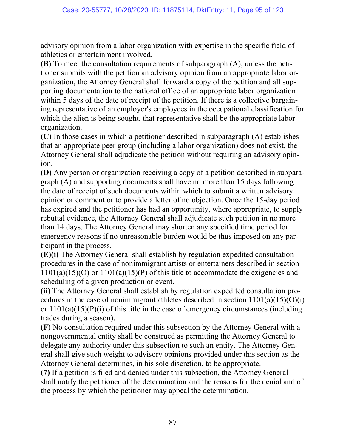advisory opinion from a labor organization with expertise in the specific field of athletics or entertainment involved.

**(B)** To meet the consultation requirements of subparagraph (A), unless the petitioner submits with the petition an advisory opinion from an appropriate labor organization, the Attorney General shall forward a copy of the petition and all supporting documentation to the national office of an appropriate labor organization within 5 days of the date of receipt of the petition. If there is a collective bargaining representative of an employer's employees in the occupational classification for which the alien is being sought, that representative shall be the appropriate labor organization.

**(C)** In those cases in which a petitioner described in subparagraph (A) establishes that an appropriate peer group (including a labor organization) does not exist, the Attorney General shall adjudicate the petition without requiring an advisory opinion.

**(D)** Any person or organization receiving a copy of a petition described in subparagraph (A) and supporting documents shall have no more than 15 days following the date of receipt of such documents within which to submit a written advisory opinion or comment or to provide a letter of no objection. Once the 15-day period has expired and the petitioner has had an opportunity, where appropriate, to supply rebuttal evidence, the Attorney General shall adjudicate such petition in no more than 14 days. The Attorney General may shorten any specified time period for emergency reasons if no unreasonable burden would be thus imposed on any participant in the process.

**(E)(i)** The Attorney General shall establish by regulation expedited consultation procedures in the case of nonimmigrant artists or entertainers described in [section](https://1.next.westlaw.com/Link/Document/FullText?findType=L&pubNum=1000546&cite=8USCAS1101&originatingDoc=N86C712D0B64A11EAA6FAB66043C66295&refType=RB&originationContext=document&transitionType=DocumentItem&contextData=(sc.Document)#co_pp_3ce8000010180)   $1101(a)(15)(O)$  or  $1101(a)(15)(P)$  of this title to accommodate the exigencies and scheduling of a given production or event.

**(ii)** The Attorney General shall establish by regulation expedited consultation procedures in the case of nonimmigrant athletes described in section  $1101(a)(15)(O(i))$ or  $1101(a)(15)(P)(i)$  of this title in the case of emergency circumstances (including trades during a season).

**(F)** No consultation required under this subsection by the Attorney General with a nongovernmental entity shall be construed as permitting the Attorney General to delegate any authority under this subsection to such an entity. The Attorney General shall give such weight to advisory opinions provided under this section as the Attorney General determines, in his sole discretion, to be appropriate.

**(7)** If a petition is filed and denied under this subsection, the Attorney General shall notify the petitioner of the determination and the reasons for the denial and of the process by which the petitioner may appeal the determination.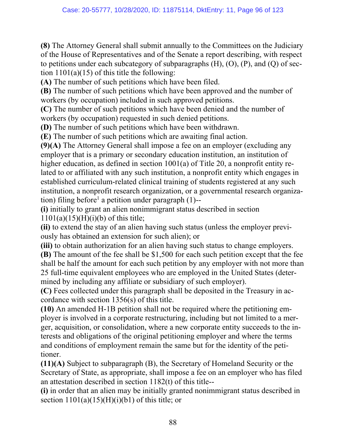**(8)** The Attorney General shall submit annually to the Committees on the Judiciary of the House of Representatives and of the Senate a report describing, with respect to petitions under each subcategory of subparagraphs  $(H)$ ,  $(O)$ ,  $(P)$ , and  $(Q)$  of section  $1101(a)(15)$  of this title the following:

**(A)** The number of such petitions which have been filed.

**(B)** The number of such petitions which have been approved and the number of workers (by occupation) included in such approved petitions.

**(C)** The number of such petitions which have been denied and the number of workers (by occupation) requested in such denied petitions.

**(D)** The number of such petitions which have been withdrawn.

**(E)** The number of such petitions which are awaiting final action.

**(9)(A)** The Attorney General shall impose a fee on an employer (excluding any employer that is a primary or secondary education institution, an institution of higher education, as defined in [section 1001\(a\) of Title 20,](https://1.next.westlaw.com/Link/Document/FullText?findType=L&pubNum=1000546&cite=20USCAS1001&originatingDoc=N86C712D0B64A11EAA6FAB66043C66295&refType=RB&originationContext=document&transitionType=DocumentItem&contextData=(sc.Document)#co_pp_8b3b0000958a4) a nonprofit entity related to or affiliated with any such institution, a nonprofit entity which engages in established curriculum-related clinical training of students registered at any such institution, a nonprofit research organization, or a governmental research organiza-tion) filing before<sup>[1](https://1.next.westlaw.com/Document/N86C712D0B64A11EAA6FAB66043C66295/View/FullText.html?originationContext=document&contextData=(sc.Document)&transitionType=StatuteNavigator&needToInjectTerms=False#co_footnote_I360CC960D31011E095B0DB598C829D0F)</sup> a petition under paragraph  $(1)$ --

**(i)** initially to grant an alien nonimmigrant status described in [section](https://1.next.westlaw.com/Link/Document/FullText?findType=L&pubNum=1000546&cite=8USCAS1101&originatingDoc=N86C712D0B64A11EAA6FAB66043C66295&refType=RB&originationContext=document&transitionType=DocumentItem&contextData=(sc.Document)#co_pp_95fd0000195a2)   $1101(a)(15)(H)(i)(b)$  of this title;

**(ii)** to extend the stay of an alien having such status (unless the employer previously has obtained an extension for such alien); or

**(iii)** to obtain authorization for an alien having such status to change employers.

**(B)** The amount of the fee shall be \$1,500 for each such petition except that the fee shall be half the amount for each such petition by any employer with not more than 25 full-time equivalent employees who are employed in the United States (determined by including any affiliate or subsidiary of such employer).

**(C)** Fees collected under this paragraph shall be deposited in the Treasury in accordance with [section 1356\(s\)](https://1.next.westlaw.com/Link/Document/FullText?findType=L&pubNum=1000546&cite=8USCAS1356&originatingDoc=N86C712D0B64A11EAA6FAB66043C66295&refType=RB&originationContext=document&transitionType=DocumentItem&contextData=(sc.Document)#co_pp_822500008d090) of this title.

**(10)** An amended H-1B petition shall not be required where the petitioning employer is involved in a corporate restructuring, including but not limited to a merger, acquisition, or consolidation, where a new corporate entity succeeds to the interests and obligations of the original petitioning employer and where the terms and conditions of employment remain the same but for the identity of the petitioner.

**(11)(A)** Subject to subparagraph (B), the Secretary of Homeland Security or the Secretary of State, as appropriate, shall impose a fee on an employer who has filed an attestation described in [section 1182\(t\)](https://1.next.westlaw.com/Link/Document/FullText?findType=L&pubNum=1000546&cite=8USCAS1182&originatingDoc=N86C712D0B64A11EAA6FAB66043C66295&refType=RB&originationContext=document&transitionType=DocumentItem&contextData=(sc.Document)#co_pp_3a8700004efc7) of this title--

**(i)** in order that an alien may be initially granted nonimmigrant status described in section  $1101(a)(15)(H)(i)(b1)$  of this title; or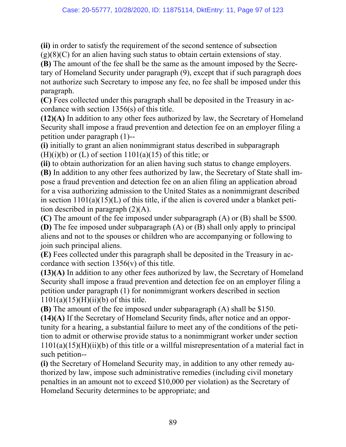**(ii)** in order to satisfy the requirement of the second sentence of subsection  $(g)(8)(C)$  for an alien having such status to obtain certain extensions of stay.

**(B)** The amount of the fee shall be the same as the amount imposed by the Secretary of Homeland Security under paragraph (9), except that if such paragraph does not authorize such Secretary to impose any fee, no fee shall be imposed under this paragraph.

**(C)** Fees collected under this paragraph shall be deposited in the Treasury in accordance with [section 1356\(s\)](https://1.next.westlaw.com/Link/Document/FullText?findType=L&pubNum=1000546&cite=8USCAS1356&originatingDoc=N86C712D0B64A11EAA6FAB66043C66295&refType=RB&originationContext=document&transitionType=DocumentItem&contextData=(sc.Document)#co_pp_822500008d090) of this title.

**(12)(A)** In addition to any other fees authorized by law, the Secretary of Homeland Security shall impose a fraud prevention and detection fee on an employer filing a petition under paragraph (1)--

**(i)** initially to grant an alien nonimmigrant status described in [subparagraph](https://1.next.westlaw.com/Link/Document/FullText?findType=L&pubNum=1000546&cite=8USCAS1101&originatingDoc=N86C712D0B64A11EAA6FAB66043C66295&refType=RB&originationContext=document&transitionType=DocumentItem&contextData=(sc.Document)#co_pp_3d8b000000090)   $(H)(i)(b)$  or  $(L)$  of section 1101(a)(15) of this title; or

**(ii)** to obtain authorization for an alien having such status to change employers.

**(B)** In addition to any other fees authorized by law, the Secretary of State shall impose a fraud prevention and detection fee on an alien filing an application abroad for a visa authorizing admission to the United States as a nonimmigrant described in section  $1101(a)(15)(L)$  of this title, if the alien is covered under a blanket petition described in paragraph (2)(A).

**(C)** The amount of the fee imposed under subparagraph (A) or (B) shall be \$500.

**(D)** The fee imposed under subparagraph (A) or (B) shall only apply to principal aliens and not to the spouses or children who are accompanying or following to join such principal aliens.

**(E)** Fees collected under this paragraph shall be deposited in the Treasury in accordance with section  $1356(v)$  of this title.

**(13)(A)** In addition to any other fees authorized by law, the Secretary of Homeland Security shall impose a fraud prevention and detection fee on an employer filing a petition under paragraph (1) for nonimmigrant workers described in [section](https://1.next.westlaw.com/Link/Document/FullText?findType=L&pubNum=1000546&cite=8USCAS1101&originatingDoc=N86C712D0B64A11EAA6FAB66043C66295&refType=RB&originationContext=document&transitionType=DocumentItem&contextData=(sc.Document)#co_pp_95fd0000195a2)   $1101(a)(15)(H)(ii)(b)$  of this title.

**(B)** The amount of the fee imposed under subparagraph (A) shall be \$150.

**(14)(A)** If the Secretary of Homeland Security finds, after notice and an opportunity for a hearing, a substantial failure to meet any of the conditions of the petition to admit or otherwise provide status to a nonimmigrant worker under [section](https://1.next.westlaw.com/Link/Document/FullText?findType=L&pubNum=1000546&cite=8USCAS1101&originatingDoc=N86C712D0B64A11EAA6FAB66043C66295&refType=RB&originationContext=document&transitionType=DocumentItem&contextData=(sc.Document)#co_pp_95fd0000195a2)   $1101(a)(15)(H)(ii)(b)$  of this title or a willful misrepresentation of a material fact in such petition--

**(i)** the Secretary of Homeland Security may, in addition to any other remedy authorized by law, impose such administrative remedies (including civil monetary penalties in an amount not to exceed \$10,000 per violation) as the Secretary of Homeland Security determines to be appropriate; and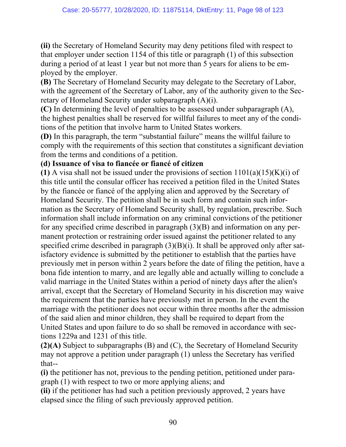**(ii)** the Secretary of Homeland Security may deny petitions filed with respect to that employer under [section 1154](https://1.next.westlaw.com/Link/Document/FullText?findType=L&pubNum=1000546&cite=8USCAS1154&originatingDoc=N86C712D0B64A11EAA6FAB66043C66295&refType=LQ&originationContext=document&transitionType=DocumentItem&contextData=(sc.Document)) of this title or paragraph (1) of this subsection during a period of at least 1 year but not more than 5 years for aliens to be employed by the employer.

**(B)** The Secretary of Homeland Security may delegate to the Secretary of Labor, with the agreement of the Secretary of Labor, any of the authority given to the Secretary of Homeland Security under subparagraph (A)(i).

**(C)** In determining the level of penalties to be assessed under subparagraph (A), the highest penalties shall be reserved for willful failures to meet any of the conditions of the petition that involve harm to United States workers.

**(D)** In this paragraph, the term "substantial failure" means the willful failure to comply with the requirements of this section that constitutes a significant deviation from the terms and conditions of a petition.

## **(d) Issuance of visa to fiancée or fiancé of citizen**

**(1)** A visa shall not be issued under the provisions of [section 1101\(a\)\(15\)\(K\)\(i\)](https://1.next.westlaw.com/Link/Document/FullText?findType=L&pubNum=1000546&cite=8USCAS1101&originatingDoc=N86C712D0B64A11EAA6FAB66043C66295&refType=RB&originationContext=document&transitionType=DocumentItem&contextData=(sc.Document)#co_pp_31620000837f3) of this title until the consular officer has received a petition filed in the United States by the fiancée or fiancé of the applying alien and approved by the Secretary of Homeland Security. The petition shall be in such form and contain such information as the Secretary of Homeland Security shall, by regulation, prescribe. Such information shall include information on any criminal convictions of the petitioner for any specified crime described in paragraph (3)(B) and information on any permanent protection or restraining order issued against the petitioner related to any specified crime described in paragraph (3)(B)(i). It shall be approved only after satisfactory evidence is submitted by the petitioner to establish that the parties have previously met in person within 2 years before the date of filing the petition, have a bona fide intention to marry, and are legally able and actually willing to conclude a valid marriage in the United States within a period of ninety days after the alien's arrival, except that the Secretary of Homeland Security in his discretion may waive the requirement that the parties have previously met in person. In the event the marriage with the petitioner does not occur within three months after the admission of the said alien and minor children, they shall be required to depart from the United States and upon failure to do so shall be removed in accordance with [sec](https://1.next.westlaw.com/Link/Document/FullText?findType=L&pubNum=1000546&cite=8USCAS1229A&originatingDoc=N86C712D0B64A11EAA6FAB66043C66295&refType=LQ&originationContext=document&transitionType=DocumentItem&contextData=(sc.Document))[tions 1229a](https://1.next.westlaw.com/Link/Document/FullText?findType=L&pubNum=1000546&cite=8USCAS1229A&originatingDoc=N86C712D0B64A11EAA6FAB66043C66295&refType=LQ&originationContext=document&transitionType=DocumentItem&contextData=(sc.Document)) and [1231](https://1.next.westlaw.com/Link/Document/FullText?findType=L&pubNum=1000546&cite=8USCAS1231&originatingDoc=N86C712D0B64A11EAA6FAB66043C66295&refType=LQ&originationContext=document&transitionType=DocumentItem&contextData=(sc.Document)) of this title.

**(2)(A)** Subject to subparagraphs (B) and (C), the Secretary of Homeland Security may not approve a petition under paragraph (1) unless the Secretary has verified that--

**(i)** the petitioner has not, previous to the pending petition, petitioned under paragraph (1) with respect to two or more applying aliens; and

**(ii)** if the petitioner has had such a petition previously approved, 2 years have elapsed since the filing of such previously approved petition.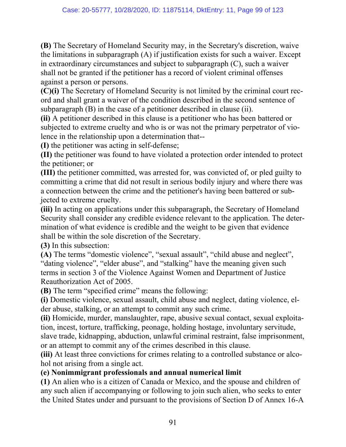**(B)** The Secretary of Homeland Security may, in the Secretary's discretion, waive the limitations in subparagraph (A) if justification exists for such a waiver. Except in extraordinary circumstances and subject to subparagraph (C), such a waiver shall not be granted if the petitioner has a record of violent criminal offenses against a person or persons.

**(C)(i)** The Secretary of Homeland Security is not limited by the criminal court record and shall grant a waiver of the condition described in the second sentence of subparagraph (B) in the case of a petitioner described in clause (ii).

**(ii)** A petitioner described in this clause is a petitioner who has been battered or subjected to extreme cruelty and who is or was not the primary perpetrator of violence in the relationship upon a determination that--

**(I)** the petitioner was acting in self-defense;

**(II)** the petitioner was found to have violated a protection order intended to protect the petitioner; or

**(III)** the petitioner committed, was arrested for, was convicted of, or pled guilty to committing a crime that did not result in serious bodily injury and where there was a connection between the crime and the petitioner's having been battered or subjected to extreme cruelty.

**(iii)** In acting on applications under this subparagraph, the Secretary of Homeland Security shall consider any credible evidence relevant to the application. The determination of what evidence is credible and the weight to be given that evidence shall be within the sole discretion of the Secretary.

**(3)** In this subsection:

**(A)** The terms "domestic violence", "sexual assault", "child abuse and neglect", "dating violence", "elder abuse", and "stalking" have the meaning given such terms in section 3 of the Violence Against Women and Department of Justice Reauthorization Act of 2005.

**(B)** The term "specified crime" means the following:

**(i)** Domestic violence, sexual assault, child abuse and neglect, dating violence, elder abuse, stalking, or an attempt to commit any such crime.

**(ii)** Homicide, murder, manslaughter, rape, abusive sexual contact, sexual exploitation, incest, torture, trafficking, peonage, holding hostage, involuntary servitude, slave trade, kidnapping, abduction, unlawful criminal restraint, false imprisonment, or an attempt to commit any of the crimes described in this clause.

**(iii)** At least three convictions for crimes relating to a controlled substance or alcohol not arising from a single act.

## **(e) Nonimmigrant professionals and annual numerical limit**

**(1)** An alien who is a citizen of Canada or Mexico, and the spouse and children of any such alien if accompanying or following to join such alien, who seeks to enter the United States under and pursuant to the provisions of Section D of Annex 16-A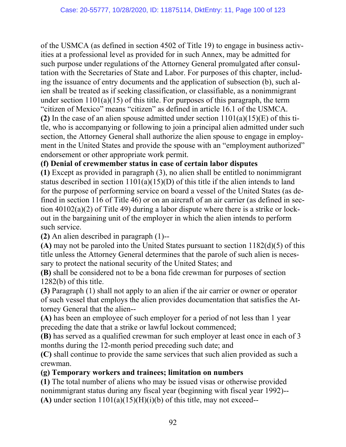of the USMCA (as defined in [section 4502 of Title 19\)](https://1.next.westlaw.com/Link/Document/FullText?findType=L&pubNum=1000546&cite=19USCAS4502&originatingDoc=N86C712D0B64A11EAA6FAB66043C66295&refType=LQ&originationContext=document&transitionType=DocumentItem&contextData=(sc.Document)) to engage in business activities at a professional level as provided for in such Annex, may be admitted for such purpose under regulations of the Attorney General promulgated after consultation with the Secretaries of State and Labor. For purposes of this chapter, including the issuance of entry documents and the application of subsection (b), such alien shall be treated as if seeking classification, or classifiable, as a nonimmigrant under section  $1101(a)(15)$  of this title. For purposes of this paragraph, the term "citizen of Mexico" means "citizen" as defined in article 16.1 of the USMCA. **(2)** In the case of an alien spouse admitted under [section 1101\(a\)\(15\)\(E\)](https://1.next.westlaw.com/Link/Document/FullText?findType=L&pubNum=1000546&cite=8USCAS1101&originatingDoc=N86C712D0B64A11EAA6FAB66043C66295&refType=RB&originationContext=document&transitionType=DocumentItem&contextData=(sc.Document)#co_pp_2a6a00004d5d2) of this title, who is accompanying or following to join a principal alien admitted under such section, the Attorney General shall authorize the alien spouse to engage in employment in the United States and provide the spouse with an "employment authorized" endorsement or other appropriate work permit.

## **(f) Denial of crewmember status in case of certain labor disputes**

**(1)** Except as provided in paragraph (3), no alien shall be entitled to nonimmigrant status described in section  $1101(a)(15)(D)$  of this title if the alien intends to land for the purpose of performing service on board a vessel of the United States (as defined in [section 116 of Title 46\)](https://1.next.westlaw.com/Link/Document/FullText?findType=L&pubNum=1000546&cite=46USCAS116&originatingDoc=N86C712D0B64A11EAA6FAB66043C66295&refType=LQ&originationContext=document&transitionType=DocumentItem&contextData=(sc.Document)) or on an aircraft of an air carrier (as defined in [sec](https://1.next.westlaw.com/Link/Document/FullText?findType=L&pubNum=1000546&cite=49USCAS40102&originatingDoc=N86C712D0B64A11EAA6FAB66043C66295&refType=RB&originationContext=document&transitionType=DocumentItem&contextData=(sc.Document)#co_pp_d86d0000be040)[tion 40102\(a\)\(2\) of Title 49\)](https://1.next.westlaw.com/Link/Document/FullText?findType=L&pubNum=1000546&cite=49USCAS40102&originatingDoc=N86C712D0B64A11EAA6FAB66043C66295&refType=RB&originationContext=document&transitionType=DocumentItem&contextData=(sc.Document)#co_pp_d86d0000be040) during a labor dispute where there is a strike or lockout in the bargaining unit of the employer in which the alien intends to perform such service.

**(2)** An alien described in paragraph (1)--

**(A)** may not be paroled into the United States pursuant to [section 1182\(d\)\(5\)](https://1.next.westlaw.com/Link/Document/FullText?findType=L&pubNum=1000546&cite=8USCAS1182&originatingDoc=N86C712D0B64A11EAA6FAB66043C66295&refType=RB&originationContext=document&transitionType=DocumentItem&contextData=(sc.Document)#co_pp_2eb800003b6b3) of this title unless the Attorney General determines that the parole of such alien is necessary to protect the national security of the United States; and

**(B)** shall be considered not to be a bona fide crewman for purposes of [section](https://1.next.westlaw.com/Link/Document/FullText?findType=L&pubNum=1000546&cite=8USCAS1282&originatingDoc=N86C712D0B64A11EAA6FAB66043C66295&refType=RB&originationContext=document&transitionType=DocumentItem&contextData=(sc.Document)#co_pp_a83b000018c76)  [1282\(b\)](https://1.next.westlaw.com/Link/Document/FullText?findType=L&pubNum=1000546&cite=8USCAS1282&originatingDoc=N86C712D0B64A11EAA6FAB66043C66295&refType=RB&originationContext=document&transitionType=DocumentItem&contextData=(sc.Document)#co_pp_a83b000018c76) of this title.

**(3)** Paragraph (1) shall not apply to an alien if the air carrier or owner or operator of such vessel that employs the alien provides documentation that satisfies the Attorney General that the alien--

**(A)** has been an employee of such employer for a period of not less than 1 year preceding the date that a strike or lawful lockout commenced;

**(B)** has served as a qualified crewman for such employer at least once in each of 3 months during the 12-month period preceding such date; and

**(C)** shall continue to provide the same services that such alien provided as such a crewman.

## **(g) Temporary workers and trainees; limitation on numbers**

**(1)** The total number of aliens who may be issued visas or otherwise provided nonimmigrant status during any fiscal year (beginning with fiscal year 1992)-- (A) under section  $1101(a)(15)(H)(i)(b)$  of this title, may not exceed--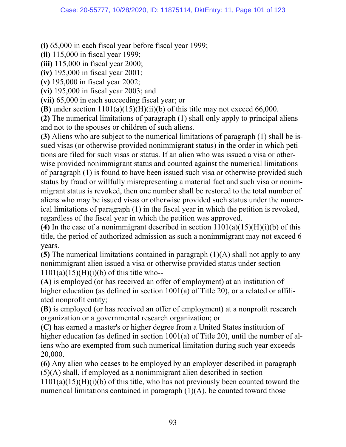**(i)** 65,000 in each fiscal year before fiscal year 1999;

**(ii)** 115,000 in fiscal year 1999;

**(iii)** 115,000 in fiscal year 2000;

**(iv)** 195,000 in fiscal year 2001;

**(v)** 195,000 in fiscal year 2002;

**(vi)** 195,000 in fiscal year 2003; and

**(vii)** 65,000 in each succeeding fiscal year; or

**(B)** under section  $1101(a)(15)(H)(ii)(b)$  of this title may not exceed 66,000.

**(2)** The numerical limitations of paragraph (1) shall only apply to principal aliens and not to the spouses or children of such aliens.

**(3)** Aliens who are subject to the numerical limitations of paragraph (1) shall be issued visas (or otherwise provided nonimmigrant status) in the order in which petitions are filed for such visas or status. If an alien who was issued a visa or otherwise provided nonimmigrant status and counted against the numerical limitations of paragraph (1) is found to have been issued such visa or otherwise provided such status by fraud or willfully misrepresenting a material fact and such visa or nonimmigrant status is revoked, then one number shall be restored to the total number of aliens who may be issued visas or otherwise provided such status under the numerical limitations of paragraph (1) in the fiscal year in which the petition is revoked, regardless of the fiscal year in which the petition was approved.

(4) In the case of a nonimmigrant described in section  $1101(a)(15)(H)(i)(b)$  of this title, the period of authorized admission as such a nonimmigrant may not exceed 6 years.

**(5)** The numerical limitations contained in paragraph (1)(A) shall not apply to any nonimmigrant alien issued a visa or otherwise provided status under [section](https://1.next.westlaw.com/Link/Document/FullText?findType=L&pubNum=1000546&cite=8USCAS1101&originatingDoc=N86C712D0B64A11EAA6FAB66043C66295&refType=RB&originationContext=document&transitionType=DocumentItem&contextData=(sc.Document)#co_pp_95fd0000195a2)   $1101(a)(15)(H)(i)(b)$  of this title who--

**(A)** is employed (or has received an offer of employment) at an institution of higher education (as defined in [section 1001\(a\) of Title 20\)](https://1.next.westlaw.com/Link/Document/FullText?findType=L&pubNum=1000546&cite=20USCAS1001&originatingDoc=N86C712D0B64A11EAA6FAB66043C66295&refType=RB&originationContext=document&transitionType=DocumentItem&contextData=(sc.Document)#co_pp_8b3b0000958a4), or a related or affiliated nonprofit entity;

**(B)** is employed (or has received an offer of employment) at a nonprofit research organization or a governmental research organization; or

**(C)** has earned a master's or higher degree from a United States institution of higher education (as defined in [section 1001\(a\) of Title 20\)](https://1.next.westlaw.com/Link/Document/FullText?findType=L&pubNum=1000546&cite=20USCAS1001&originatingDoc=N86C712D0B64A11EAA6FAB66043C66295&refType=RB&originationContext=document&transitionType=DocumentItem&contextData=(sc.Document)#co_pp_8b3b0000958a4), until the number of aliens who are exempted from such numerical limitation during such year exceeds 20,000.

**(6)** Any alien who ceases to be employed by an employer described in paragraph (5)(A) shall, if employed as a nonimmigrant alien described in [section](https://1.next.westlaw.com/Link/Document/FullText?findType=L&pubNum=1000546&cite=8USCAS1101&originatingDoc=N86C712D0B64A11EAA6FAB66043C66295&refType=RB&originationContext=document&transitionType=DocumentItem&contextData=(sc.Document)#co_pp_95fd0000195a2)   $1101(a)(15)(H)(i)$  of this title, who has not previously been counted toward the numerical limitations contained in paragraph  $(1)(A)$ , be counted toward those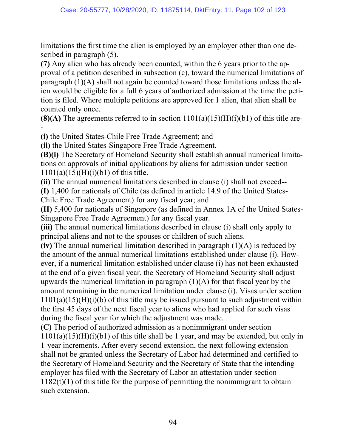limitations the first time the alien is employed by an employer other than one described in paragraph (5).

**(7)** Any alien who has already been counted, within the 6 years prior to the approval of a petition described in subsection (c), toward the numerical limitations of paragraph (1)(A) shall not again be counted toward those limitations unless the alien would be eligible for a full 6 years of authorized admission at the time the petition is filed. Where multiple petitions are approved for 1 alien, that alien shall be counted only once.

**(8)(A)** The agreements referred to in section  $1101(a)(15)(H)(i)(b1)$  of this title are--

**(i)** the United States-Chile Free Trade Agreement; and

**(ii)** the United States-Singapore Free Trade Agreement.

**(B)(i)** The Secretary of Homeland Security shall establish annual numerical limitations on approvals of initial applications by aliens for admission under [section](https://1.next.westlaw.com/Link/Document/FullText?findType=L&pubNum=1000546&cite=8USCAS1101&originatingDoc=N86C712D0B64A11EAA6FAB66043C66295&refType=RB&originationContext=document&transitionType=DocumentItem&contextData=(sc.Document)#co_pp_95fd0000195a2)   $1101(a)(15)(H)(i)(b1)$  of this title.

**(ii)** The annual numerical limitations described in clause (i) shall not exceed--

**(I)** 1,400 for nationals of Chile (as defined in article 14.9 of the United States-

Chile Free Trade Agreement) for any fiscal year; and

**(II)** 5,400 for nationals of Singapore (as defined in Annex 1A of the United States-Singapore Free Trade Agreement) for any fiscal year.

**(iii)** The annual numerical limitations described in clause (i) shall only apply to principal aliens and not to the spouses or children of such aliens.

**(iv)** The annual numerical limitation described in paragraph (1)(A) is reduced by the amount of the annual numerical limitations established under clause (i). However, if a numerical limitation established under clause (i) has not been exhausted at the end of a given fiscal year, the Secretary of Homeland Security shall adjust upwards the numerical limitation in paragraph  $(1)(A)$  for that fiscal year by the amount remaining in the numerical limitation under clause (i). Visas under [section](https://1.next.westlaw.com/Link/Document/FullText?findType=L&pubNum=1000546&cite=8USCAS1101&originatingDoc=N86C712D0B64A11EAA6FAB66043C66295&refType=RB&originationContext=document&transitionType=DocumentItem&contextData=(sc.Document)#co_pp_95fd0000195a2)   $1101(a)(15)(H)(i)$  of this title may be issued pursuant to such adjustment within the first 45 days of the next fiscal year to aliens who had applied for such visas during the fiscal year for which the adjustment was made.

**(C)** The period of authorized admission as a nonimmigrant under [section](https://1.next.westlaw.com/Link/Document/FullText?findType=L&pubNum=1000546&cite=8USCAS1101&originatingDoc=N86C712D0B64A11EAA6FAB66043C66295&refType=RB&originationContext=document&transitionType=DocumentItem&contextData=(sc.Document)#co_pp_95fd0000195a2)   $1101(a)(15)(H)(i)(b)$  of this title shall be 1 year, and may be extended, but only in 1-year increments. After every second extension, the next following extension shall not be granted unless the Secretary of Labor had determined and certified to the Secretary of Homeland Security and the Secretary of State that the intending employer has filed with the Secretary of Labor an attestation under [section](https://1.next.westlaw.com/Link/Document/FullText?findType=L&pubNum=1000546&cite=8USCAS1182&originatingDoc=N86C712D0B64A11EAA6FAB66043C66295&refType=RB&originationContext=document&transitionType=DocumentItem&contextData=(sc.Document)#co_pp_68d40000aadd6)   $1182(t)(1)$  of this title for the purpose of permitting the nonimmigrant to obtain such extension.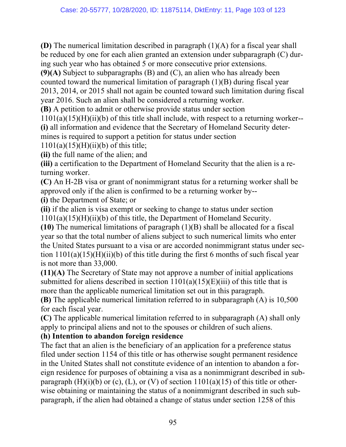**(D)** The numerical limitation described in paragraph (1)(A) for a fiscal year shall be reduced by one for each alien granted an extension under subparagraph (C) during such year who has obtained 5 or more consecutive prior extensions.

**(9)(A)** Subject to subparagraphs (B) and (C), an alien who has already been counted toward the numerical limitation of paragraph (1)(B) during fiscal year 2013, 2014, or 2015 shall not again be counted toward such limitation during fiscal year 2016. Such an alien shall be considered a returning worker.

**(B)** A petition to admit or otherwise provide status under [section](https://1.next.westlaw.com/Link/Document/FullText?findType=L&pubNum=1000546&cite=8USCAS1101&originatingDoc=N86C712D0B64A11EAA6FAB66043C66295&refType=RB&originationContext=document&transitionType=DocumentItem&contextData=(sc.Document)#co_pp_95fd0000195a2) 

 $1101(a)(15)(H)(ii)(b)$  of this title shall include, with respect to a returning worker--**(i)** all information and evidence that the Secretary of Homeland Security determines is required to support a petition for status under [section](https://1.next.westlaw.com/Link/Document/FullText?findType=L&pubNum=1000546&cite=8USCAS1101&originatingDoc=N86C712D0B64A11EAA6FAB66043C66295&refType=RB&originationContext=document&transitionType=DocumentItem&contextData=(sc.Document)#co_pp_95fd0000195a2) 

 $1101(a)(15)(H)(ii)(b)$  of this title;

**(ii)** the full name of the alien; and

**(iii)** a certification to the Department of Homeland Security that the alien is a returning worker.

**(C)** An H-2B visa or grant of nonimmigrant status for a returning worker shall be approved only if the alien is confirmed to be a returning worker by--

**(i)** the Department of State; or

**(ii)** if the alien is visa exempt or seeking to change to status under [section](https://1.next.westlaw.com/Link/Document/FullText?findType=L&pubNum=1000546&cite=8USCAS1101&originatingDoc=N86C712D0B64A11EAA6FAB66043C66295&refType=RB&originationContext=document&transitionType=DocumentItem&contextData=(sc.Document)#co_pp_95fd0000195a2)  [1101\(a\)\(15\)\(H\)\(ii\)\(b\)](https://1.next.westlaw.com/Link/Document/FullText?findType=L&pubNum=1000546&cite=8USCAS1101&originatingDoc=N86C712D0B64A11EAA6FAB66043C66295&refType=RB&originationContext=document&transitionType=DocumentItem&contextData=(sc.Document)#co_pp_95fd0000195a2) of this title, the Department of Homeland Security.

**(10)** The numerical limitations of paragraph (1)(B) shall be allocated for a fiscal year so that the total number of aliens subject to such numerical limits who enter the United States pursuant to a visa or are accorded nonimmigrant status under [sec](https://1.next.westlaw.com/Link/Document/FullText?findType=L&pubNum=1000546&cite=8USCAS1101&originatingDoc=N86C712D0B64A11EAA6FAB66043C66295&refType=RB&originationContext=document&transitionType=DocumentItem&contextData=(sc.Document)#co_pp_95fd0000195a2)tion  $1101(a)(15)(H)(ii)(b)$  of this title during the first 6 months of such fiscal year is not more than 33,000.

**(11)(A)** The Secretary of State may not approve a number of initial applications submitted for aliens described in section  $1101(a)(15)(E)(iii)$  of this title that is more than the applicable numerical limitation set out in this paragraph.

**(B)** The applicable numerical limitation referred to in subparagraph (A) is 10,500 for each fiscal year.

**(C)** The applicable numerical limitation referred to in subparagraph (A) shall only apply to principal aliens and not to the spouses or children of such aliens.

## **(h) Intention to abandon foreign residence**

The fact that an alien is the beneficiary of an application for a preference status filed under [section 1154](https://1.next.westlaw.com/Link/Document/FullText?findType=L&pubNum=1000546&cite=8USCAS1154&originatingDoc=N86C712D0B64A11EAA6FAB66043C66295&refType=LQ&originationContext=document&transitionType=DocumentItem&contextData=(sc.Document)) of this title or has otherwise sought permanent residence in the United States shall not constitute evidence of an intention to abandon a foreign residence for purposes of obtaining a visa as a nonimmigrant described in [sub](https://1.next.westlaw.com/Link/Document/FullText?findType=L&pubNum=1000546&cite=8USCAS1101&originatingDoc=N86C712D0B64A11EAA6FAB66043C66295&refType=RB&originationContext=document&transitionType=DocumentItem&contextData=(sc.Document)#co_pp_3d8b000000090)paragraph  $(H)(i)(b)$  or  $(c)$ ,  $(L)$ , or  $(V)$  of section  $1101(a)(15)$  of this title or otherwise obtaining or maintaining the status of a nonimmigrant described in such subparagraph, if the alien had obtained a change of status under [section 1258](https://1.next.westlaw.com/Link/Document/FullText?findType=L&pubNum=1000546&cite=8USCAS1258&originatingDoc=N86C712D0B64A11EAA6FAB66043C66295&refType=LQ&originationContext=document&transitionType=DocumentItem&contextData=(sc.Document)) of this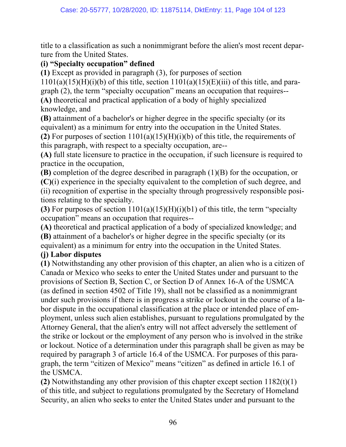title to a classification as such a nonimmigrant before the alien's most recent departure from the United States.

## **(i) "Specialty occupation" defined**

**(1)** Except as provided in paragraph (3), for purposes of [section](https://1.next.westlaw.com/Link/Document/FullText?findType=L&pubNum=1000546&cite=8USCAS1101&originatingDoc=N86C712D0B64A11EAA6FAB66043C66295&refType=RB&originationContext=document&transitionType=DocumentItem&contextData=(sc.Document)#co_pp_95fd0000195a2) 

 $1101(a)(15)(H)(i)$  of this title, section  $1101(a)(15)(E)(iii)$  of this title, and paragraph (2), the term "specialty occupation" means an occupation that requires-- **(A)** theoretical and practical application of a body of highly specialized knowledge, and

**(B)** attainment of a bachelor's or higher degree in the specific specialty (or its equivalent) as a minimum for entry into the occupation in the United States.

**(2)** For purposes of [section 1101\(a\)\(15\)\(H\)\(i\)\(b\)](https://1.next.westlaw.com/Link/Document/FullText?findType=L&pubNum=1000546&cite=8USCAS1101&originatingDoc=N86C712D0B64A11EAA6FAB66043C66295&refType=RB&originationContext=document&transitionType=DocumentItem&contextData=(sc.Document)#co_pp_95fd0000195a2) of this title, the requirements of this paragraph, with respect to a specialty occupation, are--

**(A)** full state licensure to practice in the occupation, if such licensure is required to practice in the occupation,

**(B)** completion of the degree described in paragraph (1)(B) for the occupation, or **(C)**(i) experience in the specialty equivalent to the completion of such degree, and (ii) recognition of expertise in the specialty through progressively responsible positions relating to the specialty.

**(3)** For purposes of [section 1101\(a\)\(15\)\(H\)\(i\)\(b1\)](https://1.next.westlaw.com/Link/Document/FullText?findType=L&pubNum=1000546&cite=8USCAS1101&originatingDoc=N86C712D0B64A11EAA6FAB66043C66295&refType=RB&originationContext=document&transitionType=DocumentItem&contextData=(sc.Document)#co_pp_95fd0000195a2) of this title, the term "specialty occupation" means an occupation that requires--

**(A)** theoretical and practical application of a body of specialized knowledge; and **(B)** attainment of a bachelor's or higher degree in the specific specialty (or its equivalent) as a minimum for entry into the occupation in the United States.

## **(j) Labor disputes**

**(1)** Notwithstanding any other provision of this chapter, an alien who is a citizen of Canada or Mexico who seeks to enter the United States under and pursuant to the provisions of Section B, Section C, or Section D of Annex 16-A of the USMCA (as defined in [section 4502 of Title 19\)](https://1.next.westlaw.com/Link/Document/FullText?findType=L&pubNum=1000546&cite=19USCAS4502&originatingDoc=N86C712D0B64A11EAA6FAB66043C66295&refType=LQ&originationContext=document&transitionType=DocumentItem&contextData=(sc.Document)), shall not be classified as a nonimmigrant under such provisions if there is in progress a strike or lockout in the course of a labor dispute in the occupational classification at the place or intended place of employment, unless such alien establishes, pursuant to regulations promulgated by the Attorney General, that the alien's entry will not affect adversely the settlement of the strike or lockout or the employment of any person who is involved in the strike or lockout. Notice of a determination under this paragraph shall be given as may be required by paragraph 3 of article 16.4 of the USMCA. For purposes of this paragraph, the term "citizen of Mexico" means "citizen" as defined in article 16.1 of the USMCA.

**(2)** Notwithstanding any other provision of this chapter except [section 1182\(t\)\(1\)](https://1.next.westlaw.com/Link/Document/FullText?findType=L&pubNum=1000546&cite=8USCAS1182&originatingDoc=N86C712D0B64A11EAA6FAB66043C66295&refType=RB&originationContext=document&transitionType=DocumentItem&contextData=(sc.Document)#co_pp_68d40000aadd6) of this title, and subject to regulations promulgated by the Secretary of Homeland Security, an alien who seeks to enter the United States under and pursuant to the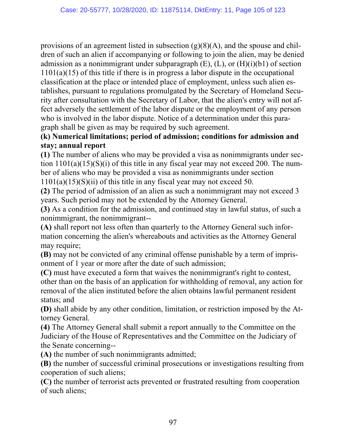provisions of an agreement listed in subsection  $(g)(8)(A)$ , and the spouse and children of such an alien if accompanying or following to join the alien, may be denied admission as a nonimmigrant under subparagraph  $(E)$ ,  $(L)$ , or  $(H)(i)(b1)$  of section  $1101(a)(15)$  of this title if there is in progress a labor dispute in the occupational classification at the place or intended place of employment, unless such alien establishes, pursuant to regulations promulgated by the Secretary of Homeland Security after consultation with the Secretary of Labor, that the alien's entry will not affect adversely the settlement of the labor dispute or the employment of any person who is involved in the labor dispute. Notice of a determination under this paragraph shall be given as may be required by such agreement.

## **(k) Numerical limitations; period of admission; conditions for admission and stay; annual report**

**(1)** The number of aliens who may be provided a visa as nonimmigrants under [sec](https://1.next.westlaw.com/Link/Document/FullText?findType=L&pubNum=1000546&cite=8USCAS1101&originatingDoc=N86C712D0B64A11EAA6FAB66043C66295&refType=RB&originationContext=document&transitionType=DocumentItem&contextData=(sc.Document)#co_pp_09d100004c4e2)tion  $1101(a)(15)(S)(i)$  of this title in any fiscal year may not exceed 200. The number of aliens who may be provided a visa as nonimmigrants under [section](https://1.next.westlaw.com/Link/Document/FullText?findType=L&pubNum=1000546&cite=8USCAS1101&originatingDoc=N86C712D0B64A11EAA6FAB66043C66295&refType=RB&originationContext=document&transitionType=DocumentItem&contextData=(sc.Document)#co_pp_ce430000ae050)   $1101(a)(15)(S(i))$  of this title in any fiscal year may not exceed 50.

**(2)** The period of admission of an alien as such a nonimmigrant may not exceed 3 years. Such period may not be extended by the Attorney General.

**(3)** As a condition for the admission, and continued stay in lawful status, of such a nonimmigrant, the nonimmigrant--

**(A)** shall report not less often than quarterly to the Attorney General such information concerning the alien's whereabouts and activities as the Attorney General may require;

**(B)** may not be convicted of any criminal offense punishable by a term of imprisonment of 1 year or more after the date of such admission;

**(C)** must have executed a form that waives the nonimmigrant's right to contest, other than on the basis of an application for withholding of removal, any action for removal of the alien instituted before the alien obtains lawful permanent resident status; and

**(D)** shall abide by any other condition, limitation, or restriction imposed by the Attorney General.

**(4)** The Attorney General shall submit a report annually to the Committee on the Judiciary of the House of Representatives and the Committee on the Judiciary of the Senate concerning--

**(A)** the number of such nonimmigrants admitted;

**(B)** the number of successful criminal prosecutions or investigations resulting from cooperation of such aliens;

**(C)** the number of terrorist acts prevented or frustrated resulting from cooperation of such aliens;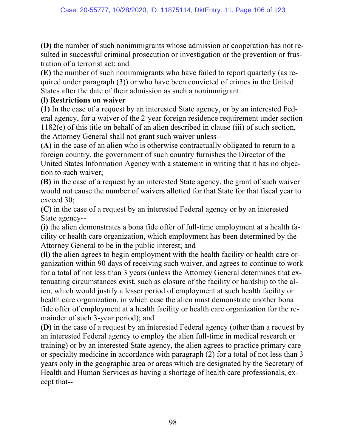**(D)** the number of such nonimmigrants whose admission or cooperation has not resulted in successful criminal prosecution or investigation or the prevention or frustration of a terrorist act; and

**(E)** the number of such nonimmigrants who have failed to report quarterly (as required under paragraph (3)) or who have been convicted of crimes in the United States after the date of their admission as such a nonimmigrant.

#### **(l) Restrictions on waiver**

**(1)** In the case of a request by an interested State agency, or by an interested Federal agency, for a waiver of the 2-year foreign residence requirement under [section](https://1.next.westlaw.com/Link/Document/FullText?findType=L&pubNum=1000546&cite=8USCAS1182&originatingDoc=N86C712D0B64A11EAA6FAB66043C66295&refType=RB&originationContext=document&transitionType=DocumentItem&contextData=(sc.Document)#co_pp_7fdd00001ca15)  [1182\(e\)](https://1.next.westlaw.com/Link/Document/FullText?findType=L&pubNum=1000546&cite=8USCAS1182&originatingDoc=N86C712D0B64A11EAA6FAB66043C66295&refType=RB&originationContext=document&transitionType=DocumentItem&contextData=(sc.Document)#co_pp_7fdd00001ca15) of this title on behalf of an alien described in clause (iii) of such section, the Attorney General shall not grant such waiver unless--

**(A)** in the case of an alien who is otherwise contractually obligated to return to a foreign country, the government of such country furnishes the Director of the United States Information Agency with a statement in writing that it has no objection to such waiver;

**(B)** in the case of a request by an interested State agency, the grant of such waiver would not cause the number of waivers allotted for that State for that fiscal year to exceed 30;

**(C)** in the case of a request by an interested Federal agency or by an interested State agency--

**(i)** the alien demonstrates a bona fide offer of full-time employment at a health facility or health care organization, which employment has been determined by the Attorney General to be in the public interest; and

**(ii)** the alien agrees to begin employment with the health facility or health care organization within 90 days of receiving such waiver, and agrees to continue to work for a total of not less than 3 years (unless the Attorney General determines that extenuating circumstances exist, such as closure of the facility or hardship to the alien, which would justify a lesser period of employment at such health facility or health care organization, in which case the alien must demonstrate another bona fide offer of employment at a health facility or health care organization for the remainder of such 3-year period); and

**(D)** in the case of a request by an interested Federal agency (other than a request by an interested Federal agency to employ the alien full-time in medical research or training) or by an interested State agency, the alien agrees to practice primary care or specialty medicine in accordance with paragraph (2) for a total of not less than 3 years only in the geographic area or areas which are designated by the Secretary of Health and Human Services as having a shortage of health care professionals, except that--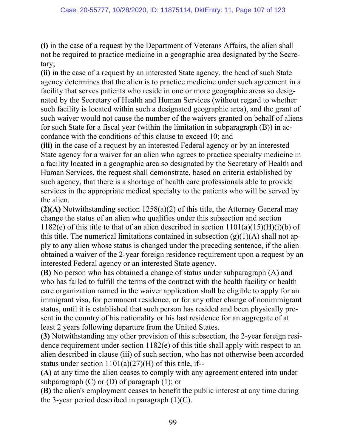**(i)** in the case of a request by the Department of Veterans Affairs, the alien shall not be required to practice medicine in a geographic area designated by the Secretary;

**(ii)** in the case of a request by an interested State agency, the head of such State agency determines that the alien is to practice medicine under such agreement in a facility that serves patients who reside in one or more geographic areas so designated by the Secretary of Health and Human Services (without regard to whether such facility is located within such a designated geographic area), and the grant of such waiver would not cause the number of the waivers granted on behalf of aliens for such State for a fiscal year (within the limitation in subparagraph (B)) in accordance with the conditions of this clause to exceed 10; and

**(iii)** in the case of a request by an interested Federal agency or by an interested State agency for a waiver for an alien who agrees to practice specialty medicine in a facility located in a geographic area so designated by the Secretary of Health and Human Services, the request shall demonstrate, based on criteria established by such agency, that there is a shortage of health care professionals able to provide services in the appropriate medical specialty to the patients who will be served by the alien.

**(2)(A)** Notwithstanding [section 1258\(a\)\(2\)](https://1.next.westlaw.com/Link/Document/FullText?findType=L&pubNum=1000546&cite=8USCAS1258&originatingDoc=N86C712D0B64A11EAA6FAB66043C66295&refType=RB&originationContext=document&transitionType=DocumentItem&contextData=(sc.Document)#co_pp_d86d0000be040) of this title, the Attorney General may change the status of an alien who qualifies under this subsection and [section](https://1.next.westlaw.com/Link/Document/FullText?findType=L&pubNum=1000546&cite=8USCAS1182&originatingDoc=N86C712D0B64A11EAA6FAB66043C66295&refType=RB&originationContext=document&transitionType=DocumentItem&contextData=(sc.Document)#co_pp_7fdd00001ca15)  [1182\(e\)](https://1.next.westlaw.com/Link/Document/FullText?findType=L&pubNum=1000546&cite=8USCAS1182&originatingDoc=N86C712D0B64A11EAA6FAB66043C66295&refType=RB&originationContext=document&transitionType=DocumentItem&contextData=(sc.Document)#co_pp_7fdd00001ca15) of this title to that of an alien described in section  $1101(a)(15)(H)(i)(b)$  of this title. The numerical limitations contained in subsection  $(g)(1)(A)$  shall not apply to any alien whose status is changed under the preceding sentence, if the alien obtained a waiver of the 2-year foreign residence requirement upon a request by an interested Federal agency or an interested State agency.

**(B)** No person who has obtained a change of status under subparagraph (A) and who has failed to fulfill the terms of the contract with the health facility or health care organization named in the waiver application shall be eligible to apply for an immigrant visa, for permanent residence, or for any other change of nonimmigrant status, until it is established that such person has resided and been physically present in the country of his nationality or his last residence for an aggregate of at least 2 years following departure from the United States.

**(3)** Notwithstanding any other provision of this subsection, the 2-year foreign residence requirement under [section 1182\(e\)](https://1.next.westlaw.com/Link/Document/FullText?findType=L&pubNum=1000546&cite=8USCAS1182&originatingDoc=N86C712D0B64A11EAA6FAB66043C66295&refType=RB&originationContext=document&transitionType=DocumentItem&contextData=(sc.Document)#co_pp_7fdd00001ca15) of this title shall apply with respect to an alien described in clause (iii) of such section, who has not otherwise been accorded status under section  $1101(a)(27)(H)$  of this title, if--

**(A)** at any time the alien ceases to comply with any agreement entered into under subparagraph  $(C)$  or  $(D)$  of paragraph  $(1)$ ; or

**(B)** the alien's employment ceases to benefit the public interest at any time during the 3-year period described in paragraph  $(1)(C)$ .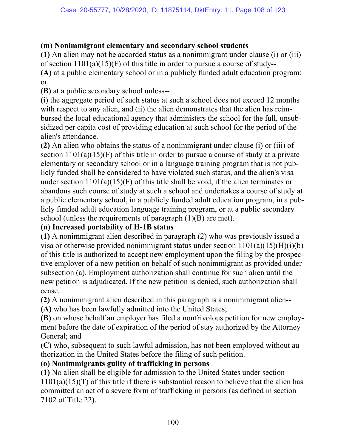## **(m) Nonimmigrant elementary and secondary school students**

**(1)** An alien may not be accorded status as a nonimmigrant under [clause \(i\)](https://1.next.westlaw.com/Link/Document/FullText?findType=L&pubNum=1000546&cite=8USCAS1101&originatingDoc=N86C712D0B64A11EAA6FAB66043C66295&refType=RB&originationContext=document&transitionType=DocumentItem&contextData=(sc.Document)#co_pp_bacf0000b2130) or [\(iii\)](https://1.next.westlaw.com/Link/Document/FullText?findType=L&pubNum=1000546&cite=8USCAS1101&originatingDoc=N86C712D0B64A11EAA6FAB66043C66295&refType=RB&originationContext=document&transitionType=DocumentItem&contextData=(sc.Document)#co_pp_bacf0000b2130)  of section  $1101(a)(15)(F)$  of this title in order to pursue a course of study--**(A)** at a public elementary school or in a publicly funded adult education program; or

**(B)** at a public secondary school unless--

(i) the aggregate period of such status at such a school does not exceed 12 months with respect to any alien, and (ii) the alien demonstrates that the alien has reimbursed the local educational agency that administers the school for the full, unsubsidized per capita cost of providing education at such school for the period of the alien's attendance.

**(2)** An alien who obtains the status of a nonimmigrant under [clause \(i\)](https://1.next.westlaw.com/Link/Document/FullText?findType=L&pubNum=1000546&cite=8USCAS1101&originatingDoc=N86C712D0B64A11EAA6FAB66043C66295&refType=RB&originationContext=document&transitionType=DocumentItem&contextData=(sc.Document)#co_pp_bacf0000b2130) or [\(iii\) of](https://1.next.westlaw.com/Link/Document/FullText?findType=L&pubNum=1000546&cite=8USCAS1101&originatingDoc=N86C712D0B64A11EAA6FAB66043C66295&refType=RB&originationContext=document&transitionType=DocumentItem&contextData=(sc.Document)#co_pp_bacf0000b2130) section  $1101(a)(15)(F)$  of this title in order to pursue a course of study at a private elementary or secondary school or in a language training program that is not publicly funded shall be considered to have violated such status, and the alien's visa under section  $1101(a)(15)(F)$  of this title shall be void, if the alien terminates or abandons such course of study at such a school and undertakes a course of study at a public elementary school, in a publicly funded adult education program, in a publicly funded adult education language training program, or at a public secondary school (unless the requirements of paragraph (1)(B) are met).

#### **(n) Increased portability of H-1B status**

**(1)** A nonimmigrant alien described in paragraph (2) who was previously issued a visa or otherwise provided nonimmigrant status under section  $1101(a)(15)(H)(i)(b)$ of this title is authorized to accept new employment upon the filing by the prospective employer of a new petition on behalf of such nonimmigrant as provided under subsection (a). Employment authorization shall continue for such alien until the new petition is adjudicated. If the new petition is denied, such authorization shall cease.

**(2)** A nonimmigrant alien described in this paragraph is a nonimmigrant alien--

**(A)** who has been lawfully admitted into the United States;

**(B)** on whose behalf an employer has filed a nonfrivolous petition for new employment before the date of expiration of the period of stay authorized by the Attorney General; and

**(C)** who, subsequent to such lawful admission, has not been employed without authorization in the United States before the filing of such petition.

## **(o) Nonimmigrants guilty of trafficking in persons**

**(1)** No alien shall be eligible for admission to the United States under [section](https://1.next.westlaw.com/Link/Document/FullText?findType=L&pubNum=1000546&cite=8USCAS1101&originatingDoc=N86C712D0B64A11EAA6FAB66043C66295&refType=RB&originationContext=document&transitionType=DocumentItem&contextData=(sc.Document)#co_pp_bd62000042d66)   $1101(a)(15)(T)$  of this title if there is substantial reason to believe that the alien has committed an act of a severe form of trafficking in persons (as defined in [section](https://1.next.westlaw.com/Link/Document/FullText?findType=L&pubNum=1000546&cite=22USCAS7102&originatingDoc=N86C712D0B64A11EAA6FAB66043C66295&refType=LQ&originationContext=document&transitionType=DocumentItem&contextData=(sc.Document))  [7102 of Title 22\)](https://1.next.westlaw.com/Link/Document/FullText?findType=L&pubNum=1000546&cite=22USCAS7102&originatingDoc=N86C712D0B64A11EAA6FAB66043C66295&refType=LQ&originationContext=document&transitionType=DocumentItem&contextData=(sc.Document)).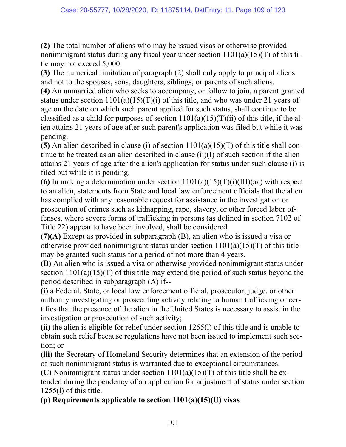**(2)** The total number of aliens who may be issued visas or otherwise provided nonimmigrant status during any fiscal year under [section 1101\(a\)\(15\)\(T\)](https://1.next.westlaw.com/Link/Document/FullText?findType=L&pubNum=1000546&cite=8USCAS1101&originatingDoc=N86C712D0B64A11EAA6FAB66043C66295&refType=RB&originationContext=document&transitionType=DocumentItem&contextData=(sc.Document)#co_pp_bd62000042d66) of this title may not exceed 5,000.

**(3)** The numerical limitation of paragraph (2) shall only apply to principal aliens and not to the spouses, sons, daughters, siblings, or parents of such aliens.

**(4)** An unmarried alien who seeks to accompany, or follow to join, a parent granted status under section  $1101(a)(15)(T)(i)$  of this title, and who was under 21 years of age on the date on which such parent applied for such status, shall continue to be classified as a child for purposes of section  $1101(a)(15)(T)(ii)$  of this title, if the alien attains 21 years of age after such parent's application was filed but while it was pending.

**(5)** An alien described in [clause \(i\) of section 1101\(a\)\(15\)\(T\)](https://1.next.westlaw.com/Link/Document/FullText?findType=L&pubNum=1000546&cite=8USCAS1101&originatingDoc=N86C712D0B64A11EAA6FAB66043C66295&refType=RB&originationContext=document&transitionType=DocumentItem&contextData=(sc.Document)#co_pp_bd62000042d66) of this title shall continue to be treated as an alien described in clause  $(ii)(I)$  of such section if the alien attains 21 years of age after the alien's application for status under such clause (i) is filed but while it is pending.

**(6)** In making a determination under [section 1101\(a\)\(15\)\(T\)\(i\)\(III\)\(aa\)](https://1.next.westlaw.com/Link/Document/FullText?findType=L&pubNum=1000546&cite=8USCAS1101&originatingDoc=N86C712D0B64A11EAA6FAB66043C66295&refType=RB&originationContext=document&transitionType=DocumentItem&contextData=(sc.Document)#co_pp_0123000089ab5) with respect to an alien, statements from State and local law enforcement officials that the alien has complied with any reasonable request for assistance in the investigation or prosecution of crimes such as kidnapping, rape, slavery, or other forced labor offenses, where severe forms of trafficking in persons (as defined in [section 7102 of](https://1.next.westlaw.com/Link/Document/FullText?findType=L&pubNum=1000546&cite=22USCAS7102&originatingDoc=N86C712D0B64A11EAA6FAB66043C66295&refType=LQ&originationContext=document&transitionType=DocumentItem&contextData=(sc.Document))  [Title 22\)](https://1.next.westlaw.com/Link/Document/FullText?findType=L&pubNum=1000546&cite=22USCAS7102&originatingDoc=N86C712D0B64A11EAA6FAB66043C66295&refType=LQ&originationContext=document&transitionType=DocumentItem&contextData=(sc.Document)) appear to have been involved, shall be considered.

**(7)(A)** Except as provided in subparagraph (B), an alien who is issued a visa or otherwise provided nonimmigrant status under section  $1101(a)(15)(T)$  of this title may be granted such status for a period of not more than 4 years.

**(B)** An alien who is issued a visa or otherwise provided nonimmigrant status under section  $1101(a)(15)(T)$  of this title may extend the period of such status beyond the period described in subparagraph (A) if--

**(i)** a Federal, State, or local law enforcement official, prosecutor, judge, or other authority investigating or prosecuting activity relating to human trafficking or certifies that the presence of the alien in the United States is necessary to assist in the investigation or prosecution of such activity;

**(ii)** the alien is eligible for relief under [section 1255\(l\)](https://1.next.westlaw.com/Link/Document/FullText?findType=L&pubNum=1000546&cite=8USCAS1255&originatingDoc=N86C712D0B64A11EAA6FAB66043C66295&refType=RB&originationContext=document&transitionType=DocumentItem&contextData=(sc.Document)#co_pp_3cd1000064020) of this title and is unable to obtain such relief because regulations have not been issued to implement such section; or

**(iii)** the Secretary of Homeland Security determines that an extension of the period of such nonimmigrant status is warranted due to exceptional circumstances.

**(C)** Nonimmigrant status under [section 1101\(a\)\(15\)\(T\)](https://1.next.westlaw.com/Link/Document/FullText?findType=L&pubNum=1000546&cite=8USCAS1101&originatingDoc=N86C712D0B64A11EAA6FAB66043C66295&refType=RB&originationContext=document&transitionType=DocumentItem&contextData=(sc.Document)#co_pp_bd62000042d66) of this title shall be extended during the pendency of an application for adjustment of status under [section](https://1.next.westlaw.com/Link/Document/FullText?findType=L&pubNum=1000546&cite=8USCAS1255&originatingDoc=N86C712D0B64A11EAA6FAB66043C66295&refType=RB&originationContext=document&transitionType=DocumentItem&contextData=(sc.Document)#co_pp_3cd1000064020)  [1255\(l\)](https://1.next.westlaw.com/Link/Document/FullText?findType=L&pubNum=1000546&cite=8USCAS1255&originatingDoc=N86C712D0B64A11EAA6FAB66043C66295&refType=RB&originationContext=document&transitionType=DocumentItem&contextData=(sc.Document)#co_pp_3cd1000064020) of this title.

## **(p) Requirements applicable to [section 1101\(a\)\(15\)\(U\)](https://1.next.westlaw.com/Link/Document/FullText?findType=L&pubNum=1000546&cite=8USCAS1101&originatingDoc=N86C712D0B64A11EAA6FAB66043C66295&refType=RB&originationContext=document&transitionType=DocumentItem&contextData=(sc.Document)#co_pp_9b7500003fd26) visas**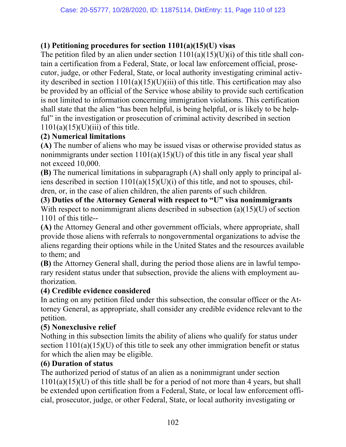## **(1) Petitioning procedures for [section 1101\(a\)\(15\)\(U\)](https://1.next.westlaw.com/Link/Document/FullText?findType=L&pubNum=1000546&cite=8USCAS1101&originatingDoc=N86C712D0B64A11EAA6FAB66043C66295&refType=RB&originationContext=document&transitionType=DocumentItem&contextData=(sc.Document)#co_pp_9b7500003fd26) visas**

The petition filed by an alien under section  $1101(a)(15)(U)(i)$  of this title shall contain a certification from a Federal, State, or local law enforcement official, prosecutor, judge, or other Federal, State, or local authority investigating criminal activity described in section  $1101(a)(15)(U)(iii)$  of this title. This certification may also be provided by an official of the Service whose ability to provide such certification is not limited to information concerning immigration violations. This certification shall state that the alien "has been helpful, is being helpful, or is likely to be helpful" in the investigation or prosecution of criminal activity described in section  $1101(a)(15)(U)(iii)$  of this title.

## **(2) Numerical limitations**

**(A)** The number of aliens who may be issued visas or otherwise provided status as nonimmigrants under section  $1101(a)(15)(U)$  of this title in any fiscal year shall not exceed 10,000.

**(B)** The numerical limitations in subparagraph (A) shall only apply to principal aliens described in section  $1101(a)(15)(U)(i)$  of this title, and not to spouses, children, or, in the case of alien children, the alien parents of such children.

**(3) Duties of the Attorney General with respect to "U" visa nonimmigrants** With respect to nonimmigrant aliens described in subsection (a)(15)(U) of section [1101](https://1.next.westlaw.com/Link/Document/FullText?findType=L&pubNum=1000546&cite=8USCAS1101&originatingDoc=N86C712D0B64A11EAA6FAB66043C66295&refType=RB&originationContext=document&transitionType=DocumentItem&contextData=(sc.Document)#co_pp_9b7500003fd26) of this title--

**(A)** the Attorney General and other government officials, where appropriate, shall provide those aliens with referrals to nongovernmental organizations to advise the aliens regarding their options while in the United States and the resources available to them; and

**(B)** the Attorney General shall, during the period those aliens are in lawful temporary resident status under that subsection, provide the aliens with employment authorization.

## **(4) Credible evidence considered**

In acting on any petition filed under this subsection, the consular officer or the Attorney General, as appropriate, shall consider any credible evidence relevant to the petition.

#### **(5) Nonexclusive relief**

Nothing in this subsection limits the ability of aliens who qualify for status under section  $1101(a)(15)(U)$  of this title to seek any other immigration benefit or status for which the alien may be eligible.

#### **(6) Duration of status**

The authorized period of status of an alien as a nonimmigrant under [section](https://1.next.westlaw.com/Link/Document/FullText?findType=L&pubNum=1000546&cite=8USCAS1101&originatingDoc=N86C712D0B64A11EAA6FAB66043C66295&refType=RB&originationContext=document&transitionType=DocumentItem&contextData=(sc.Document)#co_pp_9b7500003fd26)   $1101(a)(15)(U)$  of this title shall be for a period of not more than 4 years, but shall be extended upon certification from a Federal, State, or local law enforcement official, prosecutor, judge, or other Federal, State, or local authority investigating or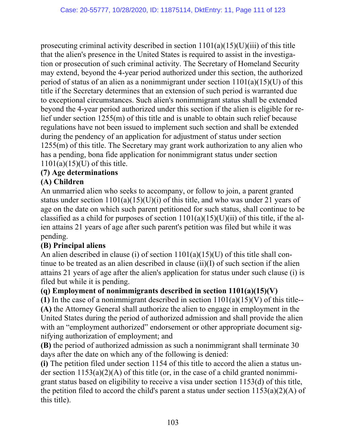prosecuting criminal activity described in section  $1101(a)(15)(U)(iii)$  of this title that the alien's presence in the United States is required to assist in the investigation or prosecution of such criminal activity. The Secretary of Homeland Security may extend, beyond the 4-year period authorized under this section, the authorized period of status of an alien as a nonimmigrant under [section 1101\(a\)\(15\)\(U\)](https://1.next.westlaw.com/Link/Document/FullText?findType=L&pubNum=1000546&cite=8USCAS1101&originatingDoc=N86C712D0B64A11EAA6FAB66043C66295&refType=RB&originationContext=document&transitionType=DocumentItem&contextData=(sc.Document)#co_pp_9b7500003fd26) of this title if the Secretary determines that an extension of such period is warranted due to exceptional circumstances. Such alien's nonimmigrant status shall be extended beyond the 4-year period authorized under this section if the alien is eligible for relief under [section 1255\(m\)](https://1.next.westlaw.com/Link/Document/FullText?findType=L&pubNum=1000546&cite=8USCAS1255&originatingDoc=N86C712D0B64A11EAA6FAB66043C66295&refType=RB&originationContext=document&transitionType=DocumentItem&contextData=(sc.Document)#co_pp_ea62000089cc6) of this title and is unable to obtain such relief because regulations have not been issued to implement such section and shall be extended during the pendency of an application for adjustment of status under [section](https://1.next.westlaw.com/Link/Document/FullText?findType=L&pubNum=1000546&cite=8USCAS1255&originatingDoc=N86C712D0B64A11EAA6FAB66043C66295&refType=RB&originationContext=document&transitionType=DocumentItem&contextData=(sc.Document)#co_pp_ea62000089cc6)  [1255\(m\)](https://1.next.westlaw.com/Link/Document/FullText?findType=L&pubNum=1000546&cite=8USCAS1255&originatingDoc=N86C712D0B64A11EAA6FAB66043C66295&refType=RB&originationContext=document&transitionType=DocumentItem&contextData=(sc.Document)#co_pp_ea62000089cc6) of this title. The Secretary may grant work authorization to any alien who has a pending, bona fide application for nonimmigrant status under [section](https://1.next.westlaw.com/Link/Document/FullText?findType=L&pubNum=1000546&cite=8USCAS1101&originatingDoc=N86C712D0B64A11EAA6FAB66043C66295&refType=RB&originationContext=document&transitionType=DocumentItem&contextData=(sc.Document)#co_pp_9b7500003fd26)   $1101(a)(15)(U)$  of this title.

## **(7) Age determinations**

## **(A) Children**

An unmarried alien who seeks to accompany, or follow to join, a parent granted status under section  $1101(a)(15)(U)(i)$  of this title, and who was under 21 years of age on the date on which such parent petitioned for such status, shall continue to be classified as a child for purposes of section  $1101(a)(15)(U)(ii)$  of this title, if the alien attains 21 years of age after such parent's petition was filed but while it was pending.

#### **(B) Principal aliens**

An alien described in clause (i) of section  $1101(a)(15)(U)$  of this title shall continue to be treated as an alien described in clause (ii)(I) of such section if the alien attains 21 years of age after the alien's application for status under such clause (i) is filed but while it is pending.

## **(q) Employment of nonimmigrants described in [section 1101\(a\)\(15\)\(V\)](https://1.next.westlaw.com/Link/Document/FullText?findType=L&pubNum=1000546&cite=8USCAS1101&originatingDoc=N86C712D0B64A11EAA6FAB66043C66295&refType=RB&originationContext=document&transitionType=DocumentItem&contextData=(sc.Document)#co_pp_cc0e0000283e1)**

(1) In the case of a nonimmigrant described in section  $1101(a)(15)(V)$  of this title--**(A)** the Attorney General shall authorize the alien to engage in employment in the United States during the period of authorized admission and shall provide the alien with an "employment authorized" endorsement or other appropriate document signifying authorization of employment; and

**(B)** the period of authorized admission as such a nonimmigrant shall terminate 30 days after the date on which any of the following is denied:

**(i)** The petition filed under [section 1154](https://1.next.westlaw.com/Link/Document/FullText?findType=L&pubNum=1000546&cite=8USCAS1154&originatingDoc=N86C712D0B64A11EAA6FAB66043C66295&refType=LQ&originationContext=document&transitionType=DocumentItem&contextData=(sc.Document)) of this title to accord the alien a status under section  $1153(a)(2)(A)$  of this title (or, in the case of a child granted nonimmigrant status based on eligibility to receive a visa under [section 1153\(d\)](https://1.next.westlaw.com/Link/Document/FullText?findType=L&pubNum=1000546&cite=8USCAS1153&originatingDoc=N86C712D0B64A11EAA6FAB66043C66295&refType=RB&originationContext=document&transitionType=DocumentItem&contextData=(sc.Document)#co_pp_5ba1000067d06) of this title, the petition filed to accord the child's parent a status under section  $1153(a)(2)(A)$  of this title).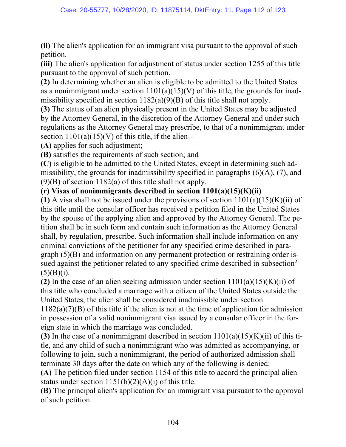**(ii)** The alien's application for an immigrant visa pursuant to the approval of such petition.

**(iii)** The alien's application for adjustment of status under [section 1255](https://1.next.westlaw.com/Link/Document/FullText?findType=L&pubNum=1000546&cite=8USCAS1255&originatingDoc=N86C712D0B64A11EAA6FAB66043C66295&refType=LQ&originationContext=document&transitionType=DocumentItem&contextData=(sc.Document)) of this title pursuant to the approval of such petition.

**(2)** In determining whether an alien is eligible to be admitted to the United States as a nonimmigrant under section  $1101(a)(15)(V)$  of this title, the grounds for inadmissibility specified in [section 1182\(a\)\(9\)\(B\)](https://1.next.westlaw.com/Link/Document/FullText?findType=L&pubNum=1000546&cite=8USCAS1182&originatingDoc=N86C712D0B64A11EAA6FAB66043C66295&refType=RB&originationContext=document&transitionType=DocumentItem&contextData=(sc.Document)#co_pp_548c000065854) of this title shall not apply.

**(3)** The status of an alien physically present in the United States may be adjusted by the Attorney General, in the discretion of the Attorney General and under such regulations as the Attorney General may prescribe, to that of a nonimmigrant under section  $1101(a)(15)(V)$  of this title, if the alien--

**(A)** applies for such adjustment;

**(B)** satisfies the requirements of such section; and

**(C)** is eligible to be admitted to the United States, except in determining such admissibility, the grounds for inadmissibility specified in [paragraphs \(6\)\(A\), \(7\),](https://1.next.westlaw.com/Link/Document/FullText?findType=L&pubNum=1000546&cite=8USCAS1182&originatingDoc=N86C712D0B64A11EAA6FAB66043C66295&refType=RB&originationContext=document&transitionType=DocumentItem&contextData=(sc.Document)#co_pp_8b3b0000958a4) and  $(9)(B)$  of section 1182(a) of this title shall not apply.

**(r) Visas of nonimmigrants described in [section 1101\(a\)\(15\)\(K\)\(ii\)](https://1.next.westlaw.com/Link/Document/FullText?findType=L&pubNum=1000546&cite=8USCAS1101&originatingDoc=N86C712D0B64A11EAA6FAB66043C66295&refType=RB&originationContext=document&transitionType=DocumentItem&contextData=(sc.Document)#co_pp_15280000b2924)**

**(1)** A visa shall not be issued under the provisions of [section 1101\(a\)\(15\)\(K\)\(ii\)](https://1.next.westlaw.com/Link/Document/FullText?findType=L&pubNum=1000546&cite=8USCAS1101&originatingDoc=N86C712D0B64A11EAA6FAB66043C66295&refType=RB&originationContext=document&transitionType=DocumentItem&contextData=(sc.Document)#co_pp_15280000b2924) of this title until the consular officer has received a petition filed in the United States by the spouse of the applying alien and approved by the Attorney General. The petition shall be in such form and contain such information as the Attorney General shall, by regulation, prescribe. Such information shall include information on any criminal convictions of the petitioner for any specified crime described in paragraph (5)(B) and information on any permanent protection or restraining order is-sued against the petitioner related to any specified crime described in subsection<sup>[2](https://1.next.westlaw.com/Document/N86C712D0B64A11EAA6FAB66043C66295/View/FullText.html?originationContext=document&contextData=(sc.Document)&transitionType=StatuteNavigator&needToInjectTerms=False#co_footnote_I8306B4C1D30911E6B0C3BF1064545617)</sup>  $(5)(B)(i).$ 

**(2)** In the case of an alien seeking admission under [section 1101\(a\)\(15\)\(K\)\(ii\)](https://1.next.westlaw.com/Link/Document/FullText?findType=L&pubNum=1000546&cite=8USCAS1101&originatingDoc=N86C712D0B64A11EAA6FAB66043C66295&refType=RB&originationContext=document&transitionType=DocumentItem&contextData=(sc.Document)#co_pp_15280000b2924) of this title who concluded a marriage with a citizen of the United States outside the United States, the alien shall be considered inadmissible under [section](https://1.next.westlaw.com/Link/Document/FullText?findType=L&pubNum=1000546&cite=8USCAS1182&originatingDoc=N86C712D0B64A11EAA6FAB66043C66295&refType=RB&originationContext=document&transitionType=DocumentItem&contextData=(sc.Document)#co_pp_70ee0000c9cb6) 

 $1182(a)(7)(B)$  of this title if the alien is not at the time of application for admission in possession of a valid nonimmigrant visa issued by a consular officer in the foreign state in which the marriage was concluded.

**(3)** In the case of a nonimmigrant described in [section 1101\(a\)\(15\)\(K\)\(ii\)](https://1.next.westlaw.com/Link/Document/FullText?findType=L&pubNum=1000546&cite=8USCAS1101&originatingDoc=N86C712D0B64A11EAA6FAB66043C66295&refType=RB&originationContext=document&transitionType=DocumentItem&contextData=(sc.Document)#co_pp_15280000b2924) of this title, and any child of such a nonimmigrant who was admitted as accompanying, or following to join, such a nonimmigrant, the period of authorized admission shall terminate 30 days after the date on which any of the following is denied:

**(A)** The petition filed under [section 1154](https://1.next.westlaw.com/Link/Document/FullText?findType=L&pubNum=1000546&cite=8USCAS1154&originatingDoc=N86C712D0B64A11EAA6FAB66043C66295&refType=LQ&originationContext=document&transitionType=DocumentItem&contextData=(sc.Document)) of this title to accord the principal alien status under section  $1151(b)(2)(A)(i)$  of this title.

**(B)** The principal alien's application for an immigrant visa pursuant to the approval of such petition.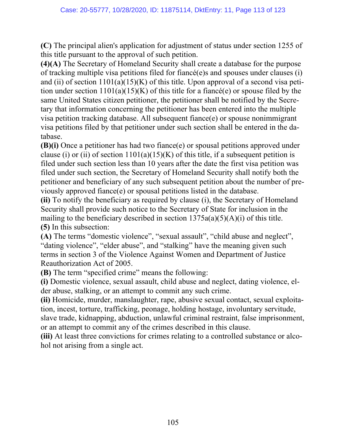**(C)** The principal alien's application for adjustment of status under [section 1255](https://1.next.westlaw.com/Link/Document/FullText?findType=L&pubNum=1000546&cite=8USCAS1255&originatingDoc=N86C712D0B64A11EAA6FAB66043C66295&refType=LQ&originationContext=document&transitionType=DocumentItem&contextData=(sc.Document)) of this title pursuant to the approval of such petition.

**(4)(A)** The Secretary of Homeland Security shall create a database for the purpose of tracking multiple visa petitions filed for fiancé(e)s and spouses under [clauses \(i\)](https://1.next.westlaw.com/Link/Document/FullText?findType=L&pubNum=1000546&cite=8USCAS1101&originatingDoc=N86C712D0B64A11EAA6FAB66043C66295&refType=RB&originationContext=document&transitionType=DocumentItem&contextData=(sc.Document)#co_pp_269400008c1d0) and (ii) of section  $1101(a)(15)(K)$  of this title. Upon approval of a second visa petition under section  $1101(a)(15)(K)$  of this title for a fiance (e) or spouse filed by the same United States citizen petitioner, the petitioner shall be notified by the Secretary that information concerning the petitioner has been entered into the multiple visa petition tracking database. All subsequent fiance(e) or spouse nonimmigrant visa petitions filed by that petitioner under such section shall be entered in the database.

**(B)(i)** Once a petitioner has had two fiance(e) or spousal petitions approved under [clause \(i\)](https://1.next.westlaw.com/Link/Document/FullText?findType=L&pubNum=1000546&cite=8USCAS1101&originatingDoc=N86C712D0B64A11EAA6FAB66043C66295&refType=RB&originationContext=document&transitionType=DocumentItem&contextData=(sc.Document)#co_pp_269400008c1d0) or (ii) of section  $1101(a)(15)(K)$  of this title, if a subsequent petition is filed under such section less than 10 years after the date the first visa petition was filed under such section, the Secretary of Homeland Security shall notify both the petitioner and beneficiary of any such subsequent petition about the number of previously approved fiance(e) or spousal petitions listed in the database.

**(ii)** To notify the beneficiary as required by clause (i), the Secretary of Homeland Security shall provide such notice to the Secretary of State for inclusion in the mailing to the beneficiary described in section  $1375a(a)(5)(A)(i)$  of this title. **(5)** In this subsection:

**(A)** The terms "domestic violence", "sexual assault", "child abuse and neglect", "dating violence", "elder abuse", and "stalking" have the meaning given such terms in section 3 of the Violence Against Women and Department of Justice Reauthorization Act of 2005.

**(B)** The term "specified crime" means the following:

**(i)** Domestic violence, sexual assault, child abuse and neglect, dating violence, elder abuse, stalking, or an attempt to commit any such crime.

**(ii)** Homicide, murder, manslaughter, rape, abusive sexual contact, sexual exploitation, incest, torture, trafficking, peonage, holding hostage, involuntary servitude, slave trade, kidnapping, abduction, unlawful criminal restraint, false imprisonment, or an attempt to commit any of the crimes described in this clause.

**(iii)** At least three convictions for crimes relating to a controlled substance or alcohol not arising from a single act.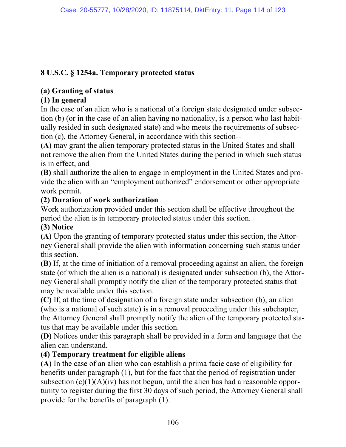# **8 U.S.C. § 1254a. Temporary protected status**

# **(a) Granting of status**

## **(1) In general**

In the case of an alien who is a national of a foreign state designated under subsection (b) (or in the case of an alien having no nationality, is a person who last habitually resided in such designated state) and who meets the requirements of subsection (c), the Attorney General, in accordance with this section--

**(A)** may grant the alien temporary protected status in the United States and shall not remove the alien from the United States during the period in which such status is in effect, and

**(B)** shall authorize the alien to engage in employment in the United States and provide the alien with an "employment authorized" endorsement or other appropriate work permit.

## **(2) Duration of work authorization**

Work authorization provided under this section shall be effective throughout the period the alien is in temporary protected status under this section.

## **(3) Notice**

**(A)** Upon the granting of temporary protected status under this section, the Attorney General shall provide the alien with information concerning such status under this section.

**(B)** If, at the time of initiation of a removal proceeding against an alien, the foreign state (of which the alien is a national) is designated under subsection (b), the Attorney General shall promptly notify the alien of the temporary protected status that may be available under this section.

**(C)** If, at the time of designation of a foreign state under subsection (b), an alien (who is a national of such state) is in a removal proceeding under this subchapter, the Attorney General shall promptly notify the alien of the temporary protected status that may be available under this section.

**(D)** Notices under this paragraph shall be provided in a form and language that the alien can understand.

# **(4) Temporary treatment for eligible aliens**

**(A)** In the case of an alien who can establish a prima facie case of eligibility for benefits under paragraph (1), but for the fact that the period of registration under subsection  $(c)(1)(A)(iv)$  has not begun, until the alien has had a reasonable opportunity to register during the first 30 days of such period, the Attorney General shall provide for the benefits of paragraph (1).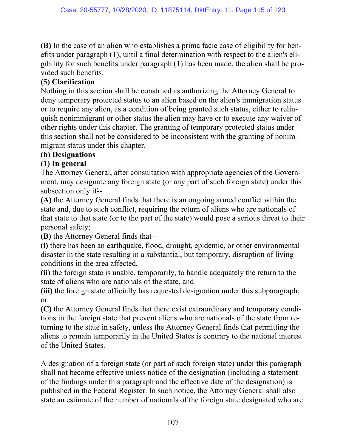**(B)** In the case of an alien who establishes a prima facie case of eligibility for benefits under paragraph (1), until a final determination with respect to the alien's eligibility for such benefits under paragraph (1) has been made, the alien shall be provided such benefits.

# **(5) Clarification**

Nothing in this section shall be construed as authorizing the Attorney General to deny temporary protected status to an alien based on the alien's immigration status or to require any alien, as a condition of being granted such status, either to relinquish nonimmigrant or other status the alien may have or to execute any waiver of other rights under this chapter. The granting of temporary protected status under this section shall not be considered to be inconsistent with the granting of nonimmigrant status under this chapter.

## **(b) Designations**

# **(1) In general**

The Attorney General, after consultation with appropriate agencies of the Government, may designate any foreign state (or any part of such foreign state) under this subsection only if--

**(A)** the Attorney General finds that there is an ongoing armed conflict within the state and, due to such conflict, requiring the return of aliens who are nationals of that state to that state (or to the part of the state) would pose a serious threat to their personal safety;

**(B)** the Attorney General finds that--

**(i)** there has been an earthquake, flood, drought, epidemic, or other environmental disaster in the state resulting in a substantial, but temporary, disruption of living conditions in the area affected,

**(ii)** the foreign state is unable, temporarily, to handle adequately the return to the state of aliens who are nationals of the state, and

**(iii)** the foreign state officially has requested designation under this subparagraph; or

**(C)** the Attorney General finds that there exist extraordinary and temporary conditions in the foreign state that prevent aliens who are nationals of the state from returning to the state in safety, unless the Attorney General finds that permitting the aliens to remain temporarily in the United States is contrary to the national interest of the United States.

A designation of a foreign state (or part of such foreign state) under this paragraph shall not become effective unless notice of the designation (including a statement of the findings under this paragraph and the effective date of the designation) is published in the Federal Register. In such notice, the Attorney General shall also state an estimate of the number of nationals of the foreign state designated who are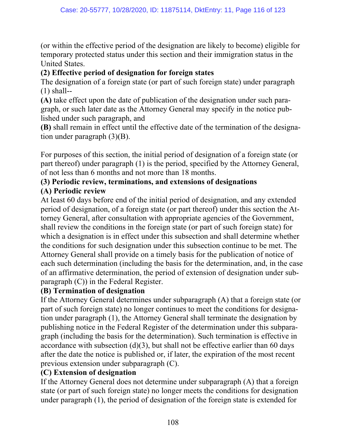(or within the effective period of the designation are likely to become) eligible for temporary protected status under this section and their immigration status in the United States.

## **(2) Effective period of designation for foreign states**

The designation of a foreign state (or part of such foreign state) under paragraph  $(1)$  shall--

**(A)** take effect upon the date of publication of the designation under such paragraph, or such later date as the Attorney General may specify in the notice published under such paragraph, and

**(B)** shall remain in effect until the effective date of the termination of the designation under paragraph (3)(B).

For purposes of this section, the initial period of designation of a foreign state (or part thereof) under paragraph (1) is the period, specified by the Attorney General, of not less than 6 months and not more than 18 months.

## **(3) Periodic review, terminations, and extensions of designations (A) Periodic review**

At least 60 days before end of the initial period of designation, and any extended period of designation, of a foreign state (or part thereof) under this section the Attorney General, after consultation with appropriate agencies of the Government, shall review the conditions in the foreign state (or part of such foreign state) for which a designation is in effect under this subsection and shall determine whether the conditions for such designation under this subsection continue to be met. The Attorney General shall provide on a timely basis for the publication of notice of each such determination (including the basis for the determination, and, in the case of an affirmative determination, the period of extension of designation under subparagraph (C)) in the Federal Register.

## **(B) Termination of designation**

If the Attorney General determines under subparagraph (A) that a foreign state (or part of such foreign state) no longer continues to meet the conditions for designation under paragraph (1), the Attorney General shall terminate the designation by publishing notice in the Federal Register of the determination under this subparagraph (including the basis for the determination). Such termination is effective in accordance with subsection  $(d)(3)$ , but shall not be effective earlier than 60 days after the date the notice is published or, if later, the expiration of the most recent previous extension under subparagraph (C).

## **(C) Extension of designation**

If the Attorney General does not determine under subparagraph (A) that a foreign state (or part of such foreign state) no longer meets the conditions for designation under paragraph (1), the period of designation of the foreign state is extended for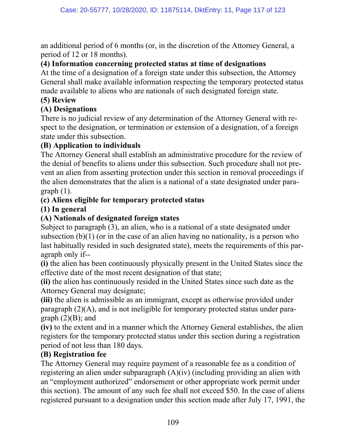an additional period of 6 months (or, in the discretion of the Attorney General, a period of 12 or 18 months).

## **(4) Information concerning protected status at time of designations**

At the time of a designation of a foreign state under this subsection, the Attorney General shall make available information respecting the temporary protected status made available to aliens who are nationals of such designated foreign state.

#### **(5) Review**

## **(A) Designations**

There is no judicial review of any determination of the Attorney General with respect to the designation, or termination or extension of a designation, of a foreign state under this subsection.

## **(B) Application to individuals**

The Attorney General shall establish an administrative procedure for the review of the denial of benefits to aliens under this subsection. Such procedure shall not prevent an alien from asserting protection under this section in removal proceedings if the alien demonstrates that the alien is a national of a state designated under paragraph  $(1)$ .

## **(c) Aliens eligible for temporary protected status**

## **(1) In general**

## **(A) Nationals of designated foreign states**

Subject to paragraph (3), an alien, who is a national of a state designated under subsection (b)(1) (or in the case of an alien having no nationality, is a person who last habitually resided in such designated state), meets the requirements of this paragraph only if--

**(i)** the alien has been continuously physically present in the United States since the effective date of the most recent designation of that state;

**(ii)** the alien has continuously resided in the United States since such date as the Attorney General may designate;

**(iii)** the alien is admissible as an immigrant, except as otherwise provided under paragraph (2)(A), and is not ineligible for temporary protected status under paragraph  $(2)(B)$ ; and

**(iv)** to the extent and in a manner which the Attorney General establishes, the alien registers for the temporary protected status under this section during a registration period of not less than 180 days.

#### **(B) Registration fee**

The Attorney General may require payment of a reasonable fee as a condition of registering an alien under subparagraph (A)(iv) (including providing an alien with an "employment authorized" endorsement or other appropriate work permit under this section). The amount of any such fee shall not exceed \$50. In the case of aliens registered pursuant to a designation under this section made after July 17, 1991, the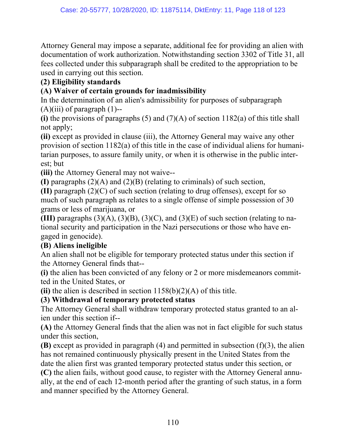Attorney General may impose a separate, additional fee for providing an alien with documentation of work authorization. Notwithstanding [section 3302 of Title 31,](https://1.next.westlaw.com/Link/Document/FullText?findType=L&pubNum=1000546&cite=31USCAS3302&originatingDoc=N5F7A3150A35911D8B9DE9866EEAFC42E&refType=LQ&originationContext=document&transitionType=DocumentItem&contextData=(sc.UserEnteredCitation)) all fees collected under this subparagraph shall be credited to the appropriation to be used in carrying out this section.

# **(2) Eligibility standards**

## **(A) Waiver of certain grounds for inadmissibility**

In the determination of an alien's admissibility for purposes of subparagraph  $(A)(iii)$  of paragraph  $(1)$ --

**(i)** the provisions of [paragraphs \(5\)](https://1.next.westlaw.com/Link/Document/FullText?findType=L&pubNum=1000546&cite=8USCAS1182&originatingDoc=N5F7A3150A35911D8B9DE9866EEAFC42E&refType=RB&originationContext=document&transitionType=DocumentItem&contextData=(sc.UserEnteredCitation)#co_pp_8b3b0000958a4) and [\(7\)\(A\) of section 1182\(a\)](https://1.next.westlaw.com/Link/Document/FullText?findType=L&pubNum=1000546&cite=8USCAS1182&originatingDoc=N5F7A3150A35911D8B9DE9866EEAFC42E&refType=RB&originationContext=document&transitionType=DocumentItem&contextData=(sc.UserEnteredCitation)#co_pp_8b3b0000958a4) of this title shall not apply;

**(ii)** except as provided in clause (iii), the Attorney General may waive any other provision of [section 1182\(a\)](https://1.next.westlaw.com/Link/Document/FullText?findType=L&pubNum=1000546&cite=8USCAS1182&originatingDoc=N5F7A3150A35911D8B9DE9866EEAFC42E&refType=RB&originationContext=document&transitionType=DocumentItem&contextData=(sc.UserEnteredCitation)#co_pp_8b3b0000958a4) of this title in the case of individual aliens for humanitarian purposes, to assure family unity, or when it is otherwise in the public interest; but

**(iii)** the Attorney General may not waive--

**(I)** paragraphs (2)(A) and (2)(B) (relating to criminals) of such section,

**(II)** paragraph (2)(C) of such section (relating to drug offenses), except for so much of such paragraph as relates to a single offense of simple possession of 30 grams or less of marijuana, or

**(III)** paragraphs  $(3)(A)$ ,  $(3)(B)$ ,  $(3)(C)$ , and  $(3)(E)$  of such section (relating to national security and participation in the Nazi persecutions or those who have engaged in genocide).

# **(B) Aliens ineligible**

An alien shall not be eligible for temporary protected status under this section if the Attorney General finds that--

**(i)** the alien has been convicted of any felony or 2 or more misdemeanors committed in the United States, or

**(ii)** the alien is described in [section 1158\(b\)\(2\)\(A\)](https://1.next.westlaw.com/Link/Document/FullText?findType=L&pubNum=1000546&cite=8USCAS1158&originatingDoc=N5F7A3150A35911D8B9DE9866EEAFC42E&refType=RB&originationContext=document&transitionType=DocumentItem&contextData=(sc.UserEnteredCitation)#co_pp_1eca000045f07) of this title.

# **(3) Withdrawal of temporary protected status**

The Attorney General shall withdraw temporary protected status granted to an alien under this section if--

**(A)** the Attorney General finds that the alien was not in fact eligible for such status under this section,

**(B)** except as provided in paragraph (4) and permitted in subsection (f)(3), the alien has not remained continuously physically present in the United States from the date the alien first was granted temporary protected status under this section, or

**(C)** the alien fails, without good cause, to register with the Attorney General annually, at the end of each 12-month period after the granting of such status, in a form and manner specified by the Attorney General.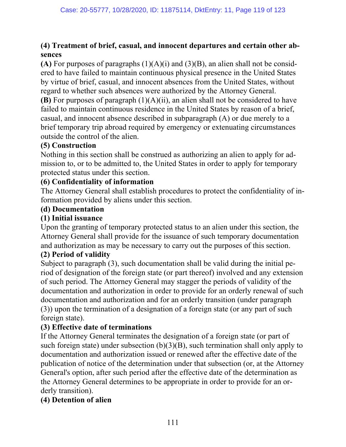## **(4) Treatment of brief, casual, and innocent departures and certain other absences**

(A) For purposes of paragraphs  $(1)(A)(i)$  and  $(3)(B)$ , an alien shall not be considered to have failed to maintain continuous physical presence in the United States by virtue of brief, casual, and innocent absences from the United States, without regard to whether such absences were authorized by the Attorney General.

**(B)** For purposes of paragraph (1)(A)(ii), an alien shall not be considered to have failed to maintain continuous residence in the United States by reason of a brief, casual, and innocent absence described in subparagraph (A) or due merely to a brief temporary trip abroad required by emergency or extenuating circumstances outside the control of the alien.

## **(5) Construction**

Nothing in this section shall be construed as authorizing an alien to apply for admission to, or to be admitted to, the United States in order to apply for temporary protected status under this section.

#### **(6) Confidentiality of information**

The Attorney General shall establish procedures to protect the confidentiality of information provided by aliens under this section.

#### **(d) Documentation**

#### **(1) Initial issuance**

Upon the granting of temporary protected status to an alien under this section, the Attorney General shall provide for the issuance of such temporary documentation and authorization as may be necessary to carry out the purposes of this section.

#### **(2) Period of validity**

Subject to paragraph (3), such documentation shall be valid during the initial period of designation of the foreign state (or part thereof) involved and any extension of such period. The Attorney General may stagger the periods of validity of the documentation and authorization in order to provide for an orderly renewal of such documentation and authorization and for an orderly transition (under paragraph (3)) upon the termination of a designation of a foreign state (or any part of such foreign state).

#### **(3) Effective date of terminations**

If the Attorney General terminates the designation of a foreign state (or part of such foreign state) under subsection  $(b)(3)(B)$ , such termination shall only apply to documentation and authorization issued or renewed after the effective date of the publication of notice of the determination under that subsection (or, at the Attorney General's option, after such period after the effective date of the determination as the Attorney General determines to be appropriate in order to provide for an orderly transition).

#### **(4) Detention of alien**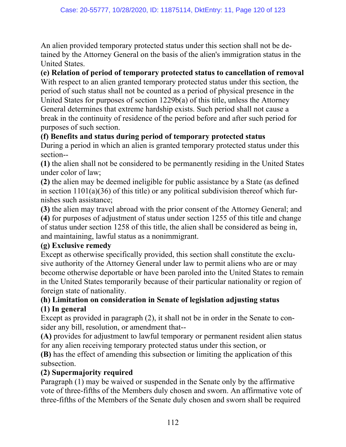An alien provided temporary protected status under this section shall not be detained by the Attorney General on the basis of the alien's immigration status in the United States.

## **(e) Relation of period of temporary protected status to cancellation of removal**

With respect to an alien granted temporary protected status under this section, the period of such status shall not be counted as a period of physical presence in the United States for purposes of [section 1229b\(a\)](https://1.next.westlaw.com/Link/Document/FullText?findType=L&pubNum=1000546&cite=8USCAS1229B&originatingDoc=N5F7A3150A35911D8B9DE9866EEAFC42E&refType=RB&originationContext=document&transitionType=DocumentItem&contextData=(sc.UserEnteredCitation)#co_pp_8b3b0000958a4) of this title, unless the Attorney General determines that extreme hardship exists. Such period shall not cause a break in the continuity of residence of the period before and after such period for purposes of such section.

## **(f) Benefits and status during period of temporary protected status**

During a period in which an alien is granted temporary protected status under this section--

**(1)** the alien shall not be considered to be permanently residing in the United States under color of law;

**(2)** the alien may be deemed ineligible for public assistance by a State (as defined in section  $1101(a)(36)$  of this title) or any political subdivision thereof which furnishes such assistance;

**(3)** the alien may travel abroad with the prior consent of the Attorney General; and **(4)** for purposes of adjustment of status under [section 1255](https://1.next.westlaw.com/Link/Document/FullText?findType=L&pubNum=1000546&cite=8USCAS1255&originatingDoc=N5F7A3150A35911D8B9DE9866EEAFC42E&refType=LQ&originationContext=document&transitionType=DocumentItem&contextData=(sc.UserEnteredCitation)) of this title and change

of status under [section 1258](https://1.next.westlaw.com/Link/Document/FullText?findType=L&pubNum=1000546&cite=8USCAS1258&originatingDoc=N5F7A3150A35911D8B9DE9866EEAFC42E&refType=LQ&originationContext=document&transitionType=DocumentItem&contextData=(sc.UserEnteredCitation)) of this title, the alien shall be considered as being in, and maintaining, lawful status as a nonimmigrant.

#### **(g) Exclusive remedy**

Except as otherwise specifically provided, this section shall constitute the exclusive authority of the Attorney General under law to permit aliens who are or may become otherwise deportable or have been paroled into the United States to remain in the United States temporarily because of their particular nationality or region of foreign state of nationality.

## **(h) Limitation on consideration in Senate of legislation adjusting status (1) In general**

Except as provided in paragraph (2), it shall not be in order in the Senate to consider any bill, resolution, or amendment that--

**(A)** provides for adjustment to lawful temporary or permanent resident alien status for any alien receiving temporary protected status under this section, or

**(B)** has the effect of amending this subsection or limiting the application of this subsection.

#### **(2) Supermajority required**

Paragraph (1) may be waived or suspended in the Senate only by the affirmative vote of three-fifths of the Members duly chosen and sworn. An affirmative vote of three-fifths of the Members of the Senate duly chosen and sworn shall be required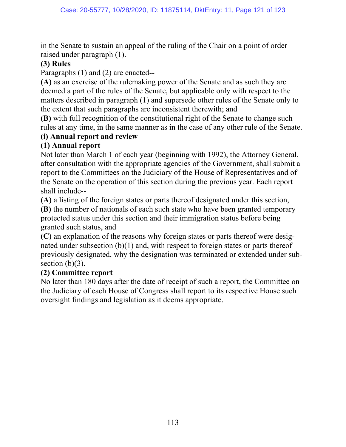in the Senate to sustain an appeal of the ruling of the Chair on a point of order raised under paragraph (1).

## **(3) Rules**

Paragraphs (1) and (2) are enacted--

**(A)** as an exercise of the rulemaking power of the Senate and as such they are deemed a part of the rules of the Senate, but applicable only with respect to the matters described in paragraph (1) and supersede other rules of the Senate only to the extent that such paragraphs are inconsistent therewith; and

**(B)** with full recognition of the constitutional right of the Senate to change such rules at any time, in the same manner as in the case of any other rule of the Senate.

## **(i) Annual report and review**

## **(1) Annual report**

Not later than March 1 of each year (beginning with 1992), the Attorney General, after consultation with the appropriate agencies of the Government, shall submit a report to the Committees on the Judiciary of the House of Representatives and of the Senate on the operation of this section during the previous year. Each report shall include--

**(A)** a listing of the foreign states or parts thereof designated under this section,

**(B)** the number of nationals of each such state who have been granted temporary protected status under this section and their immigration status before being granted such status, and

**(C)** an explanation of the reasons why foreign states or parts thereof were designated under subsection  $(b)(1)$  and, with respect to foreign states or parts thereof previously designated, why the designation was terminated or extended under subsection  $(b)(3)$ .

## **(2) Committee report**

No later than 180 days after the date of receipt of such a report, the Committee on the Judiciary of each House of Congress shall report to its respective House such oversight findings and legislation as it deems appropriate.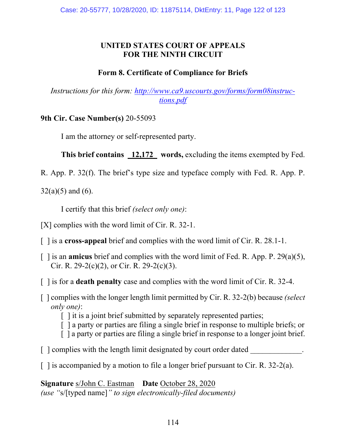#### **UNITED STATES COURT OF APPEALS FOR THE NINTH CIRCUIT**

## **Form 8. Certificate of Compliance for Briefs**

*Instructions for this form: [http://www.ca9.uscourts.gov/forms/form08instruc](http://www.ca9.uscourts.gov/forms/form08instructions.pdf)[tions.pdf](http://www.ca9.uscourts.gov/forms/form08instructions.pdf)*

**9th Cir. Case Number(s)** 20-55093

I am the attorney or self-represented party.

This brief contains 12,172 words, excluding the items exempted by Fed.

R. App. P. 32(f). The brief's type size and typeface comply with Fed. R. App. P.

 $32(a)(5)$  and  $(6)$ .

I certify that this brief *(select only one)*:

[X] complies with the word limit of Cir. R. 32-1.

[ ] is a **cross-appeal** brief and complies with the word limit of Cir. R. 28.1-1.

- [ ] is an **amicus** brief and complies with the word limit of Fed. R. App. P. 29(a)(5), Cir. R. 29-2(c)(2), or Cir. R. 29-2(c)(3).
- [ ] is for a **death penalty** case and complies with the word limit of Cir. R. 32-4.
- [ ] complies with the longer length limit permitted by Cir. R. 32-2(b) because *(select only one)*:

[] it is a joint brief submitted by separately represented parties;

- [ ] a party or parties are filing a single brief in response to multiple briefs; or
- [ ] a party or parties are filing a single brief in response to a longer joint brief.
- $\lceil$   $\lceil$  complies with the length limit designated by court order dated  $\lceil$ .
- $\lceil$  1 is accompanied by a motion to file a longer brief pursuant to Cir. R. 32-2(a).

**Signature** s/John C. Eastman **Date** October 28, 2020 *(use "*s/[typed name]*" to sign electronically-filed documents)*